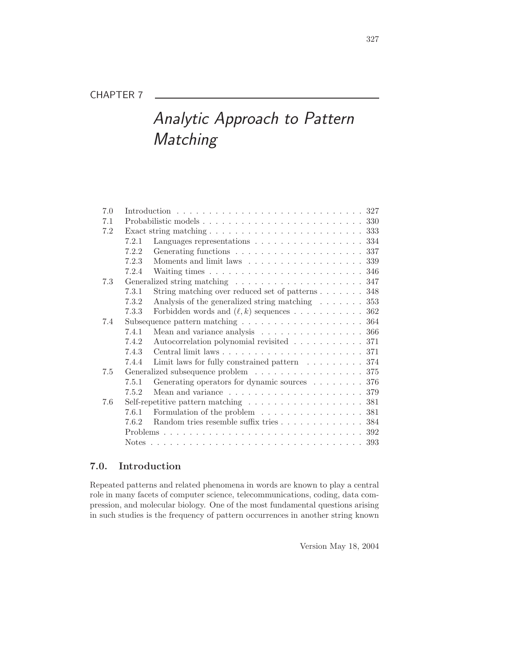# CHAPTER 7

# Analytic Approach to Pattern **Matching**

| 7.0 |                                                                                               |                                                                                     |  |  |  |  |
|-----|-----------------------------------------------------------------------------------------------|-------------------------------------------------------------------------------------|--|--|--|--|
| 7.1 |                                                                                               |                                                                                     |  |  |  |  |
| 7.2 | Exact string matching $\dots \dots \dots \dots \dots \dots \dots \dots \dots \dots \dots$ 333 |                                                                                     |  |  |  |  |
|     | 7.2.1                                                                                         | Languages representations $\ldots \ldots \ldots \ldots \ldots \ldots 334$           |  |  |  |  |
|     | 7.2.2                                                                                         |                                                                                     |  |  |  |  |
|     | 7.2.3                                                                                         | Moments and limit laws $\dots \dots \dots \dots \dots \dots \dots 339$              |  |  |  |  |
|     | 7.2.4                                                                                         | Waiting times $\ldots \ldots \ldots \ldots \ldots \ldots \ldots \ldots \ldots 346$  |  |  |  |  |
| 7.3 |                                                                                               |                                                                                     |  |  |  |  |
|     | 7.3.1                                                                                         | String matching over reduced set of patterns 348                                    |  |  |  |  |
|     | 7.3.2                                                                                         | Analysis of the generalized string matching 353                                     |  |  |  |  |
|     | 7.3.3                                                                                         | Forbidden words and $(\ell, k)$ sequences 362                                       |  |  |  |  |
| 7.4 |                                                                                               | Subsequence pattern matching $\ldots \ldots \ldots \ldots \ldots \ldots \ldots 364$ |  |  |  |  |
|     | 7.4.1                                                                                         | Mean and variance analysis $\ldots \ldots \ldots \ldots \ldots \ldots 366$          |  |  |  |  |
|     | 7.4.2                                                                                         | Autocorrelation polynomial revisited 371                                            |  |  |  |  |
|     | 7.4.3                                                                                         |                                                                                     |  |  |  |  |
|     | 7.4.4                                                                                         | Limit laws for fully constrained pattern $\dots \dots \dots 374$                    |  |  |  |  |
| 7.5 |                                                                                               | Generalized subsequence problem 375                                                 |  |  |  |  |
|     | 7.5.1                                                                                         | Generating operators for dynamic sources $\ldots \ldots \ldots$ 376                 |  |  |  |  |
|     | 7.5.2                                                                                         | Mean and variance $\ldots \ldots \ldots \ldots \ldots \ldots \ldots \ldots 379$     |  |  |  |  |
| 7.6 | Self-repetitive pattern matching $\ldots \ldots \ldots \ldots \ldots \ldots \ldots$ 381       |                                                                                     |  |  |  |  |
|     | 7.6.1                                                                                         | Formulation of the problem $\ldots \ldots \ldots \ldots \ldots 381$                 |  |  |  |  |
|     | 7.6.2                                                                                         | Random tries resemble suffix tries 384                                              |  |  |  |  |
|     |                                                                                               |                                                                                     |  |  |  |  |
|     |                                                                                               |                                                                                     |  |  |  |  |
|     |                                                                                               |                                                                                     |  |  |  |  |

# 7.0. Introduction

Repeated patterns and related phenomena in words are known to play a central role in many facets of computer science, telecommunications, coding, data compression, and molecular biology. One of the most fundamental questions arising in such studies is the frequency of pattern occurrences in another string known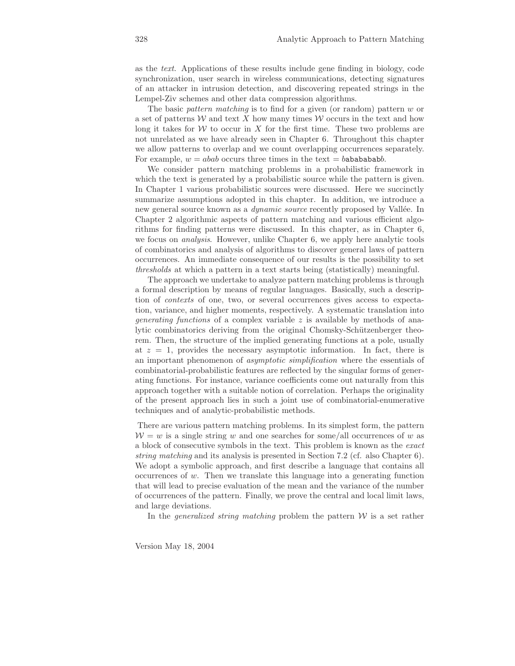as the text. Applications of these results include gene finding in biology, code synchronization, user search in wireless communications, detecting signatures of an attacker in intrusion detection, and discovering repeated strings in the Lempel-Ziv schemes and other data compression algorithms.

The basic *pattern matching* is to find for a given (or random) pattern  $w$  or a set of patterns W and text X how many times W occurs in the text and how long it takes for  $W$  to occur in  $X$  for the first time. These two problems are not unrelated as we have already seen in Chapter 6. Throughout this chapter we allow patterns to overlap and we count overlapping occurrences separately. For example,  $w = abab$  occurs three times in the text  $= b$ ababababb.

We consider pattern matching problems in a probabilistic framework in which the text is generated by a probabilistic source while the pattern is given. In Chapter 1 various probabilistic sources were discussed. Here we succinctly summarize assumptions adopted in this chapter. In addition, we introduce a new general source known as a *dynamic source* recently proposed by Vallée. In Chapter 2 algorithmic aspects of pattern matching and various efficient algorithms for finding patterns were discussed. In this chapter, as in Chapter 6, we focus on *analysis*. However, unlike Chapter 6, we apply here analytic tools of combinatorics and analysis of algorithms to discover general laws of pattern occurrences. An immediate consequence of our results is the possibility to set thresholds at which a pattern in a text starts being (statistically) meaningful.

The approach we undertake to analyze pattern matching problems is through a formal description by means of regular languages. Basically, such a description of contexts of one, two, or several occurrences gives access to expectation, variance, and higher moments, respectively. A systematic translation into *generating functions* of a complex variable  $z$  is available by methods of analytic combinatorics deriving from the original Chomsky-Schützenberger theorem. Then, the structure of the implied generating functions at a pole, usually at  $z = 1$ , provides the necessary asymptotic information. In fact, there is an important phenomenon of asymptotic simplification where the essentials of combinatorial-probabilistic features are reflected by the singular forms of generating functions. For instance, variance coefficients come out naturally from this approach together with a suitable notion of correlation. Perhaps the originality of the present approach lies in such a joint use of combinatorial-enumerative techniques and of analytic-probabilistic methods.

There are various pattern matching problems. In its simplest form, the pattern  $W = w$  is a single string w and one searches for some/all occurrences of w as a block of consecutive symbols in the text. This problem is known as the exact string matching and its analysis is presented in Section 7.2 (cf. also Chapter 6). We adopt a symbolic approach, and first describe a language that contains all occurrences of  $w$ . Then we translate this language into a generating function that will lead to precise evaluation of the mean and the variance of the number of occurrences of the pattern. Finally, we prove the central and local limit laws, and large deviations.

In the *generalized string matching* problem the pattern  $W$  is a set rather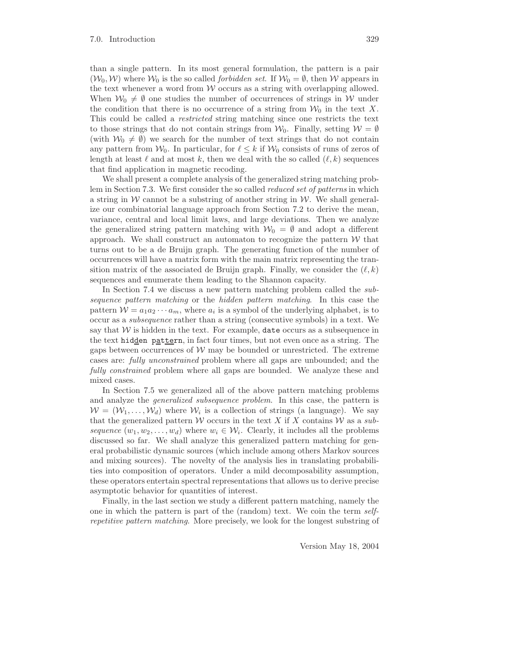than a single pattern. In its most general formulation, the pattern is a pair  $(\mathcal{W}_0, \mathcal{W})$  where  $\mathcal{W}_0$  is the so called *forbidden set*. If  $\mathcal{W}_0 = \emptyset$ , then W appears in the text whenever a word from  $W$  occurs as a string with overlapping allowed. When  $\mathcal{W}_0 \neq \emptyset$  one studies the number of occurrences of strings in W under the condition that there is no occurrence of a string from  $\mathcal{W}_0$  in the text X. This could be called a restricted string matching since one restricts the text to those strings that do not contain strings from  $W_0$ . Finally, setting  $W = \emptyset$ (with  $W_0 \neq \emptyset$ ) we search for the number of text strings that do not contain any pattern from  $W_0$ . In particular, for  $\ell \leq k$  if  $W_0$  consists of runs of zeros of length at least  $\ell$  and at most k, then we deal with the so called  $(\ell, k)$  sequences that find application in magnetic recoding.

We shall present a complete analysis of the generalized string matching problem in Section 7.3. We first consider the so called reduced set of patterns in which a string in  $W$  cannot be a substring of another string in  $W$ . We shall generalize our combinatorial language approach from Section 7.2 to derive the mean, variance, central and local limit laws, and large deviations. Then we analyze the generalized string pattern matching with  $W_0 = \emptyset$  and adopt a different approach. We shall construct an automaton to recognize the pattern  $W$  that turns out to be a de Bruijn graph. The generating function of the number of occurrences will have a matrix form with the main matrix representing the transition matrix of the associated de Bruijn graph. Finally, we consider the  $(\ell, k)$ sequences and enumerate them leading to the Shannon capacity.

In Section 7.4 we discuss a new pattern matching problem called the subsequence pattern matching or the hidden pattern matching. In this case the pattern  $W = a_1 a_2 \cdots a_m$ , where  $a_i$  is a symbol of the underlying alphabet, is to occur as a subsequence rather than a string (consecutive symbols) in a text. We say that  $W$  is hidden in the text. For example, **date** occurs as a subsequence in the text hidden pattern, in fact four times, but not even once as a string. The gaps between occurrences of  $W$  may be bounded or unrestricted. The extreme cases are: fully unconstrained problem where all gaps are unbounded; and the fully constrained problem where all gaps are bounded. We analyze these and mixed cases.

In Section 7.5 we generalized all of the above pattern matching problems and analyze the generalized subsequence problem. In this case, the pattern is  $W = (W_1, \ldots, W_d)$  where  $W_i$  is a collection of strings (a language). We say that the generalized pattern W occurs in the text X if X contains W as a subsequence  $(w_1, w_2, \ldots, w_d)$  where  $w_i \in \mathcal{W}_i$ . Clearly, it includes all the problems discussed so far. We shall analyze this generalized pattern matching for general probabilistic dynamic sources (which include among others Markov sources and mixing sources). The novelty of the analysis lies in translating probabilities into composition of operators. Under a mild decomposability assumption, these operators entertain spectral representations that allows us to derive precise asymptotic behavior for quantities of interest.

Finally, in the last section we study a different pattern matching, namely the one in which the pattern is part of the (random) text. We coin the term selfrepetitive pattern matching. More precisely, we look for the longest substring of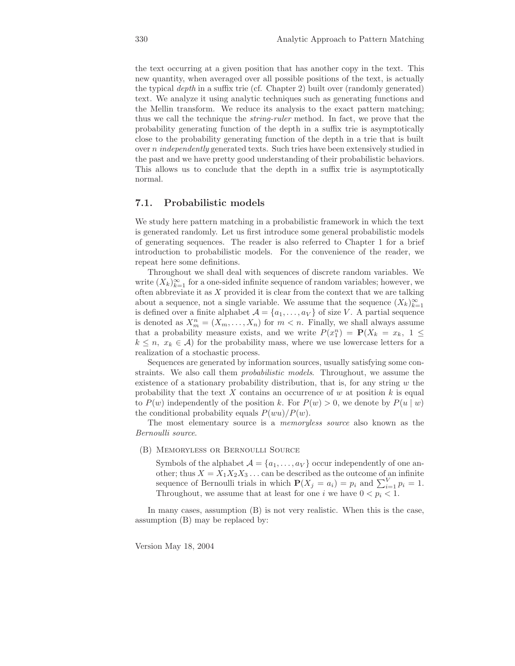the text occurring at a given position that has another copy in the text. This new quantity, when averaged over all possible positions of the text, is actually the typical depth in a suffix trie (cf. Chapter 2) built over (randomly generated) text. We analyze it using analytic techniques such as generating functions and the Mellin transform. We reduce its analysis to the exact pattern matching; thus we call the technique the string-ruler method. In fact, we prove that the probability generating function of the depth in a suffix trie is asymptotically close to the probability generating function of the depth in a trie that is built over n independently generated texts. Such tries have been extensively studied in the past and we have pretty good understanding of their probabilistic behaviors. This allows us to conclude that the depth in a suffix trie is asymptotically normal.

# 7.1. Probabilistic models

We study here pattern matching in a probabilistic framework in which the text is generated randomly. Let us first introduce some general probabilistic models of generating sequences. The reader is also referred to Chapter 1 for a brief introduction to probabilistic models. For the convenience of the reader, we repeat here some definitions.

Throughout we shall deal with sequences of discrete random variables. We write  $(X_k)_{k=1}^{\infty}$  for a one-sided infinite sequence of random variables; however, we often abbreviate it as  $X$  provided it is clear from the context that we are talking about a sequence, not a single variable. We assume that the sequence  $(X_k)_{k=1}^{\infty}$ is defined over a finite alphabet  $A = \{a_1, \ldots, a_V\}$  of size V. A partial sequence is denoted as  $X_m^n = (X_m, \ldots, X_n)$  for  $m < n$ . Finally, we shall always assume that a probability measure exists, and we write  $P(x_1^n) = P(X_k = x_k, 1 \leq$  $k \leq n, x_k \in \mathcal{A}$  for the probability mass, where we use lowercase letters for a realization of a stochastic process.

Sequences are generated by information sources, usually satisfying some constraints. We also call them probabilistic models. Throughout, we assume the existence of a stationary probability distribution, that is, for any string  $w$  the probability that the text  $X$  contains an occurrence of  $w$  at position  $k$  is equal to  $P(w)$  independently of the position k. For  $P(w) > 0$ , we denote by  $P(u | w)$ the conditional probability equals  $P(wu)/P(w)$ .

The most elementary source is a memoryless source also known as the Bernoulli source.

(B) Memoryless or Bernoulli Source

Symbols of the alphabet  $A = \{a_1, \ldots, a_V\}$  occur independently of one another; thus  $X = X_1 X_2 X_3 \dots$  can be described as the outcome of an infinite sequence of Bernoulli trials in which  $P(X_j = a_i) = p_i$  and  $\sum_{i=1}^{V} p_i = 1$ . Throughout, we assume that at least for one i we have  $0 < p_i < 1$ .

In many cases, assumption (B) is not very realistic. When this is the case, assumption (B) may be replaced by: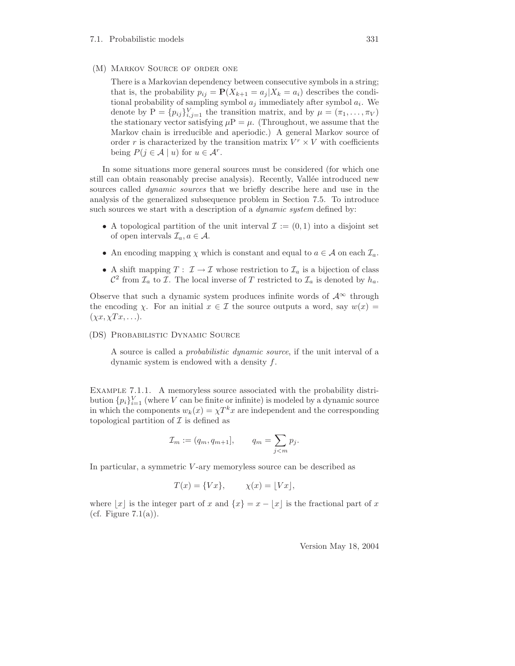## 7.1. Probabilistic models 331

(M) Markov Source of order one

There is a Markovian dependency between consecutive symbols in a string; that is, the probability  $p_{ij} = P(X_{k+1} = a_i | X_k = a_i)$  describes the conditional probability of sampling symbol  $a_j$  immediately after symbol  $a_i$ . We denote by  $P = \{p_{ij}\}_{i,j=1}^V$  the transition matrix, and by  $\mu = (\pi_1, \dots, \pi_V)$ the stationary vector satisfying  $\mu P = \mu$ . (Throughout, we assume that the Markov chain is irreducible and aperiodic.) A general Markov source of order r is characterized by the transition matrix  $V^r \times V$  with coefficients being  $P(j \in \mathcal{A} \mid u)$  for  $u \in \mathcal{A}^r$ .

In some situations more general sources must be considered (for which one still can obtain reasonably precise analysis). Recently, Vallée introduced new sources called dynamic sources that we briefly describe here and use in the analysis of the generalized subsequence problem in Section 7.5. To introduce such sources we start with a description of a *dynamic system* defined by:

- A topological partition of the unit interval  $\mathcal{I} := (0,1)$  into a disjoint set of open intervals  $\mathcal{I}_a, a \in \mathcal{A}$ .
- An encoding mapping  $\chi$  which is constant and equal to  $a \in \mathcal{A}$  on each  $\mathcal{I}_a$ .
- A shift mapping  $T: \mathcal{I} \to \mathcal{I}$  whose restriction to  $\mathcal{I}_a$  is a bijection of class  $\mathcal{C}^2$  from  $\mathcal{I}_a$  to  $\mathcal{I}$ . The local inverse of T restricted to  $\mathcal{I}_a$  is denoted by  $h_a$ .

Observe that such a dynamic system produces infinite words of  $A^{\infty}$  through the encoding  $\chi$ . For an initial  $x \in \mathcal{I}$  the source outputs a word, say  $w(x) =$  $(\chi x, \chi Tx, \ldots).$ 

# (DS) Probabilistic Dynamic Source

A source is called a probabilistic dynamic source, if the unit interval of a dynamic system is endowed with a density f.

EXAMPLE 7.1.1. A memoryless source associated with the probability distribution  $\{p_i\}_{i=1}^V$  (where V can be finite or infinite) is modeled by a dynamic source in which the components  $w_k(x) = \chi T^k x$  are independent and the corresponding topological partition of  $\mathcal I$  is defined as

$$
\mathcal{I}_m := (q_m, q_{m+1}], \qquad q_m = \sum_{j < m} p_j.
$$

In particular, a symmetric V-ary memoryless source can be described as

$$
T(x) = \{Vx\}, \qquad \chi(x) = \lfloor Vx \rfloor,
$$

where  $\lfloor x \rfloor$  is the integer part of x and  $\{x\} = x - \lfloor x \rfloor$  is the fractional part of x (cf. Figure  $7.1(a)$ ).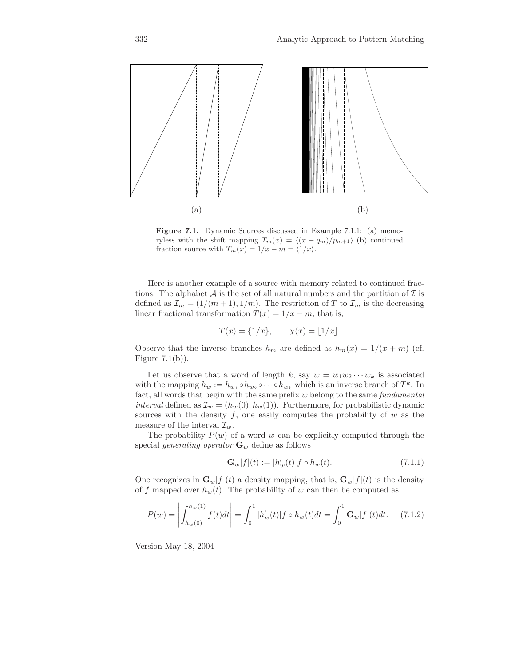

Figure 7.1. Dynamic Sources discussed in Example 7.1.1: (a) memoryless with the shift mapping  $T_m(x) = \langle (x - q_m)/p_{m+1} \rangle$  (b) continued fraction source with  $T_m(x) = 1/x - m = \langle 1/x \rangle$ .

Here is another example of a source with memory related to continued fractions. The alphabet  $A$  is the set of all natural numbers and the partition of  $I$  is defined as  $\mathcal{I}_m = (1/(m+1), 1/m)$ . The restriction of T to  $\mathcal{I}_m$  is the decreasing linear fractional transformation  $T(x) = 1/x - m$ , that is,

$$
T(x) = \{1/x\}, \qquad \chi(x) = \lfloor 1/x \rfloor.
$$

Observe that the inverse branches  $h_m$  are defined as  $h_m(x) = 1/(x + m)$  (cf. Figure  $7.1(b)$ ).

Let us observe that a word of length k, say  $w = w_1w_2\cdots w_k$  is associated with the mapping  $h_w := h_{w_1} \circ h_{w_2} \circ \cdots \circ h_{w_k}$  which is an inverse branch of  $T^k$ . In fact, all words that begin with the same prefix  $w$  belong to the same fundamental interval defined as  $\mathcal{I}_w = (h_w(0), h_w(1))$ . Furthermore, for probabilistic dynamic sources with the density  $f$ , one easily computes the probability of  $w$  as the measure of the interval  $\mathcal{I}_w$ .

The probability  $P(w)$  of a word w can be explicitly computed through the special generating operator  $\mathbf{G}_w$  define as follows

$$
\mathbf{G}_w[f](t) := |h'_w(t)| f \circ h_w(t). \tag{7.1.1}
$$

One recognizes in  $\mathbf{G}_w[f](t)$  a density mapping, that is,  $\mathbf{G}_w[f](t)$  is the density of f mapped over  $h_w(t)$ . The probability of w can then be computed as

$$
P(w) = \left| \int_{h_w(0)}^{h_w(1)} f(t)dt \right| = \int_0^1 |h'_w(t)| f \circ h_w(t) dt = \int_0^1 \mathbf{G}_w[f](t) dt. \tag{7.1.2}
$$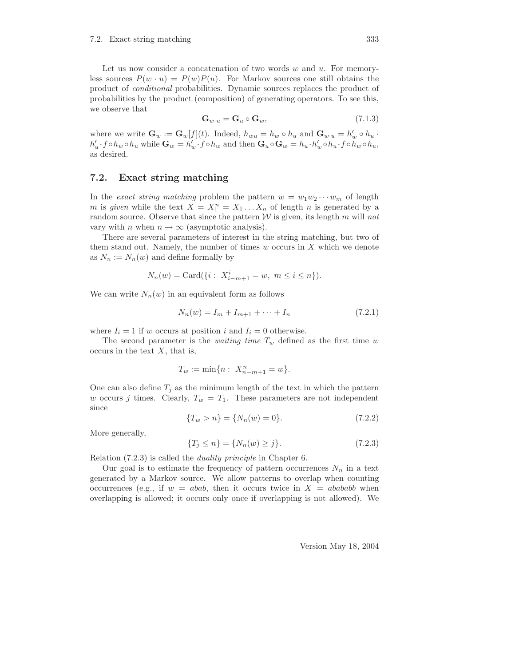Let us now consider a concatenation of two words  $w$  and  $u$ . For memoryless sources  $P(w \cdot u) = P(w)P(u)$ . For Markov sources one still obtains the product of conditional probabilities. Dynamic sources replaces the product of probabilities by the product (composition) of generating operators. To see this, we observe that

$$
\mathbf{G}_{w \cdot u} = \mathbf{G}_u \circ \mathbf{G}_w, \tag{7.1.3}
$$

where we write  $\mathbf{G}_w := \mathbf{G}_w[f](t)$ . Indeed,  $h_{wu} = h_w \circ h_u$  and  $\mathbf{G}_{w \cdot u} = h'_w \circ h_u$ .  $h'_u \cdot f \circ h_w \circ h_u$  while  $\mathbf{G}_w = h'_w \cdot f \circ h_w$  and then  $\mathbf{G}_u \circ \mathbf{G}_w = h_u \cdot h'_w \circ h_u \cdot f \circ h_w \circ h_u$ , as desired.

# 7.2. Exact string matching

In the exact string matching problem the pattern  $w = w_1w_2 \cdots w_m$  of length m is given while the text  $X = X_1^n = X_1 \dots X_n$  of length n is generated by a random source. Observe that since the pattern  $W$  is given, its length  $m$  will not vary with *n* when  $n \to \infty$  (asymptotic analysis).

There are several parameters of interest in the string matching, but two of them stand out. Namely, the number of times  $w$  occurs in  $X$  which we denote as  $N_n := N_n(w)$  and define formally by

$$
N_n(w) = \text{Card}(\{i : X_{i-m+1}^i = w, \ m \le i \le n\}).
$$

We can write  $N_n(w)$  in an equivalent form as follows

$$
N_n(w) = I_m + I_{m+1} + \dots + I_n \tag{7.2.1}
$$

where  $I_i = 1$  if w occurs at position i and  $I_i = 0$  otherwise.

The second parameter is the *waiting time*  $T_w$  defined as the first time  $w$ occurs in the text  $X$ , that is,

$$
T_w := \min\{n : X_{n-m+1}^n = w\}.
$$

One can also define  $T_i$  as the minimum length of the text in which the pattern w occurs j times. Clearly,  $T_w = T_1$ . These parameters are not independent since

$$
\{T_w > n\} = \{N_n(w) = 0\}.
$$
\n(7.2.2)

More generally,

$$
\{T_j \le n\} = \{N_n(w) \ge j\}.\tag{7.2.3}
$$

Relation (7.2.3) is called the duality principle in Chapter 6.

Our goal is to estimate the frequency of pattern occurrences  $N_n$  in a text generated by a Markov source. We allow patterns to overlap when counting occurrences (e.g., if  $w = abab$ , then it occurs twice in  $X = abababb$  when overlapping is allowed; it occurs only once if overlapping is not allowed). We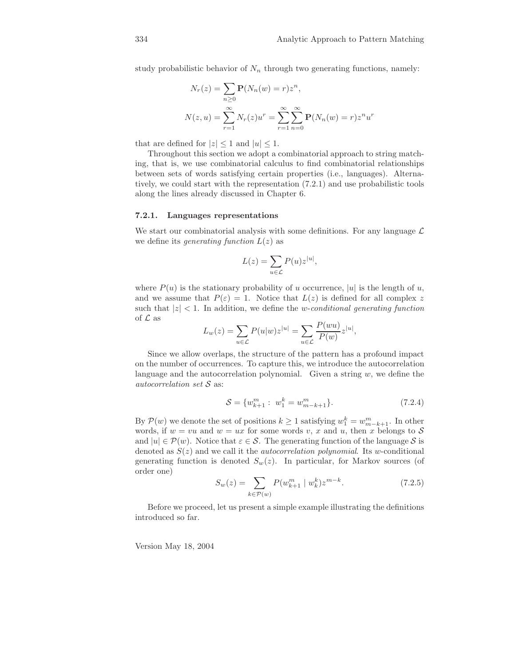study probabilistic behavior of  $N_n$  through two generating functions, namely:

$$
N_r(z) = \sum_{n\geq 0} \mathbf{P}(N_n(w) = r)z^n,
$$
  

$$
N(z, u) = \sum_{r=1}^{\infty} N_r(z)u^r = \sum_{r=1}^{\infty} \sum_{n=0}^{\infty} \mathbf{P}(N_n(w) = r)z^n u^r
$$

that are defined for  $|z| \leq 1$  and  $|u| \leq 1$ .

Throughout this section we adopt a combinatorial approach to string matching, that is, we use combinatorial calculus to find combinatorial relationships between sets of words satisfying certain properties (i.e., languages). Alternatively, we could start with the representation (7.2.1) and use probabilistic tools along the lines already discussed in Chapter 6.

### 7.2.1. Languages representations

We start our combinatorial analysis with some definitions. For any language  $\mathcal L$ we define its *generating function*  $L(z)$  as

$$
L(z) = \sum_{u \in \mathcal{L}} P(u) z^{|u|},
$$

where  $P(u)$  is the stationary probability of u occurrence, |u| is the length of u, and we assume that  $P(\varepsilon) = 1$ . Notice that  $L(z)$  is defined for all complex z such that  $|z| < 1$ . In addition, we define the *w*-conditional generating function of  $\mathcal L$  as

$$
L_w(z) = \sum_{u \in \mathcal{L}} P(u|w)z^{|u|} = \sum_{u \in \mathcal{L}} \frac{P(wu)}{P(w)} z^{|u|},
$$

Since we allow overlaps, the structure of the pattern has a profound impact on the number of occurrences. To capture this, we introduce the autocorrelation language and the autocorrelation polynomial. Given a string  $w$ , we define the autocorrelation set  $S$  as:

$$
S = \{w_{k+1}^m : w_1^k = w_{m-k+1}^m\}.
$$
\n(7.2.4)

By  $\mathcal{P}(w)$  we denote the set of positions  $k \geq 1$  satisfying  $w_1^k = w_{m-k+1}^m$ . In other words, if  $w = vu$  and  $w = ux$  for some words v, x and u, then x belongs to S and  $|u| \in \mathcal{P}(w)$ . Notice that  $\varepsilon \in \mathcal{S}$ . The generating function of the language  $\mathcal{S}$  is denoted as  $S(z)$  and we call it the *autocorrelation polynomial*. Its w-conditional generating function is denoted  $S_w(z)$ . In particular, for Markov sources (of order one)

$$
S_w(z) = \sum_{k \in \mathcal{P}(w)} P(w_{k+1}^m \mid w_k^k) z^{m-k}.
$$
 (7.2.5)

Before we proceed, let us present a simple example illustrating the definitions introduced so far.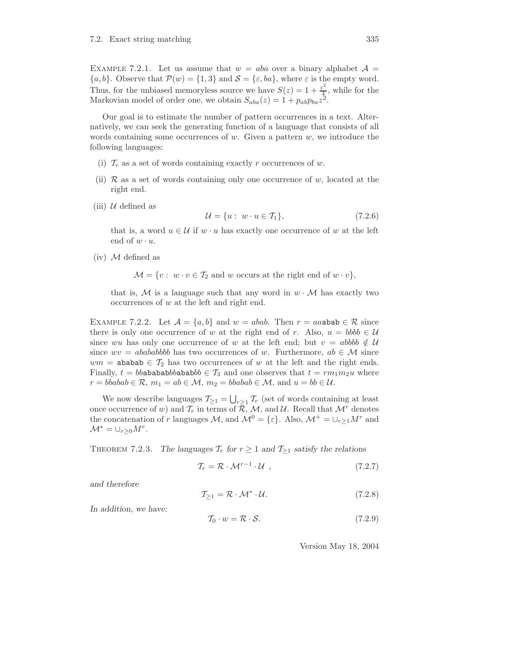EXAMPLE 7.2.1. Let us assume that  $w = aba$  over a binary alphabet  $A =$  ${a, b}$ . Observe that  $\mathcal{P}(w) = \{1, 3\}$  and  $\mathcal{S} = \{\varepsilon, ba\}$ , where  $\varepsilon$  is the empty word. Thus, for the unbiased memoryless source we have  $S(z) = 1 + \frac{z^2}{4}$  $\frac{z^2}{4}$ , while for the Markovian model of order one, we obtain  $S_{aba}(z) = 1 + p_{ab}p_{ba}z^2$ .

Our goal is to estimate the number of pattern occurrences in a text. Alternatively, we can seek the generating function of a language that consists of all words containing some occurrences of  $w$ . Given a pattern  $w$ , we introduce the following languages:

- (i)  $\mathcal{T}_r$  as a set of words containing exactly r occurrences of w.
- (ii)  $R$  as a set of words containing only one occurrence of w, located at the right end.
- (iii)  $U$  defined as

$$
\mathcal{U} = \{u : w \cdot u \in \mathcal{T}_1\},\tag{7.2.6}
$$

that is, a word  $u \in \mathcal{U}$  if  $w \cdot u$  has exactly one occurrence of w at the left end of  $w \cdot u$ .

(iv)  $M$  defined as

 $\mathcal{M} = \{v : w \cdot v \in \mathcal{T}_2 \text{ and } w \text{ occurs at the right end of } w \cdot v \},\$ 

that is, M is a language such that any word in  $w \cdot M$  has exactly two occurrences of w at the left and right end.

EXAMPLE 7.2.2. Let  $\mathcal{A} = \{a, b\}$  and  $w = abab$ . Then  $r = aaabab \in \mathcal{R}$  since there is only one occurrence of w at the right end of r. Also,  $u = bbbb \in U$ since wu has only one occurrence of w at the left end; but  $v = abbbb \notin U$ since  $wv = abababbb$  has two occurrences of w. Furthermore,  $ab \in \mathcal{M}$  since  $wm = ababab \in T_2$  has two occurrences of w at the left and the right ends. Finally,  $t = b$ babababbbababb $b \in \mathcal{T}_3$  and one observes that  $t = rm_1m_2u$  where  $r = bbabab \in \mathcal{R}, m_1 = ab \in \mathcal{M}, m_2 = bbabab \in \mathcal{M}, \text{ and } u = bb \in \mathcal{U}.$ 

We now describe languages  $\mathcal{T}_{\geq 1} = \bigcup_{r \geq 1} \mathcal{T}_r$  (set of words containing at least once occurrence of w) and  $\mathcal{T}_r$  in terms of  $\bar{\mathcal{R}}, \mathcal{M}$ , and  $\mathcal{U}$ . Recall that  $\mathcal{M}^r$  denotes the concatenation of r languages  $\mathcal{M}$ , and  $\mathcal{M}^0 = \{\varepsilon\}$ . Also,  $\mathcal{M}^+ = \cup_{r\geq 1} M^r$  and  $\mathcal{M}^* = \bigcup_{r \geq 0} M^r.$ 

THEOREM 7.2.3. The languages  $\mathcal{T}_r$  for  $r \geq 1$  and  $\mathcal{T}_{\geq 1}$  satisfy the relations

$$
\mathcal{T}_r = \mathcal{R} \cdot \mathcal{M}^{r-1} \cdot \mathcal{U} \tag{7.2.7}
$$

and therefore

$$
\mathcal{T}_{\geq 1} = \mathcal{R} \cdot \mathcal{M}^* \cdot \mathcal{U}.\tag{7.2.8}
$$

In addition, we have:

$$
\mathcal{T}_0 \cdot w = \mathcal{R} \cdot \mathcal{S}.\tag{7.2.9}
$$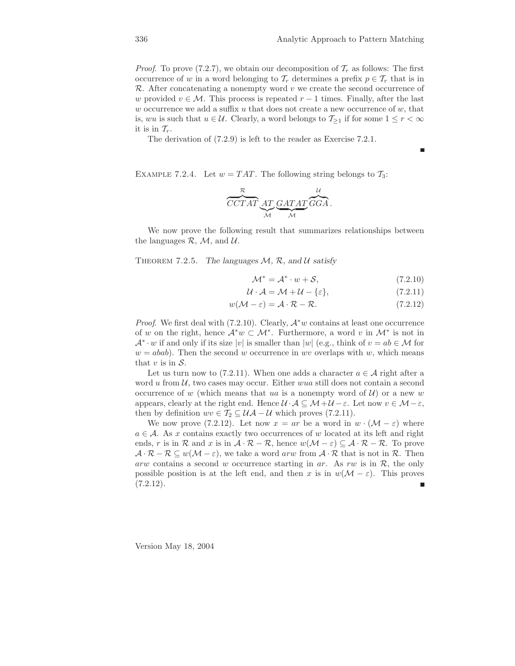п

*Proof.* To prove (7.2.7), we obtain our decomposition of  $\mathcal{T}_r$  as follows: The first occurrence of w in a word belonging to  $\mathcal{T}_r$  determines a prefix  $p \in \mathcal{T}_r$  that is in R. After concatenating a nonempty word  $v$  we create the second occurrence of w provided  $v \in \mathcal{M}$ . This process is repeated  $r - 1$  times. Finally, after the last w occurrence we add a suffix u that does not create a new occurrence of  $w$ , that is, wu is such that  $u \in \mathcal{U}$ . Clearly, a word belongs to  $\mathcal{T}_{\geq 1}$  if for some  $1 \leq r < \infty$ it is in  $\mathcal{T}_r$ .

The derivation of (7.2.9) is left to the reader as Exercise 7.2.1.

EXAMPLE 7.2.4. Let  $w = TAT$ . The following string belongs to  $\mathcal{T}_3$ :

$$
\overbrace{CCTAT}^{\mathcal{R}}\underbrace{AT}_{\mathcal{M}}\underbrace{GATAT}_{\mathcal{M}}\overbrace{GGA}^{\mathcal{U}}.
$$

We now prove the following result that summarizes relationships between the languages  $\mathcal{R}, \mathcal{M},$  and  $\mathcal{U}.$ 

THEOREM 7.2.5. The languages  $M$ ,  $R$ , and  $U$  satisfy

$$
\mathcal{M}^* = \mathcal{A}^* \cdot w + \mathcal{S},\tag{7.2.10}
$$

$$
\mathcal{U} \cdot \mathcal{A} = \mathcal{M} + \mathcal{U} - \{\varepsilon\},\tag{7.2.11}
$$

$$
w(\mathcal{M} - \varepsilon) = \mathcal{A} \cdot \mathcal{R} - \mathcal{R}.\tag{7.2.12}
$$

*Proof.* We first deal with (7.2.10). Clearly,  $A^*w$  contains at least one occurrence of w on the right, hence  $\mathcal{A}^* w \subset \mathcal{M}^*$ . Furthermore, a word v in  $\mathcal{M}^*$  is not in  $\mathcal{A}^* \cdot w$  if and only if its size  $|v|$  is smaller than  $|w|$  (e.g., think of  $v = ab \in \mathcal{M}$  for  $w = abab$ ). Then the second w occurrence in wv overlaps with w, which means that v is in  $S$ .

Let us turn now to (7.2.11). When one adds a character  $a \in \mathcal{A}$  right after a word u from  $U$ , two cases may occur. Either wua still does not contain a second occurrence of w (which means that ua is a nonempty word of  $\mathcal{U}$ ) or a new w appears, clearly at the right end. Hence  $\mathcal{U} \cdot \mathcal{A} \subseteq \mathcal{M} + \mathcal{U} - \varepsilon$ . Let now  $v \in \mathcal{M} - \varepsilon$ , then by definition  $wv \in T_2 \subseteq \mathcal{UA} - \mathcal{U}$  which proves (7.2.11).

We now prove (7.2.12). Let now  $x = ar$  be a word in  $w \cdot (\mathcal{M} - \varepsilon)$  where  $a \in \mathcal{A}$ . As x contains exactly two occurrences of w located at its left and right ends, r is in  $\mathcal R$  and x is in  $\mathcal A \cdot \mathcal R - \mathcal R$ , hence  $w(\mathcal M - \varepsilon) \subseteq \mathcal A \cdot \mathcal R - \mathcal R$ . To prove  $\mathcal{A} \cdot \mathcal{R} - \mathcal{R} \subseteq w(\mathcal{M} - \varepsilon)$ , we take a word arw from  $\mathcal{A} \cdot \mathcal{R}$  that is not in  $\mathcal{R}$ . Then arw contains a second w occurrence starting in ar. As rw is in  $\mathcal{R}$ , the only possible position is at the left end, and then x is in  $w(\mathcal{M} - \varepsilon)$ . This proves  $(7.2.12).$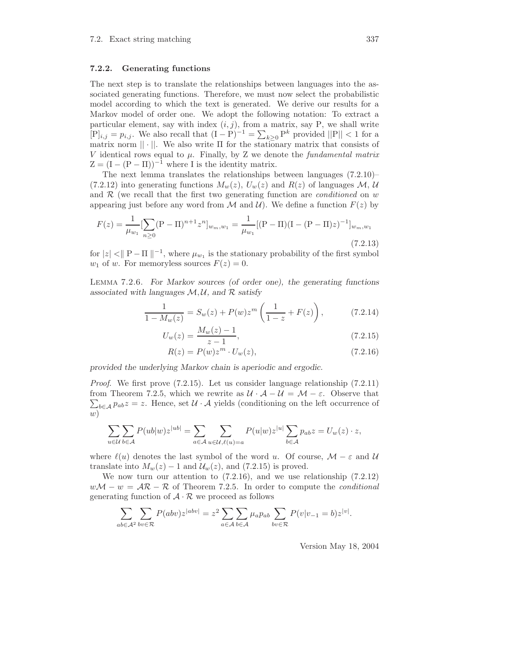## 7.2.2. Generating functions

The next step is to translate the relationships between languages into the associated generating functions. Therefore, we must now select the probabilistic model according to which the text is generated. We derive our results for a Markov model of order one. We adopt the following notation: To extract a particular element, say with index  $(i, j)$ , from a matrix, say P, we shall write  $[P]_{i,j} = p_{i,j}$ . We also recall that  $(I - P)^{-1} = \sum_{k \geq 0} P^k$  provided  $||P|| < 1$  for a matrix norm  $|| \cdot ||$ . We also write  $\Pi$  for the stationary matrix that consists of V identical rows equal to  $\mu$ . Finally, by Z we denote the *fundamental matrix*  $Z = (I - (P - \Pi))^{-1}$  where I is the identity matrix.

The next lemma translates the relationships between languages (7.2.10)– (7.2.12) into generating functions  $M_w(z)$ ,  $U_w(z)$  and  $R(z)$  of languages M, U and  $R$  (we recall that the first two generating function are *conditioned* on  $w$ appearing just before any word from  $\mathcal M$  and  $\mathcal U$ ). We define a function  $F(z)$  by

$$
F(z) = \frac{1}{\mu_{w_1}} \left[ \sum_{n \ge 0} (P - \Pi)^{n+1} z^n \right]_{w_m, w_1} = \frac{1}{\mu_{w_1}} \left[ (P - \Pi)(I - (P - \Pi)z)^{-1} \right]_{w_m, w_1}
$$
\n(7.2.13)

for  $|z| < ||P - \Pi||^{-1}$ , where  $\mu_{w_1}$  is the stationary probability of the first symbol  $w_1$  of w. For memoryless sources  $F(z) = 0$ .

Lemma 7.2.6. For Markov sources (of order one), the generating functions associated with languages  $\mathcal{M}, \mathcal{U}$ , and  $\mathcal{R}$  satisfy

$$
\frac{1}{1 - M_w(z)} = S_w(z) + P(w)z^m \left(\frac{1}{1 - z} + F(z)\right),\tag{7.2.14}
$$

$$
U_w(z) = \frac{M_w(z) - 1}{z - 1},\tag{7.2.15}
$$

$$
R(z) = P(w)zm \cdot U_w(z), \qquad (7.2.16)
$$

provided the underlying Markov chain is aperiodic and ergodic.

Proof. We first prove (7.2.15). Let us consider language relationship (7.2.11)  $\sum_{b\in\mathcal{A}} p_{ab}z = z$ . Hence, set  $\mathcal{U}\cdot\mathcal{A}$  yields (conditioning on the left occurrence of from Theorem 7.2.5, which we rewrite as  $\mathcal{U} \cdot \mathcal{A} - \mathcal{U} = \mathcal{M} - \varepsilon$ . Observe that w)

$$
\sum_{u \in \mathcal{U}} \sum_{b \in \mathcal{A}} P(ub|w)z^{|ub|} = \sum_{a \in \mathcal{A}} \sum_{u \in \mathcal{U}, \ell(u) = a} P(u|w)z^{|u|} \sum_{b \in \mathcal{A}} p_{ab}z = U_w(z) \cdot z,
$$

where  $\ell(u)$  denotes the last symbol of the word u. Of course,  $\mathcal{M} - \varepsilon$  and  $\mathcal{U}$ translate into  $M_w(z) - 1$  and  $\mathcal{U}_w(z)$ , and (7.2.15) is proved.

We now turn our attention to (7.2.16), and we use relationship (7.2.12)  $wM - w = AR - R$  of Theorem 7.2.5. In order to compute the *conditional* generating function of  $\mathcal{A} \cdot \mathcal{R}$  we proceed as follows

$$
\sum_{ab \in \mathcal{A}^2} \sum_{bv \in \mathcal{R}} P(abv) z^{|abv|} = z^2 \sum_{a \in \mathcal{A}} \sum_{b \in \mathcal{A}} \mu_a p_{ab} \sum_{bv \in \mathcal{R}} P(v|v_{-1} = b) z^{|v|}.
$$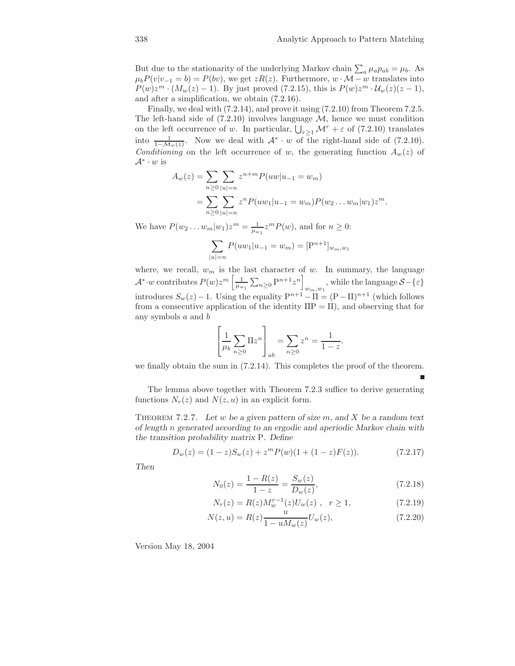But due to the stationarity of the underlying Markov chain  $\sum_a \mu_a p_{ab} = \mu_b$ . As  $\mu_b P(v|v_{-1} = b) = P(bv)$ , we get  $zR(z)$ . Furthermore,  $w \cdot M - w$  translates into  $P(w)z^m \cdot (M_w(z) - 1)$ . By just proved (7.2.15), this is  $P(w)z^m \cdot U_w(z)(z - 1)$ , and after a simplification, we obtain (7.2.16).

Finally, we deal with  $(7.2.14)$ , and prove it using  $(7.2.10)$  from Theorem 7.2.5. The left-hand side of  $(7.2.10)$  involves language  $M$ , hence we must condition on the left occurrence of w. In particular,  $\bigcup_{r\geq 1} M^r + \varepsilon$  of (7.2.10) translates into  $\frac{1}{1-\mathcal{M}_w(z)}$ . Now we deal with  $\mathcal{A}^* \cdot w$  of the right-hand side of (7.2.10). Conditioning on the left occurrence of w, the generating function  $A_w(z)$  of  $\mathcal{A}^*\cdot w$  is

$$
A_w(z) = \sum_{n\geq 0} \sum_{|u|=n} z^{n+m} P(uw|u_{-1} = w_m)
$$
  
= 
$$
\sum_{n\geq 0} \sum_{|u|=n} z^n P(uw_1|u_{-1} = w_m) P(w_2 \dots w_m|w_1) z^m.
$$

We have  $P(w_2...w_m|w_1)z^m = \frac{1}{\mu_{w_1}} z^m P(w)$ , and for  $n \ge 0$ :

$$
\sum_{|u|=n} P(uw_1|u_{-1} = w_m) = [\mathbf{P}^{n+1}]_{w_m, w_1}
$$

where, we recall,  $w_m$  is the last character of w. In summary, the language  $\mathcal{A}^* \cdot w$  contributes  $P(w)z^m \left[ \frac{1}{\mu_{w_1}} \sum_{n\geq 0} P^{n+1} z^n \right]$  $w_m, w_1$ , while the language  $S - \{\varepsilon\}$ introduces  $S_w(z) - 1$ . Using the equality  $P^{n+1} - \Pi = (P - \Pi)^{n+1}$  (which follows from a consecutive application of the identity  $\text{IP} = \text{II}$ , and observing that for any symbols a and b

$$
\left[\frac{1}{\mu_b} \sum_{n \ge 0} \Pi z^n \right]_{ab} = \sum_{n \ge 0} z^n = \frac{1}{1-z}.
$$

we finally obtain the sum in (7.2.14). This completes the proof of the theorem.

The lemma above together with Theorem 7.2.3 suffice to derive generating functions  $N_r(z)$  and  $N(z, u)$  in an explicit form.

THEOREM 7.2.7. Let w be a given pattern of size m, and X be a random text of length n generated according to an ergodic and aperiodic Markov chain with the transition probability matrix P. Define

$$
D_w(z) = (1-z)S_w(z) + z^m P(w)(1 + (1-z)F(z)).
$$
\n(7.2.17)

Then

$$
N_0(z) = \frac{1 - R(z)}{1 - z} = \frac{S_w(z)}{D_w(z)},
$$
\n(7.2.18)

$$
N_r(z) = R(z)M_w^{r-1}(z)U_w(z) , \quad r \ge 1,
$$
\n(7.2.19)

$$
N(z, u) = R(z) \frac{u}{1 - uM_w(z)} U_w(z),
$$
\n(7.2.20)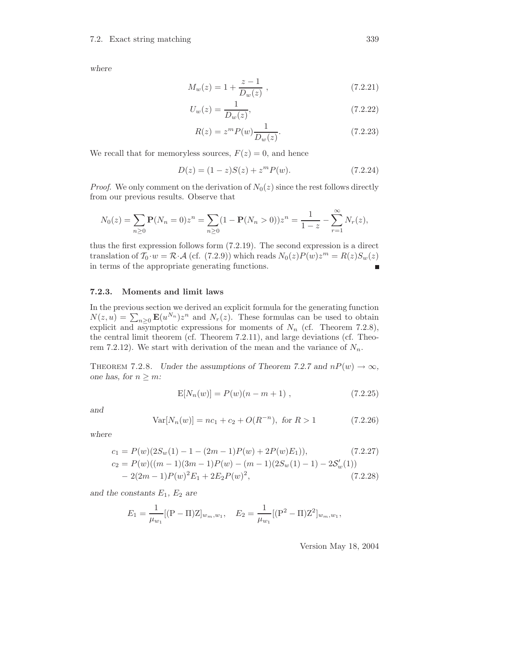where

$$
M_w(z) = 1 + \frac{z - 1}{D_w(z)},
$$
\n(7.2.21)

$$
U_w(z) = \frac{1}{D_w(z)},
$$
\n(7.2.22)

$$
R(z) = zm P(w) \frac{1}{D_w(z)}.
$$
 (7.2.23)

We recall that for memoryless sources,  $F(z) = 0$ , and hence

$$
D(z) = (1 - z)S(z) + zm P(w).
$$
 (7.2.24)

*Proof.* We only comment on the derivation of  $N_0(z)$  since the rest follows directly from our previous results. Observe that

$$
N_0(z) = \sum_{n\geq 0} \mathbf{P}(N_n = 0)z^n = \sum_{n\geq 0} (1 - \mathbf{P}(N_n > 0))z^n = \frac{1}{1 - z} - \sum_{r=1}^{\infty} N_r(z),
$$

thus the first expression follows form (7.2.19). The second expression is a direct translation of  $\mathcal{T}_0 \cdot w = \mathcal{R} \cdot \mathcal{A}$  (cf. (7.2.9)) which reads  $N_0(z)P(w)z^m = R(z)S_w(z)$ in terms of the appropriate generating functions.  $\blacksquare$ 

# 7.2.3. Moments and limit laws

In the previous section we derived an explicit formula for the generating function  $N(z, u) = \sum_{n \geq 0} \mathbf{E}(u^{N_n}) z^n$  and  $N_r(z)$ . These formulas can be used to obtain explicit and asymptotic expressions for moments of  $N_n$  (cf. Theorem 7.2.8), the central limit theorem (cf. Theorem 7.2.11), and large deviations (cf. Theorem 7.2.12). We start with derivation of the mean and the variance of  $N_n$ .

THEOREM 7.2.8. Under the assumptions of Theorem 7.2.7 and  $nP(w) \to \infty$ , one has, for  $n \geq m$ :

$$
E[N_n(w)] = P(w)(n - m + 1) , \qquad (7.2.25)
$$

and

$$
Var[N_n(w)] = nc_1 + c_2 + O(R^{-n}), \text{ for } R > 1
$$
 (7.2.26)

where

$$
c_1 = P(w)(2S_w(1) - 1 - (2m - 1)P(w) + 2P(w)E_1)),
$$
\n
$$
c_2 = P(w)((m - 1)(3m - 1)P(w) - (m - 1)(2S_w(1) - 1) - 2S'_w(1))
$$
\n
$$
- 2(2m - 1)P(w)^2E_1 + 2E_2P(w)^2,
$$
\n(7.2.28)

and the constants  $E_1, E_2$  are

$$
E_1 = \frac{1}{\mu_{w_1}} [(P - \Pi)Z]_{w_m, w_1}, \quad E_2 = \frac{1}{\mu_{w_1}} [(P^2 - \Pi)Z^2]_{w_m, w_1},
$$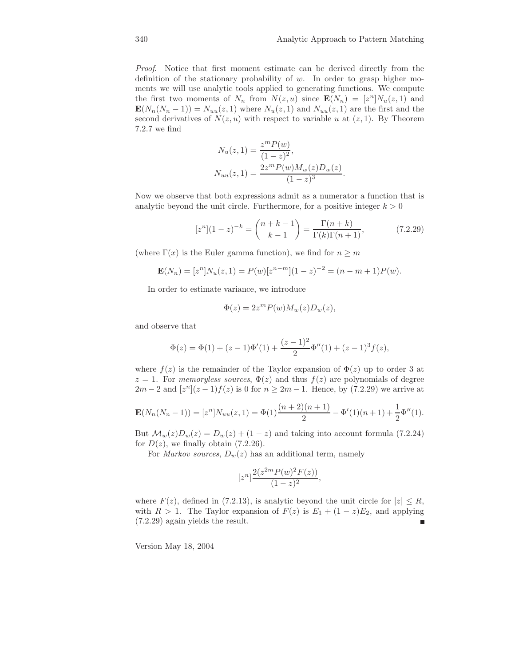Proof. Notice that first moment estimate can be derived directly from the definition of the stationary probability of  $w$ . In order to grasp higher moments we will use analytic tools applied to generating functions. We compute the first two moments of  $N_n$  from  $N(z, u)$  since  $\mathbf{E}(N_n) = [z^n]N_u(z, 1)$  and  $\mathbf{E}(N_n(N_n-1)) = N_{uu}(z,1)$  where  $N_u(z,1)$  and  $N_{uu}(z,1)$  are the first and the second derivatives of  $N(z, u)$  with respect to variable u at  $(z, 1)$ . By Theorem 7.2.7 we find

$$
N_u(z,1) = \frac{z^m P(w)}{(1-z)^2},
$$
  
\n
$$
N_{uu}(z,1) = \frac{2z^m P(w)M_w(z)D_w(z)}{(1-z)^3}.
$$

Now we observe that both expressions admit as a numerator a function that is analytic beyond the unit circle. Furthermore, for a positive integer  $k > 0$ 

$$
[z^n](1-z)^{-k} = \binom{n+k-1}{k-1} = \frac{\Gamma(n+k)}{\Gamma(k)\Gamma(n+1)},\tag{7.2.29}
$$

(where  $\Gamma(x)$  is the Euler gamma function), we find for  $n \geq m$ 

$$
\mathbf{E}(N_n) = [z^n] N_u(z, 1) = P(w) [z^{n-m}] (1-z)^{-2} = (n - m + 1) P(w).
$$

In order to estimate variance, we introduce

$$
\Phi(z) = 2z^m P(w) M_w(z) D_w(z),
$$

and observe that

$$
\Phi(z) = \Phi(1) + (z - 1)\Phi'(1) + \frac{(z - 1)^2}{2}\Phi''(1) + (z - 1)^3 f(z),
$$

where  $f(z)$  is the remainder of the Taylor expansion of  $\Phi(z)$  up to order 3 at  $z = 1$ . For memoryless sources,  $\Phi(z)$  and thus  $f(z)$  are polynomials of degree  $2m-2$  and  $[z<sup>n</sup>](z-1)f(z)$  is 0 for  $n \ge 2m-1$ . Hence, by (7.2.29) we arrive at

$$
\mathbf{E}(N_n(N_n-1)) = [z^n]N_{uu}(z,1) = \Phi(1)\frac{(n+2)(n+1)}{2} - \Phi'(1)(n+1) + \frac{1}{2}\Phi''(1).
$$

But  $\mathcal{M}_w(z)D_w(z) = D_w(z) + (1-z)$  and taking into account formula (7.2.24) for  $D(z)$ , we finally obtain (7.2.26).

For *Markov sources*,  $D_w(z)$  has an additional term, namely

$$
[z^n] \frac{2(z^{2m} P(w)^2 F(z))}{(1-z)^2},
$$

where  $F(z)$ , defined in (7.2.13), is analytic beyond the unit circle for  $|z| \leq R$ , with  $R > 1$ . The Taylor expansion of  $F(z)$  is  $E_1 + (1 - z)E_2$ , and applying (7.2.29) again yields the result.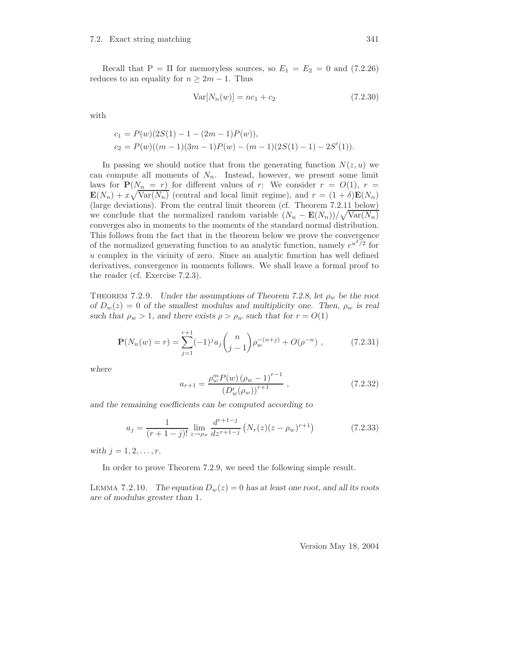Recall that  $P = \Pi$  for memoryless sources, so  $E_1 = E_2 = 0$  and  $(7.2.26)$ reduces to an equality for  $n \geq 2m - 1$ . Thus

$$
Var[N_n(w)] = nc_1 + c_2 \tag{7.2.30}
$$

with

$$
c_1 = P(w)(2S(1) - 1 - (2m - 1)P(w)),
$$
  
\n
$$
c_2 = P(w)((m - 1)(3m - 1)P(w) - (m - 1)(2S(1) - 1) - 2S'(1)).
$$

In passing we should notice that from the generating function  $N(z, u)$  we can compute all moments of  $N_n$ . Instead, however, we present some limit laws for  $P(N_n = r)$  for different values of r: We consider  $r = O(1)$ ,  $r =$  $\mathbf{E}(N_n) + x\sqrt{\text{Var}(N_n)}$  (central and local limit regime), and  $r = (1 + \delta)\mathbf{E}(N_n)$ (large deviations). From the central limit theorem (cf. Theorem 7.2.11 below) we conclude that the normalized random variable  $(N_n - \mathbf{E}(N_n))/\sqrt{\text{Var}(N_n)}$ converges also in moments to the moments of the standard normal distribution. This follows from the fact that in the theorem below we prove the convergence of the normalized generating function to an analytic function, namely  $e^{u^2/2}$  for u complex in the vicinity of zero. Since an analytic function has well defined derivatives, convergence in moments follows. We shall leave a formal proof to the reader (cf. Exercise 7.2.3).

THEOREM 7.2.9. Under the assumptions of Theorem 7.2.8, let  $\rho_w$  be the root of  $D_w(z) = 0$  of the smallest modulus and multiplicity one. Then,  $\rho_w$  is real such that  $\rho_w > 1$ , and there exists  $\rho > \rho_w$  such that for  $r = O(1)$ 

$$
\mathbf{P}(N_n(w) = r) = \sum_{j=1}^{r+1} (-1)^j a_j {n \choose j-1} \rho_w^{-(n+j)} + O(\rho^{-n}), \qquad (7.2.31)
$$

where

$$
a_{r+1} = \frac{\rho_w^m P(w) \left(\rho_w - 1\right)^{r-1}}{\left(D_w'(\rho_w)\right)^{r+1}},
$$
\n(7.2.32)

and the remaining coefficients can be computed according to

$$
a_j = \frac{1}{(r+1-j)!} \lim_{z \to \rho_w} \frac{d^{r+1-j}}{dz^{r+1-j}} \left( N_r(z)(z - \rho_w)^{r+1} \right) \tag{7.2.33}
$$

with  $j = 1, 2, \ldots, r$ .

In order to prove Theorem 7.2.9, we need the following simple result.

LEMMA 7.2.10. The equation  $D_w(z) = 0$  has at least one root, and all its roots are of modulus greater than 1.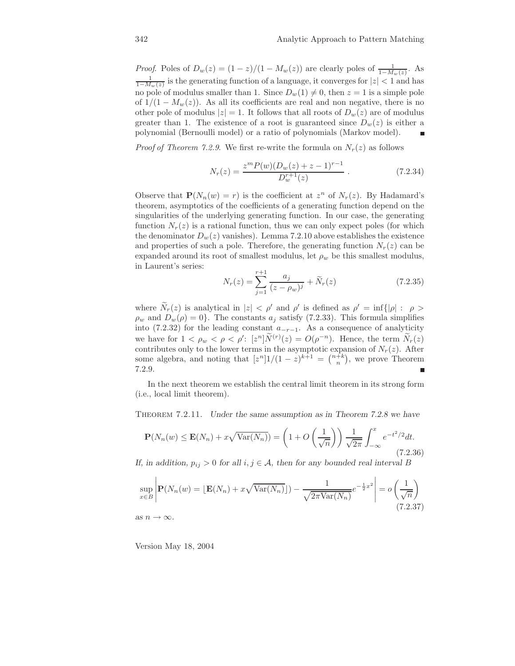*Proof.* Poles of  $D_w(z) = (1 - z)/(1 - M_w(z))$  are clearly poles of  $\frac{1}{1 - M_w(z)}$ . As  $\frac{1}{1-M_w(z)}$  is the generating function of a language, it converges for  $|z| < 1$  and has no pole of modulus smaller than 1. Since  $D_w(1) \neq 0$ , then  $z = 1$  is a simple pole of  $1/(1 - M_w(z))$ . As all its coefficients are real and non negative, there is no other pole of modulus  $|z| = 1$ . It follows that all roots of  $D_w(z)$  are of modulus greater than 1. The existence of a root is guaranteed since  $D_w(z)$  is either a polynomial (Bernoulli model) or a ratio of polynomials (Markov model).

*Proof of Theorem 7.2.9.* We first re-write the formula on  $N_r(z)$  as follows

$$
N_r(z) = \frac{z^m P(w)(D_w(z) + z - 1)^{r-1}}{D_w^{r+1}(z)}.
$$
\n(7.2.34)

Observe that  $\mathbf{P}(N_n(w) = r)$  is the coefficient at  $z^n$  of  $N_r(z)$ . By Hadamard's theorem, asymptotics of the coefficients of a generating function depend on the singularities of the underlying generating function. In our case, the generating function  $N_r(z)$  is a rational function, thus we can only expect poles (for which the denominator  $D_w(z)$  vanishes). Lemma 7.2.10 above establishes the existence and properties of such a pole. Therefore, the generating function  $N_r(z)$  can be expanded around its root of smallest modulus, let  $\rho_w$  be this smallest modulus, in Laurent's series:

$$
N_r(z) = \sum_{j=1}^{r+1} \frac{a_j}{(z - \rho_w)^j} + \widetilde{N}_r(z)
$$
 (7.2.35)

where  $N_r(z)$  is analytical in  $|z| < \rho'$  and  $\rho'$  is defined as  $\rho' = \inf\{|\rho| : \rho > \rho'\}$  $\rho_w$  and  $D_w(\rho) = 0$ . The constants  $a_j$  satisfy (7.2.33). This formula simplifies into (7.2.32) for the leading constant  $a_{-r-1}$ . As a consequence of analyticity we have for  $1 < \rho_w < \rho < \rho'$ :  $[z^n]\tilde{N}^{(r)}(z) = O(\rho^{-n})$ . Hence, the term  $\tilde{N}_r(z)$ contributes only to the lower terms in the asymptotic expansion of  $N_r(z)$ . After some algebra, and noting that  $[z^n]1/(1-z)^{k+1} = \binom{n+k}{n}$ , we prove Theorem 7.2.9.

In the next theorem we establish the central limit theorem in its strong form (i.e., local limit theorem).

Theorem 7.2.11. Under the same assumption as in Theorem 7.2.8 we have

$$
\mathbf{P}(N_n(w) \le \mathbf{E}(N_n) + x\sqrt{\text{Var}(N_n)}) = \left(1 + O\left(\frac{1}{\sqrt{n}}\right)\right) \frac{1}{\sqrt{2\pi}} \int_{-\infty}^x e^{-t^2/2} dt.
$$
\n(7.2.36)

If, in addition,  $p_{ij} > 0$  for all  $i, j \in A$ , then for any bounded real interval B

$$
\sup_{x \in B} \left| \mathbf{P}(N_n(w) = \lfloor \mathbf{E}(N_n) + x\sqrt{\text{Var}(N_n)} \rfloor) - \frac{1}{\sqrt{2\pi \text{Var}(N_n)}} e^{-\frac{1}{2}x^2} \right| = o\left(\frac{1}{\sqrt{n}}\right)
$$
\n(7.2.37)

as  $n \to \infty$ .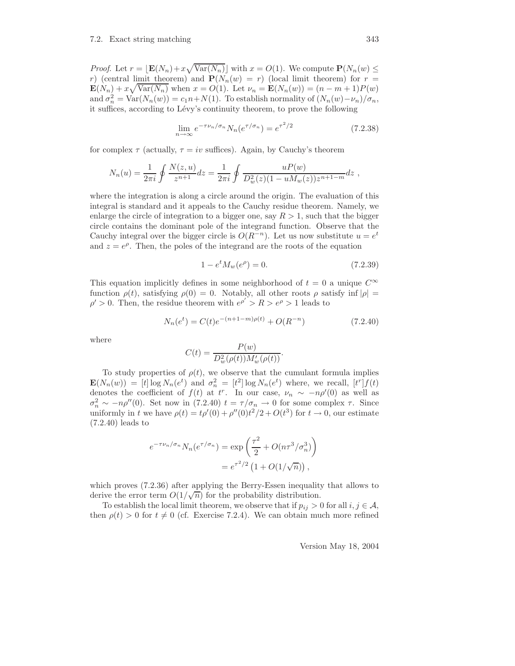*Proof.* Let  $r = \lfloor \mathbf{E}(N_n) + x\sqrt{\text{Var}(N_n)} \rfloor$  with  $x = O(1)$ . We compute  $\mathbf{P}(N_n(w) \leq$ r) (central limit theorem) and  $\mathbf{P}(N_n(w) = r)$  (local limit theorem) for  $r =$  $\mathbf{E}(N_n) + x\sqrt{\text{Var}(N_n)}$  when  $x = O(1)$ . Let  $\nu_n = \mathbf{E}(N_n(w)) = (n - m + 1)P(w)$ and  $\sigma_n^2 = \text{Var}(N_n(w)) = c_1 n + N(1)$ . To establish normality of  $(N_n(w) - \nu_n)/\sigma_n$ , it suffices, according to Lévy's continuity theorem, to prove the following

$$
\lim_{n \to \infty} e^{-\tau \nu_n/\sigma_n} N_n(e^{\tau/\sigma_n}) = e^{\tau^2/2}
$$
\n(7.2.38)

for complex  $\tau$  (actually,  $\tau = iv$  suffices). Again, by Cauchy's theorem

$$
N_n(u) = \frac{1}{2\pi i} \oint \frac{N(z, u)}{z^{n+1}} dz = \frac{1}{2\pi i} \oint \frac{uP(w)}{D_w^2(z)(1 - uM_w(z))z^{n+1-m}} dz ,
$$

where the integration is along a circle around the origin. The evaluation of this integral is standard and it appeals to the Cauchy residue theorem. Namely, we enlarge the circle of integration to a bigger one, say  $R > 1$ , such that the bigger circle contains the dominant pole of the integrand function. Observe that the Cauchy integral over the bigger circle is  $O(R^{-n})$ . Let us now substitute  $u = e^t$ and  $z = e^{\rho}$ . Then, the poles of the integrand are the roots of the equation

$$
1 - e^t M_w(e^\rho) = 0. \tag{7.2.39}
$$

This equation implicitly defines in some neighborhood of  $t = 0$  a unique  $C^{\infty}$ function  $\rho(t)$ , satisfying  $\rho(0) = 0$ . Notably, all other roots  $\rho$  satisfy inf  $|\rho| =$  $\rho' > 0$ . Then, the residue theorem with  $e^{\rho'} > R > e^{\rho} > 1$  leads to

$$
N_n(e^t) = C(t)e^{-(n+1-m)\rho(t)} + O(R^{-n})
$$
\n(7.2.40)

where

$$
C(t) = \frac{P(w)}{D_w^2(\rho(t))M_w'(\rho(t))}.
$$

To study properties of  $\rho(t)$ , we observe that the cumulant formula implies  $\mathbf{E}(N_n(w)) = [t] \log N_n(e^t)$  and  $\sigma_n^2 = [t^2] \log N_n(e^t)$  where, we recall,  $[t^r]f(t)$ denotes the coefficient of  $f(t)$  at  $t^r$ . In our case,  $\nu_n \sim -n\rho'(0)$  as well as  $\sigma_n^2 \sim -n\rho''(0)$ . Set now in  $(7.2.40)$   $t = \tau/\sigma_n \to 0$  for some complex  $\tau$ . Since uniformly in t we have  $\rho(t) = t\rho'(0) + \rho''(0)t^2/2 + O(t^3)$  for  $t \to 0$ , our estimate (7.2.40) leads to

$$
e^{-\tau \nu_n/\sigma_n} N_n(e^{\tau/\sigma_n}) = \exp\left(\frac{\tau^2}{2} + O(n\tau^3/\sigma_n^3)\right)
$$

$$
= e^{\tau^2/2} \left(1 + O(1/\sqrt{n})\right),
$$

which proves (7.2.36) after applying the Berry-Essen inequality that allows to derive the error term  $O(1/\sqrt{n})$  for the probability distribution.

To establish the local limit theorem, we observe that if  $p_{ij} > 0$  for all  $i, j \in \mathcal{A}$ , then  $\rho(t) > 0$  for  $t \neq 0$  (cf. Exercise 7.2.4). We can obtain much more refined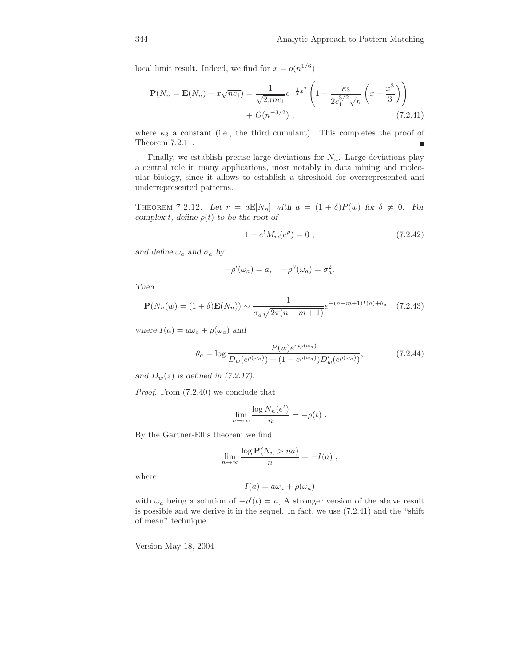local limit result. Indeed, we find for  $x = o(n^{1/6})$ 

$$
\mathbf{P}(N_n = \mathbf{E}(N_n) + x\sqrt{nc_1}) = \frac{1}{\sqrt{2\pi nc_1}} e^{-\frac{1}{2}x^2} \left(1 - \frac{\kappa_3}{2c_1^{3/2}\sqrt{n}} \left(x - \frac{x^3}{3}\right)\right) + O(n^{-3/2}), \qquad (7.2.41)
$$

where  $\kappa_3$  a constant (i.e., the third cumulant). This completes the proof of Theorem 7.2.11. Г

Finally, we establish precise large deviations for  $N_n$ . Large deviations play a central role in many applications, most notably in data mining and molecular biology, since it allows to establish a threshold for overrepresented and underrepresented patterns.

THEOREM 7.2.12. Let  $r = aE[N_n]$  with  $a = (1 + \delta)P(w)$  for  $\delta \neq 0$ . For complex t, define  $\rho(t)$  to be the root of

$$
1 - e^t M_w(e^\rho) = 0 , \qquad (7.2.42)
$$

and define  $\omega_a$  and  $\sigma_a$  by

$$
-\rho'(\omega_a) = a, \quad -\rho''(\omega_a) = \sigma_a^2.
$$

Then

$$
\mathbf{P}(N_n(w) = (1+\delta)\mathbf{E}(N_n)) \sim \frac{1}{\sigma_a \sqrt{2\pi(n-m+1)}} e^{-(n-m+1)I(a) + \theta_a} \quad (7.2.43)
$$

where  $I(a) = a\omega_a + \rho(\omega_a)$  and

$$
\theta_a = \log \frac{P(w)e^{m\rho(\omega_a)}}{D_w(e^{\rho(\omega_a)}) + (1 - e^{\rho(\omega_a)})D'_w(e^{\rho(\omega_a)})},
$$
(7.2.44)

and  $D_w(z)$  is defined in (7.2.17).

Proof. From  $(7.2.40)$  we conclude that

$$
\lim_{n \to \infty} \frac{\log N_n(e^t)}{n} = -\rho(t) .
$$

By the Gärtner-Ellis theorem we find

$$
\lim_{n \to \infty} \frac{\log \mathbf{P}(N_n > na)}{n} = -I(a) ,
$$

where

$$
I(a) = a\omega_a + \rho(\omega_a)
$$

with  $\omega_a$  being a solution of  $-\rho'(t) = a$ , A stronger version of the above result is possible and we derive it in the sequel. In fact, we use (7.2.41) and the "shift of mean" technique.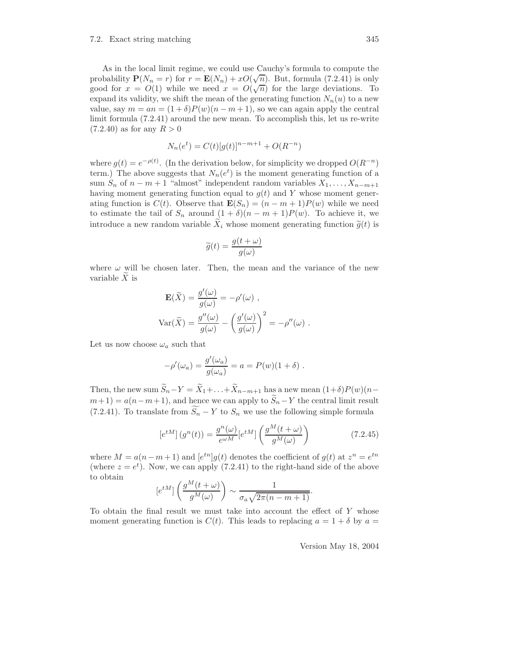## 7.2. Exact string matching 345

As in the local limit regime, we could use Cauchy's formula to compute the probability  $\mathbf{P}(N_n = r)$  for  $r = \mathbf{E}(N_n) + xO(\sqrt{n})$ . But, formula (7.2.41) is only good for  $x = O(1)$  while we need  $x = O(\sqrt{n})$  for the large deviations. To expand its validity, we shift the mean of the generating function  $N_n(u)$  to a new value, say  $m = an = (1 + \delta)P(w)(n - m + 1)$ , so we can again apply the central limit formula (7.2.41) around the new mean. To accomplish this, let us re-write  $(7.2.40)$  as for any  $R > 0$ 

$$
N_n(e^t) = C(t)[g(t)]^{n-m+1} + O(R^{-n})
$$

where  $g(t) = e^{-\rho(t)}$ . (In the derivation below, for simplicity we dropped  $O(R^{-n})$ term.) The above suggests that  $N_n(e^t)$  is the moment generating function of a sum  $S_n$  of  $n - m + 1$  "almost" independent random variables  $X_1, \ldots, X_{n-m+1}$ having moment generating function equal to  $g(t)$  and Y whose moment generating function is  $C(t)$ . Observe that  $\mathbf{E}(S_n) = (n - m + 1)P(w)$  while we need to estimate the tail of  $S_n$  around  $(1 + \delta)(n - m + 1)P(w)$ . To achieve it, we introduce a new random variable  $\tilde{X}_i$  whose moment generating function  $\tilde{g}(t)$  is

$$
\widetilde{g}(t) = \frac{g(t + \omega)}{g(\omega)}
$$

where  $\omega$  will be chosen later. Then, the mean and the variance of the new variable  $\overline{X}$  is

$$
\mathbf{E}(\widetilde{X}) = \frac{g'(\omega)}{g(\omega)} = -\rho'(\omega) ,
$$
  
 
$$
Var(\widetilde{X}) = \frac{g''(\omega)}{g(\omega)} - \left(\frac{g'(\omega)}{g(\omega)}\right)^2 = -\rho''(\omega) .
$$

Let us now choose  $\omega_a$  such that

$$
-\rho'(\omega_a) = \frac{g'(\omega_a)}{g(\omega_a)} = a = P(w)(1 + \delta) .
$$

Then, the new sum  $\widetilde{S}_n-Y = \widetilde{X}_1+\ldots+\widetilde{X}_{n-m+1}$  has a new mean  $(1+\delta)P(w)(n-\delta)$  $m+1 = a(n-m+1)$ , and hence we can apply to  $\widetilde{S}_n - Y$  the central limit result (7.2.41). To translate from  $\widetilde{S_n} - Y$  to  $S_n$  we use the following simple formula

$$
\left[e^{tM}\right](g^n(t)) = \frac{g^n(\omega)}{e^{\omega M}} \left[e^{tM}\right] \left(\frac{g^M(t+\omega)}{g^M(\omega)}\right) \tag{7.2.45}
$$

where  $M = a(n-m+1)$  and  $[e^{tn}]g(t)$  denotes the coefficient of  $g(t)$  at  $z^n = e^{tn}$ (where  $z = e^t$ ). Now, we can apply (7.2.41) to the right-hand side of the above to obtain

$$
[e^{tM}]\left(\frac{g^M(t+\omega)}{g^M(\omega)}\right) \sim \frac{1}{\sigma_a\sqrt{2\pi(n-m+1)}}.
$$

To obtain the final result we must take into account the effect of Y whose moment generating function is  $C(t)$ . This leads to replacing  $a = 1 + \delta$  by  $a =$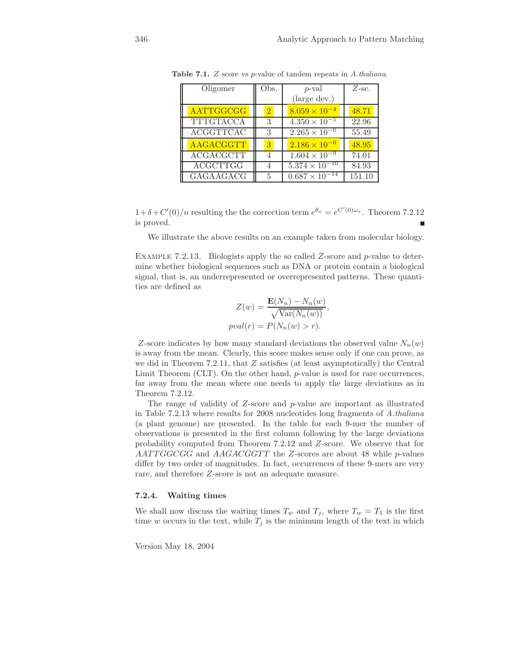| Oligomer         | Obs.          | $p$ -val                | $Z$ -sc. |
|------------------|---------------|-------------------------|----------|
|                  |               | (large dev.)            |          |
| <b>AATTGGCGG</b> | $\Omega$      | $8.059 \times 10^{-4}$  | 48.71    |
| <b>TTTGTACCA</b> | $\mathcal{R}$ | $4.350 \times 10^{-5}$  | 22.96    |
| <b>ACGGTTCAC</b> | 3             | $2.265 \times 10^{-6}$  | 55.49    |
| AAGACGGTT        | 3             | $2.186 \times 10^{-6}$  | 48.95    |
| <b>ACGACGCTT</b> |               | $1.604 \times 10^{-9}$  | 74.01    |
| <b>ACGCTTGG</b>  |               | $5.374 \times 10^{-10}$ | 84.93    |
| <b>GAGAAGACG</b> | 5             | $0.687 \times 10^{-14}$ | 151.10   |

Table 7.1. Z score vs p-value of tandem repeats in A.thaliana.

 $1+\delta+C'(0)/n$  resulting the the correction term  $e^{\theta_a}=e^{C'(0)\omega_a}$ . Theorem 7.2.12 is proved.

We illustrate the above results on an example taken from molecular biology.

EXAMPLE 7.2.13. Biologists apply the so called Z-score and  $p$ -value to determine whether biological sequences such as DNA or protein contain a biological signal, that is, an underrepresented or overrepresented patterns. These quantities are defined as

$$
Z(w) = \frac{\mathbf{E}(N_n) - N_n(w)}{\sqrt{\text{Var}(N_n(w))}},
$$
  
 
$$
pval(r) = P(N_n(w) > r).
$$

Z-score indicates by how many standard deviations the observed value  $N_n(w)$ is away from the mean. Clearly, this score makes sense only if one can prove, as we did in Theorem 7.2.11, that Z satisfies (at least asymptotically) the Central Limit Theorem  $(CLT)$ . On the other hand,  $p$ -value is used for rare occurrences, far away from the mean where one needs to apply the large deviations as in Theorem 7.2.12.

The range of validity of Z-score and p-value are important as illustrated in Table 7.2.13 where results for 2008 nucleotides long fragments of A.thaliana (a plant genome) are presented. In the table for each 9-mer the number of observations is presented in the first column following by the large deviations probability computed from Theorem 7.2.12 and Z-score. We observe that for AATTGGCGG and AAGACGGTT the Z-scores are about 48 while p-values differ by two order of magnitudes. In fact, occurrences of these 9-mers are very rare, and therefore Z-score is not an adequate measure.

# 7.2.4. Waiting times

We shall now discuss the waiting times  $T_w$  and  $T_j$ , where  $T_w = T_1$  is the first time w occurs in the text, while  $T_i$  is the minimum length of the text in which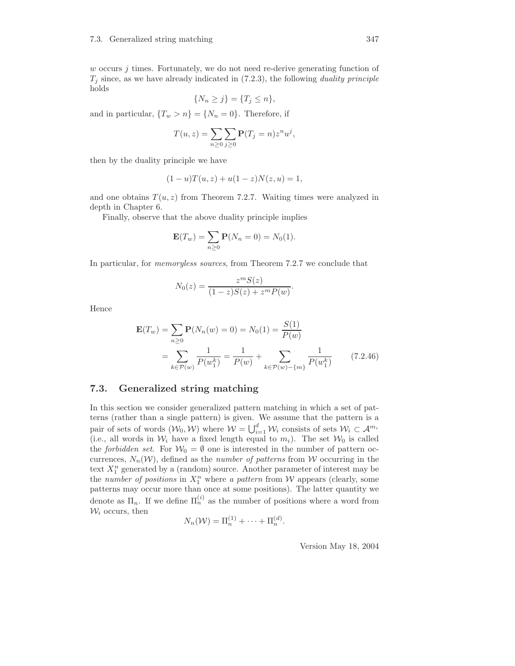$w$  occurs  $j$  times. Fortunately, we do not need re-derive generating function of  $T_j$  since, as we have already indicated in  $(7.2.3)$ , the following *duality principle* holds

$$
\{N_n \ge j\} = \{T_j \le n\},\
$$

and in particular,  ${T_w > n} = {N_n = 0}$ . Therefore, if

$$
T(u, z) = \sum_{n \ge 0} \sum_{j \ge 0} \mathbf{P}(T_j = n) z^n u^j,
$$

then by the duality principle we have

$$
(1 - u)T(u, z) + u(1 - z)N(z, u) = 1,
$$

and one obtains  $T(u, z)$  from Theorem 7.2.7. Waiting times were analyzed in depth in Chapter 6.

Finally, observe that the above duality principle implies

$$
\mathbf{E}(T_w) = \sum_{n \ge 0} \mathbf{P}(N_n = 0) = N_0(1).
$$

In particular, for *memoryless sources*, from Theorem 7.2.7 we conclude that

$$
N_0(z) = \frac{z^m S(z)}{(1-z)S(z) + z^m P(w)}.
$$

Hence

$$
\mathbf{E}(T_w) = \sum_{n\geq 0} \mathbf{P}(N_n(w) = 0) = N_0(1) = \frac{S(1)}{P(w)}
$$

$$
= \sum_{k \in P(w)} \frac{1}{P(w_1^k)} = \frac{1}{P(w)} + \sum_{k \in P(w) - \{m\}} \frac{1}{P(w_1^k)} \tag{7.2.46}
$$

# 7.3. Generalized string matching

In this section we consider generalized pattern matching in which a set of patterns (rather than a single pattern) is given. We assume that the pattern is a pair of sets of words  $(\mathcal{W}_0, \mathcal{W})$  where  $\mathcal{W} = \bigcup_{i=1}^d \mathcal{W}_i$  consists of sets  $\mathcal{W}_i \subset \mathcal{A}^{m_i}$ (i.e., all words in  $\mathcal{W}_i$  have a fixed length equal to  $m_i$ ). The set  $\mathcal{W}_0$  is called the forbidden set. For  $W_0 = \emptyset$  one is interested in the number of pattern occurrences,  $N_n(W)$ , defined as the *number of patterns* from W occurring in the text  $X_1^n$  generated by a (random) source. Another parameter of interest may be the *number of positions* in  $X_1^n$  where a pattern from W appears (clearly, some patterns may occur more than once at some positions). The latter quantity we denote as  $\Pi_n$ . If we define  $\Pi_n^{(i)}$  as the number of positions where a word from  $\mathcal{W}_i$  occurs, then

$$
N_n(W) = \Pi_n^{(1)} + \cdots + \Pi_n^{(d)}
$$
.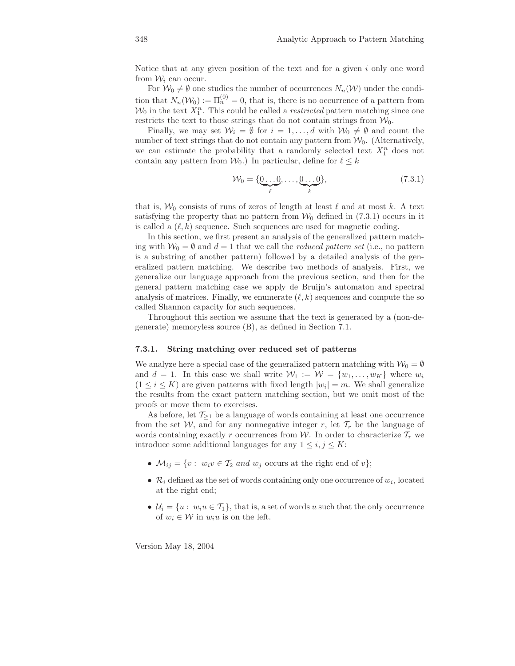Notice that at any given position of the text and for a given  $i$  only one word from  $W_i$  can occur.

For  $W_0 \neq \emptyset$  one studies the number of occurrences  $N_n(W)$  under the condition that  $N_n(\mathcal{W}_0) := \Pi_n^{(0)} = 0$ , that is, there is no occurrence of a pattern from  $\mathcal{W}_0$  in the text  $X_1^n$ . This could be called a *restricted* pattern matching since one restricts the text to those strings that do not contain strings from  $W_0$ .

Finally, we may set  $\mathcal{W}_i = \emptyset$  for  $i = 1, \ldots, d$  with  $\mathcal{W}_0 \neq \emptyset$  and count the number of text strings that do not contain any pattern from  $\mathcal{W}_0$ . (Alternatively, we can estimate the probability that a randomly selected text  $X_1^n$  does not contain any pattern from  $\mathcal{W}_0$ .) In particular, define for  $\ell \leq k$ 

$$
\mathcal{W}_0 = \{ \underbrace{0 \dots 0}_{\ell}, \dots, \underbrace{0 \dots 0}_{k} \},\tag{7.3.1}
$$

that is,  $W_0$  consists of runs of zeros of length at least  $\ell$  and at most k. A text satisfying the property that no pattern from  $\mathcal{W}_0$  defined in (7.3.1) occurs in it is called a  $(\ell, k)$  sequence. Such sequences are used for magnetic coding.

In this section, we first present an analysis of the generalized pattern matching with  $\mathcal{W}_0 = \emptyset$  and  $d = 1$  that we call the *reduced pattern set* (i.e., no pattern is a substring of another pattern) followed by a detailed analysis of the generalized pattern matching. We describe two methods of analysis. First, we generalize our language approach from the previous section, and then for the general pattern matching case we apply de Bruijn's automaton and spectral analysis of matrices. Finally, we enumerate  $(\ell, k)$  sequences and compute the so called Shannon capacity for such sequences.

Throughout this section we assume that the text is generated by a (non-degenerate) memoryless source (B), as defined in Section 7.1.

# 7.3.1. String matching over reduced set of patterns

We analyze here a special case of the generalized pattern matching with  $\mathcal{W}_0 = \emptyset$ and  $d = 1$ . In this case we shall write  $W_1 := W = \{w_1, \ldots, w_K\}$  where  $w_i$  $(1 \leq i \leq K)$  are given patterns with fixed length  $|w_i| = m$ . We shall generalize the results from the exact pattern matching section, but we omit most of the proofs or move them to exercises.

As before, let  $\mathcal{T}_{\geq 1}$  be a language of words containing at least one occurrence from the set  $W$ , and for any nonnegative integer r, let  $\mathcal{T}_r$  be the language of words containing exactly r occurrences from W. In order to characterize  $\mathcal{T}_r$  we introduce some additional languages for any  $1 \leq i, j \leq K$ :

- $M_{ij} = \{v : w_i v \in T_2 \text{ and } w_j \text{ occurs at the right end of } v\};$
- $\mathcal{R}_i$  defined as the set of words containing only one occurrence of  $w_i$ , located at the right end;
- $\mathcal{U}_i = \{u : w_i u \in \mathcal{T}_1\}$ , that is, a set of words u such that the only occurrence of  $w_i \in \mathcal{W}$  in  $w_i u$  is on the left.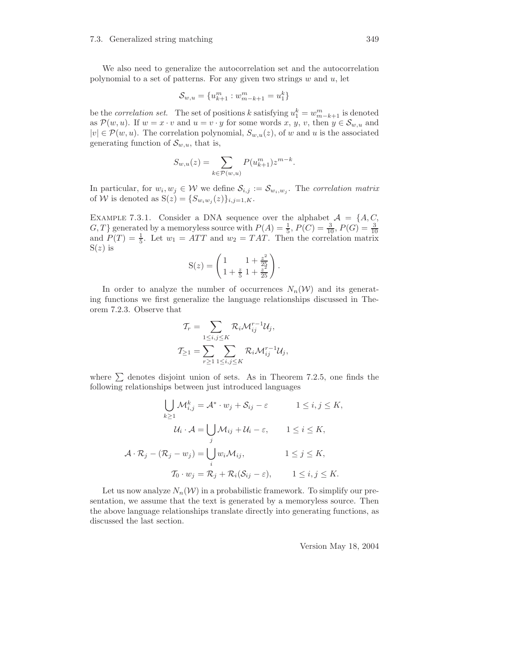#### 7.3. Generalized string matching 349

We also need to generalize the autocorrelation set and the autocorrelation polynomial to a set of patterns. For any given two strings  $w$  and  $u$ , let

$$
\mathcal{S}_{w,u} = \{u_{k+1}^m : w_{m-k+1}^m = u_1^k\}
$$

be the *correlation set*. The set of positions k satisfying  $u_1^k = w_{m-k+1}^m$  is denoted as  $\mathcal{P}(w, u)$ . If  $w = x \cdot v$  and  $u = v \cdot y$  for some words x, y, v, then  $y \in \mathcal{S}_{w,u}$  and  $|v| \in \mathcal{P}(w, u)$ . The correlation polynomial,  $S_{w,u}(z)$ , of w and u is the associated generating function of  $\mathcal{S}_{w,u}$ , that is,

$$
S_{w,u}(z) = \sum_{k \in \mathcal{P}(w,u)} P(u_{k+1}^m) z^{m-k}.
$$

In particular, for  $w_i, w_j \in \mathcal{W}$  we define  $\mathcal{S}_{i,j} := \mathcal{S}_{w_i,w_j}$ . The correlation matrix of W is denoted as  $S(z) = \{S_{w_i w_j}(z)\}_{i,j=1,K}$ .

EXAMPLE 7.3.1. Consider a DNA sequence over the alphabet  $\mathcal{A} = \{A, C, \}$ G, T} generated by a memoryless source with  $P(A) = \frac{1}{5}$ ,  $P(C) = \frac{3}{10}$ ,  $P(G) = \frac{3}{10}$  and  $P(T) = \frac{1}{5}$ . Let  $w_1 = ATT$  and  $w_2 = TAT$ . Then the correlation matrix  $S(z)$  is

$$
S(z) = \begin{pmatrix} 1 & 1 + \frac{z^2}{25} \\ 1 + \frac{z}{5} & 1 + \frac{z^2}{25} \end{pmatrix}.
$$

In order to analyze the number of occurrences  $N_n(\mathcal{W})$  and its generating functions we first generalize the language relationships discussed in Theorem 7.2.3. Observe that

$$
\mathcal{T}_r = \sum_{1 \leq i,j \leq K} \mathcal{R}_i \mathcal{M}_{ij}^{r-1} \mathcal{U}_j,
$$
  

$$
\mathcal{T}_{\geq 1} = \sum_{r \geq 1} \sum_{1 \leq i,j \leq K} \mathcal{R}_i \mathcal{M}_{ij}^{r-1} \mathcal{U}_j,
$$

where  $\sum$  denotes disjoint union of sets. As in Theorem 7.2.5, one finds the following relationships between just introduced languages

$$
\bigcup_{k\geq 1} \mathcal{M}_{i,j}^k = \mathcal{A}^* \cdot w_j + \mathcal{S}_{ij} - \varepsilon \qquad 1 \leq i, j \leq K,
$$
  

$$
\mathcal{U}_i \cdot \mathcal{A} = \bigcup_j \mathcal{M}_{ij} + \mathcal{U}_i - \varepsilon, \qquad 1 \leq i \leq K,
$$
  

$$
\mathcal{A} \cdot \mathcal{R}_j - (\mathcal{R}_j - w_j) = \bigcup_i w_i \mathcal{M}_{ij}, \qquad 1 \leq j \leq K,
$$
  

$$
\mathcal{T}_0 \cdot w_j = \mathcal{R}_j + \mathcal{R}_i(\mathcal{S}_{ij} - \varepsilon), \qquad 1 \leq i, j \leq K.
$$

Let us now analyze  $N_n(\mathcal{W})$  in a probabilistic framework. To simplify our presentation, we assume that the text is generated by a memoryless source. Then the above language relationships translate directly into generating functions, as discussed the last section.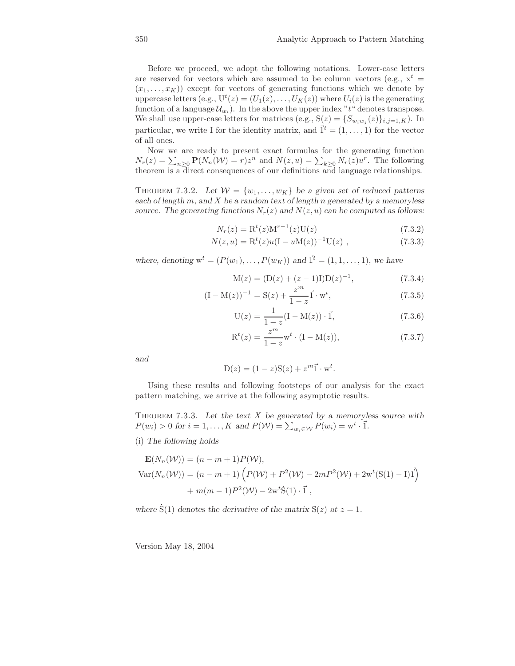Before we proceed, we adopt the following notations. Lower-case letters are reserved for vectors which are assumed to be column vectors (e.g.,  $x^t$  =  $(x_1, \ldots, x_K)$  except for vectors of generating functions which we denote by uppercase letters (e.g.,  $U^t(z) = (U_1(z), \ldots, U_K(z))$  where  $U_i(z)$  is the generating function of a language  $\mathcal{U}_{w_i}$ ). In the above the upper index "t" denotes transpose. We shall use upper-case letters for matrices (e.g.,  $S(z) = \{S_{w_i w_j}(z)\}_{i,j=1,K}$ ). In particular, we write I for the identity matrix, and  $\vec{I}^t = (1, \ldots, 1)$  for the vector of all ones.

Now we are ready to present exact formulas for the generating function  $N_r(z) = \sum_{n \geq 0} \mathbf{P}(N_n(\mathcal{W}) = r) z^n$  and  $N(z, u) = \sum_{k \geq 0} N_r(z) u^r$ . The following theorem is a direct consequences of our definitions and language relationships.

THEOREM 7.3.2. Let  $W = \{w_1, \ldots, w_K\}$  be a given set of reduced patterns each of length  $m$ , and  $X$  be a random text of length  $n$  generated by a memoryless source. The generating functions  $N_r(z)$  and  $N(z, u)$  can be computed as follows:

$$
N_r(z) = \mathcal{R}^t(z)\mathcal{M}^{r-1}(z)\mathcal{U}(z)
$$
\n(7.3.2)

$$
N(z, u) = \mathcal{R}^{t}(z)u(\mathcal{I} - u\mathcal{M}(z))^{-1}\mathcal{U}(z) , \qquad (7.3.3)
$$

where, denoting  $w^t = (P(w_1), \ldots, P(w_K))$  and  $\vec{1}^t = (1, 1, \ldots, 1)$ , we have

$$
M(z) = (D(z) + (z - 1)I)D(z)^{-1},
$$
\n(7.3.4)

$$
(I - M(z))^{-1} = S(z) + \frac{z^m}{1 - z} \vec{1} \cdot w^t,
$$
\n(7.3.5)

$$
U(z) = \frac{1}{1 - z}(I - M(z)) \cdot \vec{1},
$$
\n(7.3.6)

$$
R^{t}(z) = \frac{z^{m}}{1 - z} w^{t} \cdot (I - M(z)),
$$
\n(7.3.7)

and

$$
D(z) = (1 - z)S(z) + z^m \vec{1} \cdot w^t.
$$

Using these results and following footsteps of our analysis for the exact pattern matching, we arrive at the following asymptotic results.

THEOREM 7.3.3. Let the text  $X$  be generated by a memoryless source with  $P(w_i) > 0$  for  $i = 1, ..., K$  and  $P(W) = \sum_{w_i \in W} P(w_i) = w^t \cdot \vec{1}.$ 

(i) The following holds

$$
\mathbf{E}(N_n(\mathcal{W})) = (n - m + 1)P(\mathcal{W}),
$$
  
\n
$$
\text{Var}(N_n(\mathcal{W})) = (n - m + 1) (P(\mathcal{W}) + P^2(\mathcal{W}) - 2mP^2(\mathcal{W}) + 2w^t(S(1) - I)\vec{1})
$$
  
\n
$$
+ m(m - 1)P^2(\mathcal{W}) - 2w^t\vec{S}(1) \cdot \vec{1},
$$

where  $\dot{S}(1)$  denotes the derivative of the matrix  $S(z)$  at  $z = 1$ .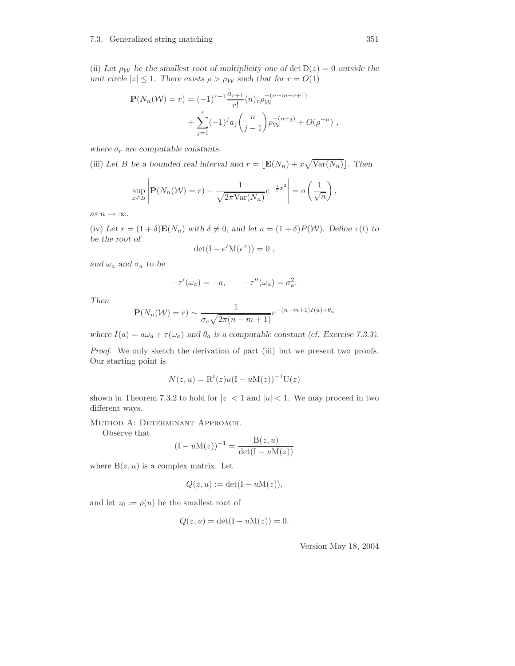(ii) Let  $\rho_W$  be the smallest root of multiplicity one of det  $D(z) = 0$  outside the unit circle  $|z| \leq 1$ . There exists  $\rho > \rho_{\mathcal{W}}$  such that for  $r = O(1)$ 

$$
\mathbf{P}(N_n(\mathcal{W}) = r) = (-1)^{r+1} \frac{a_{r+1}}{r!} (n)_r \rho_{\mathcal{W}}^{-(n-m+r+1)} + \sum_{j=1}^r (-1)^j a_j {n \choose j-1} \rho_{\mathcal{W}}^{-(n+j)} + O(\rho^{-n}),
$$

where  $a_r$  are computable constants.

(iii) Let B be a bounded real interval and  $r = \lfloor \mathbf{E}(N_n) + x\sqrt{\text{Var}(N_n)} \rfloor$ . Then

$$
\sup_{x \in B} \left| \mathbf{P}(N_n(\mathcal{W}) = r) - \frac{1}{\sqrt{2\pi \text{Var}(N_n)}} e^{-\frac{1}{2}x^2} \right| = o\left(\frac{1}{\sqrt{n}}\right),
$$

 $\overline{1}$ 

as  $n \to \infty$ .

(iv) Let  $r = (1 + \delta) \mathbf{E}(N_n)$  with  $\delta \neq 0$ , and let  $a = (1 + \delta)P(\mathcal{W})$ . Define  $\tau(t)$  to be the root of

$$
\det(\mathbf{I} - e^t \mathbf{M}(e^{\tau})) = 0 ,
$$

and  $\omega_a$  and  $\sigma_a$  to be

$$
-\tau'(\omega_a) = -a, \qquad -\tau''(\omega_a) = \sigma_a^2.
$$

Then

$$
\mathbf{P}(N_n(\mathcal{W}) = r) \sim \frac{1}{\sigma_a \sqrt{2\pi(n-m+1)}} e^{-(n-m+1)I(a) + \theta_a}
$$

where  $I(a) = a\omega_a + \tau(\omega_a)$  and  $\theta_a$  is a computable constant (cf. Exercise 7.3.3).

Proof. We only sketch the derivation of part (iii) but we present two proofs. Our starting point is

$$
N(z, u) = \mathcal{R}^{t}(z)u(1 - u \mathcal{M}(z))^{-1} \mathcal{U}(z)
$$

shown in Theorem 7.3.2 to hold for  $|z| < 1$  and  $|u| < 1$ . We may proceed in two different ways.

Method A: Determinant Approach.

Observe that

$$
(I - uM(z))^{-1} = \frac{B(z, u)}{\det(I - uM(z))}
$$

where  $B(z, u)$  is a complex matrix. Let

$$
Q(z, u) := \det(\mathbf{I} - u\mathbf{M}(z)),
$$

and let  $z_0 := \rho(u)$  be the smallest root of

$$
Q(z, u) = \det(\mathbf{I} - u\mathbf{M}(z)) = 0.
$$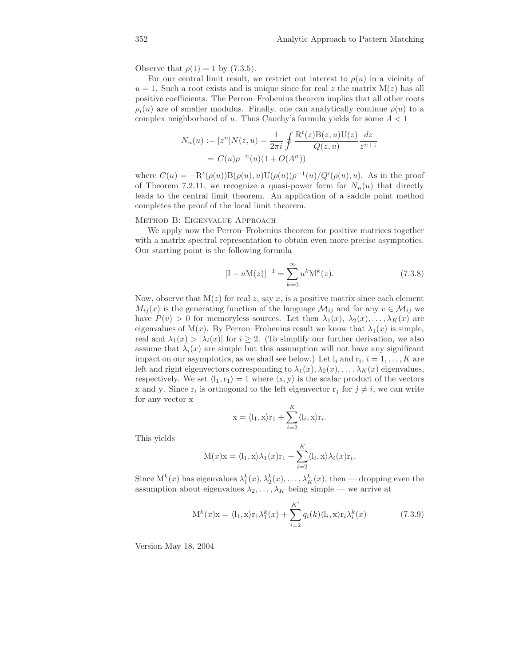Observe that  $\rho(1) = 1$  by (7.3.5).

For our central limit result, we restrict out interest to  $\rho(u)$  in a vicinity of  $u = 1$ . Such a root exists and is unique since for real z the matrix  $M(z)$  has all positive coefficients. The Perron–Frobenius theorem implies that all other roots  $\rho_i(u)$  are of smaller modulus. Finally, one can analytically continue  $\rho(u)$  to a complex neighborhood of u. Thus Cauchy's formula yields for some  $A < 1$ 

$$
N_n(u) := [z^n]N(z, u) = \frac{1}{2\pi i} \oint \frac{\mathcal{R}^t(z) \mathcal{B}(z, u) \mathcal{U}(z)}{Q(z, u)} \frac{dz}{z^{n+1}}
$$
  
=  $C(u)\rho^{-n}(u)(1 + O(A^n))$ 

where  $C(u) = -R^t(\rho(u))B(\rho(u), u)U(\rho(u))\rho^{-1}(u)/Q'(\rho(u), u)$ . As in the proof of Theorem 7.2.11, we recognize a quasi-power form for  $N_n(u)$  that directly leads to the central limit theorem. An application of a saddle point method completes the proof of the local limit theorem.

Method B: Eigenvalue Approach

We apply now the Perron–Frobenius theorem for positive matrices together with a matrix spectral representation to obtain even more precise asymptotics. Our starting point is the following formula

$$
[I - uM(z)]^{-1} = \sum_{k=0}^{\infty} u^k M^k(z).
$$
 (7.3.8)

Now, observe that  $M(z)$  for real z, say x, is a positive matrix since each element  $M_{ij}(x)$  is the generating function of the language  $\mathcal{M}_{ij}$  and for any  $v \in \mathcal{M}_{ij}$  we have  $P(v) > 0$  for memoryless sources. Let then  $\lambda_1(x)$ ,  $\lambda_2(x)$ , ...,  $\lambda_K(x)$  are eigenvalues of M(x). By Perron–Frobenius result we know that  $\lambda_1(x)$  is simple, real and  $\lambda_1(x) > |\lambda_i(x)|$  for  $i \geq 2$ . (To simplify our further derivation, we also assume that  $\lambda_i(x)$  are simple but this assumption will not have any significant impact on our asymptotics, as we shall see below.) Let  $l_i$  and  $r_i$ ,  $i = 1, ..., K$  are left and right eigenvectors corresponding to  $\lambda_1(x), \lambda_2(x), \ldots, \lambda_K(x)$  eigenvalues, respectively. We set  $\langle l_1, r_1 \rangle = 1$  where  $\langle x, y \rangle$  is the scalar product of the vectors x and y. Since  $r_i$  is orthogonal to the left eigenvector  $r_j$  for  $j \neq i$ , we can write for any vector x  $\overline{\nu}$ 

$$
x = \langle l_1, x \rangle r_1 + \sum_{i=2}^{K} \langle l_i, x \rangle r_i.
$$

This yields

$$
M(x)x = \langle l_1, x \rangle \lambda_1(x)r_1 + \sum_{i=2}^{K} \langle l_i, x \rangle \lambda_i(x)r_i.
$$

Since  $M^k(x)$  has eigenvalues  $\lambda_1^k(x), \lambda_2^k(x), \ldots, \lambda_K^k(x)$ , then — dropping even the assumption about eigenvalues  $\lambda_2, \ldots, \lambda_K$  being simple — we arrive at

$$
M^{k}(x)x = \langle 1_{1}, x \rangle r_{1} \lambda_{1}^{k}(x) + \sum_{i=2}^{K'} q_{i}(k)\langle 1_{i}, x \rangle r_{i} \lambda_{i}^{k}(x) \qquad (7.3.9)
$$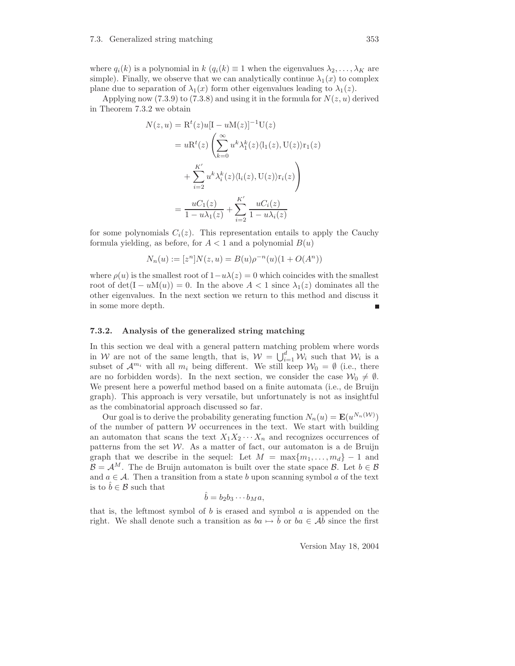## 7.3. Generalized string matching 353

where  $q_i(k)$  is a polynomial in  $k$   $(q_i(k) \equiv 1$  when the eigenvalues  $\lambda_2, \ldots, \lambda_K$  are simple). Finally, we observe that we can analytically continue  $\lambda_1(x)$  to complex plane due to separation of  $\lambda_1(x)$  form other eigenvalues leading to  $\lambda_1(z)$ .

Applying now  $(7.3.9)$  to  $(7.3.8)$  and using it in the formula for  $N(z, u)$  derived in Theorem 7.3.2 we obtain

$$
N(z, u) = \mathcal{R}^{t}(z)u[I - u\mathcal{M}(z)]^{-1}\mathcal{U}(z)
$$
  
\n
$$
= u\mathcal{R}^{t}(z)\left(\sum_{k=0}^{\infty} u^{k}\lambda_{1}^{k}(z)\langle l_{1}(z), \mathcal{U}(z)\rangle_{\mathcal{r}_{1}}(z)\right)
$$
  
\n
$$
+ \sum_{i=2}^{K'} u^{k}\lambda_{i}^{k}(z)\langle l_{i}(z), \mathcal{U}(z)\rangle_{\mathcal{r}_{i}}(z)
$$
  
\n
$$
= \frac{uC_{1}(z)}{1 - u\lambda_{1}(z)} + \sum_{i=2}^{K'} \frac{uC_{i}(z)}{1 - u\lambda_{i}(z)}
$$

for some polynomials  $C_i(z)$ . This representation entails to apply the Cauchy formula yielding, as before, for  $A < 1$  and a polynomial  $B(u)$ 

$$
N_n(u) := [z^n]N(z, u) = B(u)\rho^{-n}(u)(1 + O(A^n))
$$

where  $\rho(u)$  is the smallest root of  $1-u\lambda(z)=0$  which coincides with the smallest root of  $\det(I - uM(u)) = 0$ . In the above  $A < 1$  since  $\lambda_1(z)$  dominates all the other eigenvalues. In the next section we return to this method and discuss it in some more depth.

## 7.3.2. Analysis of the generalized string matching

In this section we deal with a general pattern matching problem where words in W are not of the same length, that is,  $W = \bigcup_{i=1}^{d} W_i$  such that  $W_i$  is a subset of  $\mathcal{A}^{m_i}$  with all  $m_i$  being different. We still keep  $\mathcal{W}_0 = \emptyset$  (i.e., there are no forbidden words). In the next section, we consider the case  $\mathcal{W}_0 \neq \emptyset$ . We present here a powerful method based on a finite automata (i.e., de Bruijn graph). This approach is very versatile, but unfortunately is not as insightful as the combinatorial approach discussed so far.

Our goal is to derive the probability generating function  $N_n(u) = \mathbf{E}(u^{N_n(W)})$ of the number of pattern  $W$  occurrences in the text. We start with building an automaton that scans the text  $X_1X_2\cdots X_n$  and recognizes occurrences of patterns from the set  $W$ . As a matter of fact, our automaton is a de Bruijn graph that we describe in the sequel: Let  $M = \max\{m_1, \ldots, m_d\} - 1$  and  $\mathcal{B} = \mathcal{A}^M$ . The de Bruijn automaton is built over the state space  $\mathcal{B}$ . Let  $b \in \mathcal{B}$ and  $a \in \mathcal{A}$ . Then a transition from a state b upon scanning symbol a of the text is to  $b \in \mathcal{B}$  such that

$$
\hat{b}=b_2b_3\cdots b_Ma,
$$

that is, the leftmost symbol of  $b$  is erased and symbol  $a$  is appended on the right. We shall denote such a transition as  $ba \mapsto \hat{b}$  or  $ba \in \hat{Ab}$  since the first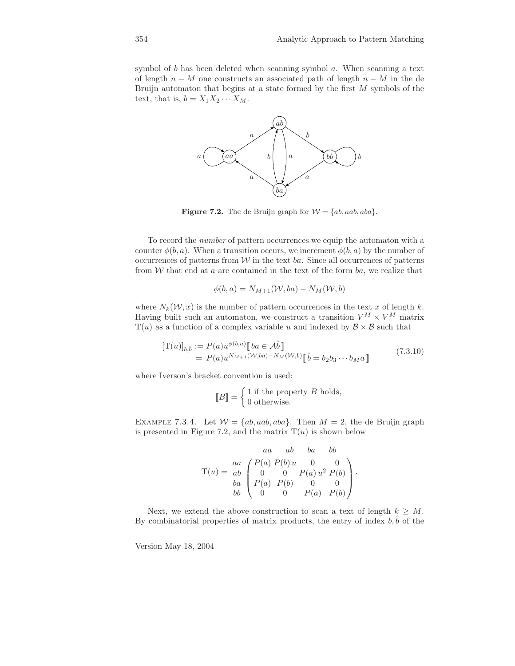symbol of b has been deleted when scanning symbol a. When scanning a text of length  $n - M$  one constructs an associated path of length  $n - M$  in the de Bruijn automaton that begins at a state formed by the first M symbols of the text, that is,  $b = X_1 X_2 \cdots X_M$ .



**Figure 7.2.** The de Bruijn graph for  $W = \{ab, aab, aba\}$ .

To record the number of pattern occurrences we equip the automaton with a counter  $\phi(b, a)$ . When a transition occurs, we increment  $\phi(b, a)$  by the number of occurrences of patterns from  $W$  in the text ba. Since all occurrences of patterns from  $W$  that end at a are contained in the text of the form ba, we realize that

$$
\phi(b, a) = N_{M+1}(\mathcal{W}, ba) - N_M(\mathcal{W}, b)
$$

where  $N_k(\mathcal{W}, x)$  is the number of pattern occurrences in the text x of length k. Having built such an automaton, we construct a transition  $V^M \times V^M$  matrix  $T(u)$  as a function of a complex variable u and indexed by  $\mathcal{B} \times \mathcal{B}$  such that

$$
[T(u)]_{b,\hat{b}} := P(a)u^{\phi(b,a)} \llbracket ba \in \hat{\mathcal{A}\hat{b}} \rrbracket
$$
  
=  $P(a)u^{N_{M+1}(\mathcal{W},ba) - N_M(\mathcal{W},b)} \llbracket \hat{b} = b_2b_3 \cdots b_Ma \rrbracket$  (7.3.10)

where Iverson's bracket convention is used:

$$
\llbracket B \rrbracket = \begin{cases} 1 \text{ if the property } B \text{ holds,} \\ 0 \text{ otherwise.} \end{cases}
$$

EXAMPLE 7.3.4. Let  $W = \{ab, aab, aba\}$ . Then  $M = 2$ , the de Bruijn graph is presented in Figure 7.2, and the matrix  $T(u)$  is shown below

$$
T(u) = \begin{pmatrix} aa & ab & ba & bb \\ aa & C(a) & P(b) & u & 0 & 0 \\ ab & 0 & 0 & P(a) & u^2 & P(b) \\ ba & P(a) & P(b) & 0 & 0 \\ bb & 0 & 0 & P(a) & P(b) \end{pmatrix}.
$$

Next, we extend the above construction to scan a text of length  $k \geq M$ . By combinatorial properties of matrix products, the entry of index  $b, \hat{b}$  of the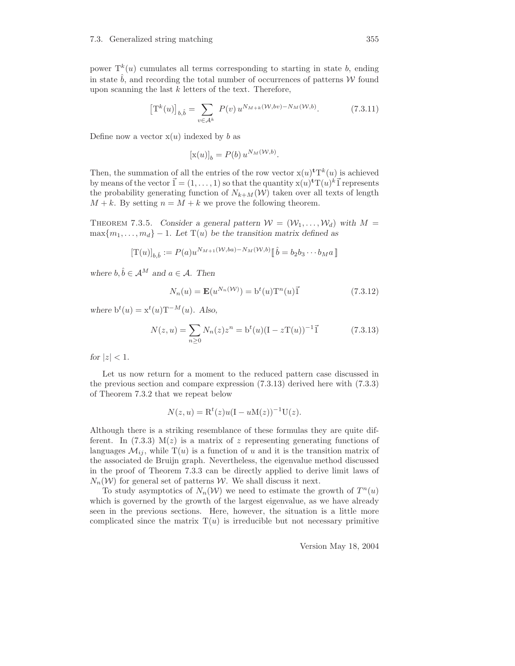#### 7.3. Generalized string matching 355

power  $\mathcal{T}^k(u)$  cumulates all terms corresponding to starting in state b, ending in state  $\hat{b}$ , and recording the total number of occurrences of patterns W found upon scanning the last  $k$  letters of the text. Therefore,

$$
\left[\mathbf{T}^{k}(u)\right]_{b,\hat{b}} = \sum_{v \in \mathcal{A}^{k}} P(v) u^{N_{M+k}(\mathcal{W}, bv) - N_{M}(\mathcal{W}, b)}.
$$
 (7.3.11)

Define now a vector  $x(u)$  indexed by b as

$$
[\mathbf{x}(u)]_b = P(b) u^{N_M(W,b)}.
$$

Then, the summation of all the entries of the row vector  $x(u)^{t}T^{k}(u)$  is achieved by means of the vector  $\vec{1} = (1, \ldots, 1)$  so that the quantity  $x(u)^{t}T(u)^{k}\vec{1}$  represents the probability generating function of  $N_{k+M}(\mathcal{W})$  taken over all texts of length  $M + k$ . By setting  $n = M + k$  we prove the following theorem.

THEOREM 7.3.5. Consider a general pattern  $W = (W_1, \ldots, W_d)$  with  $M =$  $\max\{m_1, \ldots, m_d\} - 1$ . Let  $T(u)$  be the transition matrix defined as

$$
[\mathbf{T}(u)]_{b,\hat{b}} := P(a)u^{N_{M+1}(\mathcal{W},ba) - N_M(\mathcal{W},b)} \llbracket \hat{b} = b_2b_3\cdots b_Ma \rrbracket
$$

where  $b, \hat{b} \in A^M$  and  $a \in \mathcal{A}$ . Then

$$
N_n(u) = \mathbf{E}(u^{N_n(\mathcal{W})}) = b^t(u) \mathbf{T}^n(u) \vec{1}
$$
\n(7.3.12)

where  $b^t(u) = x^t(u) T^{-M}(u)$ . Also,

$$
N(z, u) = \sum_{n \ge 0} N_n(z) z^n = b^t(u) (I - zT(u))^{-1} \vec{1}
$$
 (7.3.13)

for  $|z| < 1$ .

Let us now return for a moment to the reduced pattern case discussed in the previous section and compare expression (7.3.13) derived here with (7.3.3) of Theorem 7.3.2 that we repeat below

$$
N(z, u) = Rt(z)u(I – uM(z))-1U(z).
$$

Although there is a striking resemblance of these formulas they are quite different. In  $(7.3.3)$  M(z) is a matrix of z representing generating functions of languages  $\mathcal{M}_{ij}$ , while T(u) is a function of u and it is the transition matrix of the associated de Bruijn graph. Nevertheless, the eigenvalue method discussed in the proof of Theorem 7.3.3 can be directly applied to derive limit laws of  $N_n(\mathcal{W})$  for general set of patterns W. We shall discuss it next.

To study asymptotics of  $N_n(\mathcal{W})$  we need to estimate the growth of  $T^n(u)$ which is governed by the growth of the largest eigenvalue, as we have already seen in the previous sections. Here, however, the situation is a little more complicated since the matrix  $T(u)$  is irreducible but not necessary primitive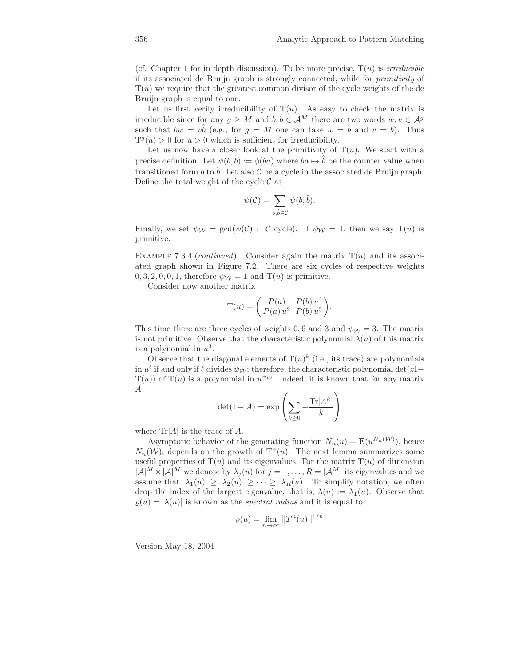(cf. Chapter 1 for in depth discussion). To be more precise,  $T(u)$  is *irreducible* if its associated de Bruijn graph is strongly connected, while for primitivity of  $T(u)$  we require that the greatest common divisor of the cycle weights of the de Bruijn graph is equal to one.

Let us first verify irreducibility of  $T(u)$ . As easy to check the matrix is irreducible since for any  $g \geq M$  and  $b, \hat{b} \in A^M$  there are two words  $w, v \in A^g$ such that  $bw = v\hat{b}$  (e.g., for  $g = M$  one can take  $w = \hat{b}$  and  $v = b$ ). Thus  $T<sup>g</sup>(u) > 0$  for  $u > 0$  which is sufficient for irreducibility.

Let us now have a closer look at the primitivity of  $T(u)$ . We start with a precise definition. Let  $\psi(b, \hat{b}) := \phi(ba)$  where  $ba \mapsto \hat{b}$  be the counter value when transitioned form b to  $\hat{b}$ . Let also C be a cycle in the associated de Bruijn graph. Define the total weight of the cycle  $\mathcal C$  as

$$
\psi(\mathcal{C}) = \sum_{b,\hat{b} \in \mathcal{C}} \psi(b,\hat{b}).
$$

Finally, we set  $\psi_{\mathcal{W}} = \gcd(\psi(\mathcal{C})) : \mathcal{C}$  cycle). If  $\psi_{\mathcal{W}} = 1$ , then we say T(u) is primitive.

EXAMPLE 7.3.4 (*continued*). Consider again the matrix  $T(u)$  and its associ-ated graph shown in Figure 7.2. There are six cycles of respective weights  $0, 3, 2, 0, 0, 1$ , therefore  $\psi_{\mathcal{W}} = 1$  and  $T(u)$  is primitive.

Consider now another matrix

$$
T(u) = \begin{pmatrix} P(a) & P(b) u^4 \\ P(a) u^2 & P(b) u^3 \end{pmatrix}.
$$

This time there are three cycles of weights 0,6 and 3 and  $\psi_{\mathcal{W}} = 3$ . The matrix is not primitive. Observe that the characteristic polynomial  $\lambda(u)$  of this matrix is a polynomial in  $u^3$ .

Observe that the diagonal elements of  $T(u)^k$  (i.e., its trace) are polynomials in  $u^{\ell}$  if and only if  $\ell$  divides  $\psi_{\mathcal{W}}$ ; therefore, the characteristic polynomial det(zI−  $T(u)$  of  $T(u)$  is a polynomial in  $u^{\psi w}$ . Indeed, it is known that for any matrix A

$$
\det(\mathbf{I} - A) = \exp\left(\sum_{k \ge 0} -\frac{\text{Tr}[A^k]}{k}\right)
$$

where  $\text{Tr}[A]$  is the trace of A.

Asymptotic behavior of the generating function  $N_n(u) = \mathbf{E}(u^{N_n(W)})$ , hence  $N_n(\mathcal{W})$ , depends on the growth of  $T^n(u)$ . The next lemma summarizes some useful properties of  $T(u)$  and its eigenvalues. For the matrix  $T(u)$  of dimension  $|\mathcal{A}|^M \times |\mathcal{A}|^M$  we denote by  $\lambda_j(u)$  for  $j = 1, \ldots, R = |\mathcal{A}|^M$  its eigenvalues and we assume that  $|\lambda_1(u)| \geq |\lambda_2(u)| \geq \cdots \geq |\lambda_R(u)|$ . To simplify notation, we often drop the index of the largest eigenvalue, that is,  $\lambda(u) := \lambda_1(u)$ . Observe that  $\rho(u) = |\lambda(u)|$  is known as the *spectral radius* and it is equal to

$$
\varrho(u) = \lim_{n \to \infty} ||T^n(u)||^{1/n}
$$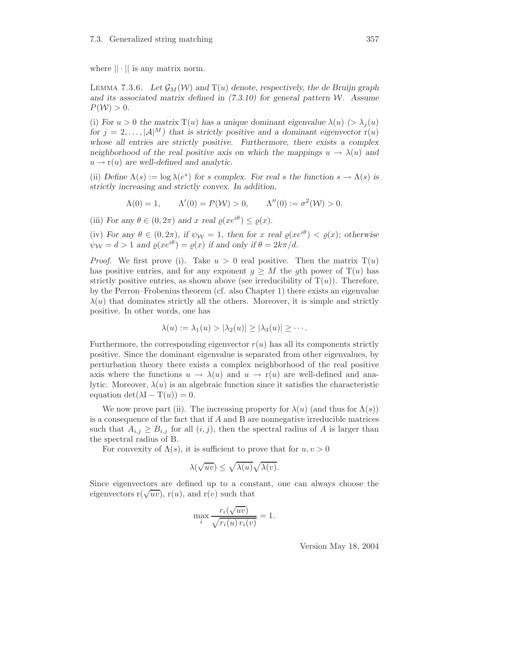where  $|| \cdot ||$  is any matrix norm.

LEMMA 7.3.6. Let  $\mathcal{G}_M(\mathcal{W})$  and  $T(u)$  denote, respectively, the de Bruijn graph and its associated matrix defined in  $(7.3.10)$  for general pattern W. Assume  $P(W) > 0.$ 

(i) For  $u > 0$  the matrix  $T(u)$  has a unique dominant eigenvalue  $\lambda(u) > \lambda_i(u)$ for  $j = 2, ..., |\mathcal{A}|^M$  that is strictly positive and a dominant eigenvector  $r(u)$ whose all entries are strictly positive. Furthermore, there exists a complex neighborhood of the real positive axis on which the mappings  $u \to \lambda(u)$  and  $u \rightarrow r(u)$  are well-defined and analytic.

(ii) Define  $\Lambda(s) := \log \lambda(e^s)$  for s complex. For real s the function  $s \to \Lambda(s)$  is strictly increasing and strictly convex. In addition,

$$
\Lambda(0) = 1,
$$
\n $\Lambda'(0) = P(\mathcal{W}) > 0,$ \n $\Lambda''(0) := \sigma^2(\mathcal{W}) > 0.$ 

(iii) For any  $\theta \in (0, 2\pi)$  and x real  $\rho(xe^{i\theta}) \leq \rho(x)$ .

(iv) For any  $\theta \in (0, 2\pi)$ , if  $\psi_{\mathcal{W}} = 1$ , then for x real  $\varrho(xe^{i\theta}) < \varrho(x)$ ; otherwise  $\psi_{\mathcal{W}} = d > 1$  and  $\varrho(xe^{i\theta}) = \varrho(x)$  if and only if  $\theta = 2k\pi/d$ .

*Proof.* We first prove (i). Take  $u > 0$  real positive. Then the matrix  $T(u)$ has positive entries, and for any exponent  $g \geq M$  the gth power of  $\mathrm{T}(u)$  has strictly positive entries, as shown above (see irreducibility of  $T(u)$ ). Therefore, by the Perron–Frobenius theorem (cf. also Chapter 1) there exists an eigenvalue  $\lambda(u)$  that dominates strictly all the others. Moreover, it is simple and strictly positive. In other words, one has

$$
\lambda(u) := \lambda_1(u) > |\lambda_2(u)| \ge |\lambda_3(u)| \ge \cdots.
$$

Furthermore, the corresponding eigenvector  $r(u)$  has all its components strictly positive. Since the dominant eigenvalue is separated from other eigenvalues, by perturbation theory there exists a complex neighborhood of the real positive axis where the functions  $u \to \lambda(u)$  and  $u \to r(u)$  are well-defined and analytic. Moreover,  $\lambda(u)$  is an algebraic function since it satisfies the characteristic equation  $\det(\lambda I - T(u)) = 0$ .

We now prove part (ii). The increasing property for  $\lambda(u)$  (and thus for  $\Lambda(s)$ ) is a consequence of the fact that if A and B are nonnegative irreducible matrices such that  $A_{i,j} \geq B_{i,j}$  for all  $(i,j)$ , then the spectral radius of A is larger than the spectral radius of B.

For convexity of  $\Lambda(s)$ , it is sufficient to prove that for  $u, v > 0$ 

$$
\lambda(\sqrt{uv}) \le \sqrt{\lambda(u)}\sqrt{\lambda(v)}.
$$

Since eigenvectors are defined up to a constant, one can always choose the eigenvectors  $r(\sqrt{uv})$ ,  $r(u)$ , and  $r(v)$  such that

$$
\max_{i} \frac{r_i(\sqrt{uv})}{\sqrt{r_i(u)\,r_i(v)}} = 1.
$$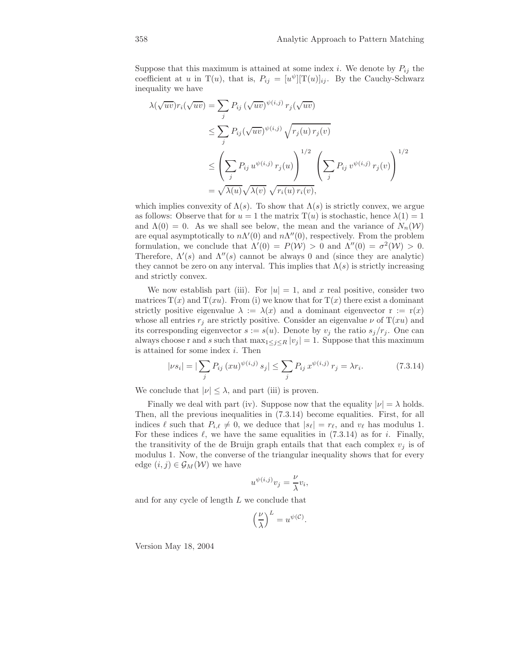Suppose that this maximum is attained at some index *i*. We denote by  $P_{ij}$  the coefficient at u in T(u), that is,  $P_{ij} = [u^{\psi}][T(u)]_{ij}$ . By the Cauchy-Schwarz inequality we have

$$
\lambda(\sqrt{uv})r_i(\sqrt{uv}) = \sum_j P_{ij} (\sqrt{uv})^{\psi(i,j)} r_j(\sqrt{uv})
$$
  
\n
$$
\leq \sum_j P_{ij} (\sqrt{uv})^{\psi(i,j)} \sqrt{r_j(u) r_j(v)}
$$
  
\n
$$
\leq \left(\sum_j P_{ij} u^{\psi(i,j)} r_j(u)\right)^{1/2} \left(\sum_j P_{ij} v^{\psi(i,j)} r_j(v)\right)^{1/2}
$$
  
\n
$$
= \sqrt{\lambda(u)} \sqrt{\lambda(v)} \sqrt{r_i(u) r_i(v)},
$$

which implies convexity of  $\Lambda(s)$ . To show that  $\Lambda(s)$  is strictly convex, we argue as follows: Observe that for  $u = 1$  the matrix  $T(u)$  is stochastic, hence  $\lambda(1) = 1$ and  $\Lambda(0) = 0$ . As we shall see below, the mean and the variance of  $N_n(\mathcal{W})$ are equal asymptotically to  $n\Lambda'(0)$  and  $n\Lambda''(0)$ , respectively. From the problem formulation, we conclude that  $\Lambda'(0) = P(\mathcal{W}) > 0$  and  $\Lambda''(0) = \sigma^2(\mathcal{W}) > 0$ . Therefore,  $\Lambda'(s)$  and  $\Lambda''(s)$  cannot be always 0 and (since they are analytic) they cannot be zero on any interval. This implies that  $\Lambda(s)$  is strictly increasing and strictly convex.

We now establish part (iii). For  $|u|=1$ , and x real positive, consider two matrices  $T(x)$  and  $T(xu)$ . From (i) we know that for  $T(x)$  there exist a dominant strictly positive eigenvalue  $\lambda := \lambda(x)$  and a dominant eigenvector  $r := r(x)$ whose all entries  $r_j$  are strictly positive. Consider an eigenvalue  $\nu$  of  $T(xu)$  and its corresponding eigenvector  $s := s(u)$ . Denote by  $v_j$  the ratio  $s_j/r_j$ . One can always choose r and s such that  $\max_{1 \leq j \leq R} |v_j| = 1$ . Suppose that this maximum is attained for some index  $i$ . Then

$$
|\nu s_i| = |\sum_j P_{ij} (xu)^{\psi(i,j)} s_j| \le \sum_j P_{ij} x^{\psi(i,j)} r_j = \lambda r_i.
$$
 (7.3.14)

We conclude that  $|\nu| \leq \lambda$ , and part (iii) is proven.

Finally we deal with part (iv). Suppose now that the equality  $|\nu| = \lambda$  holds. Then, all the previous inequalities in (7.3.14) become equalities. First, for all indices  $\ell$  such that  $P_{i,\ell} \neq 0$ , we deduce that  $|s_{\ell}| = r_{\ell}$ , and  $v_{\ell}$  has modulus 1. For these indices  $\ell$ , we have the same equalities in (7.3.14) as for *i*. Finally, the transitivity of the de Bruijn graph entails that that each complex  $v_i$  is of modulus 1. Now, the converse of the triangular inequality shows that for every edge  $(i, j) \in \mathcal{G}_M(\mathcal{W})$  we have

$$
u^{\psi(i,j)}v_j = \frac{\nu}{\lambda}v_i,
$$

and for any cycle of length  $L$  we conclude that

$$
\left(\frac{\nu}{\lambda}\right)^L = u^{\psi(\mathcal{C})}.
$$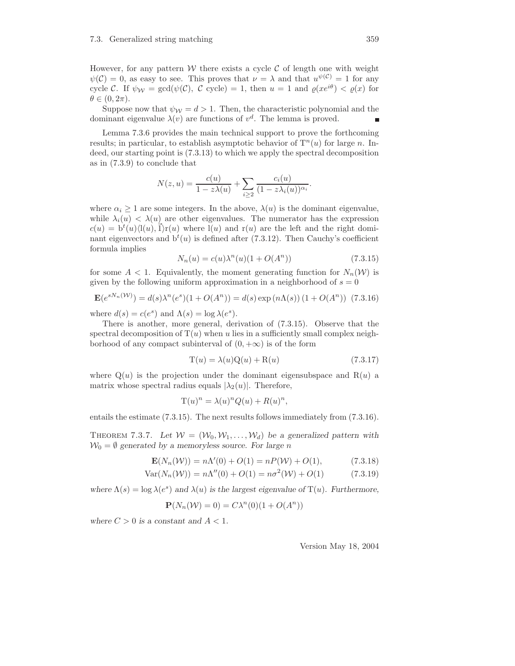## 7.3. Generalized string matching 359

However, for any pattern  $W$  there exists a cycle C of length one with weight  $\psi(\mathcal{C}) = 0$ , as easy to see. This proves that  $\nu = \lambda$  and that  $u^{\psi(\mathcal{C})} = 1$  for any cycle C. If  $\psi_{\mathcal{W}} = \gcd(\psi(\mathcal{C}), \mathcal{C} \text{ cycle}) = 1$ , then  $u = 1$  and  $\rho(xe^{i\theta}) < \rho(x)$  for  $\theta \in (0, 2\pi).$ 

Suppose now that  $\psi_{\mathcal{W}} = d > 1$ . Then, the characteristic polynomial and the dominant eigenvalue  $\lambda(v)$  are functions of  $v^d$ . The lemma is proved.

Lemma 7.3.6 provides the main technical support to prove the forthcoming results; in particular, to establish asymptotic behavior of  $T<sup>n</sup>(u)$  for large n. Indeed, our starting point is (7.3.13) to which we apply the spectral decomposition as in (7.3.9) to conclude that

$$
N(z, u) = \frac{c(u)}{1 - z\lambda(u)} + \sum_{i \geq 2} \frac{c_i(u)}{(1 - z\lambda_i(u))^{\alpha_i}}.
$$

where  $\alpha_i \geq 1$  are some integers. In the above,  $\lambda(u)$  is the dominant eigenvalue, while  $\lambda_i(u) < \lambda(u)$  are other eigenvalues. The numerator has the expression  $c(u) = b<sup>t</sup>(u) \langle l(u), \overline{1}\rangle r(u)$  where  $l(u)$  and  $r(u)$  are the left and the right dominant eigenvectors and  $b<sup>t</sup>(u)$  is defined after (7.3.12). Then Cauchy's coefficient formula implies

$$
N_n(u) = c(u)\lambda^n(u)(1 + O(A^n))
$$
\n(7.3.15)

for some  $A < 1$ . Equivalently, the moment generating function for  $N_n(W)$  is given by the following uniform approximation in a neighborhood of  $s = 0$ 

$$
\mathbf{E}(e^{sN_n(\mathcal{W})}) = d(s)\lambda^n(e^s)(1 + O(A^n)) = d(s)\exp(n\Lambda(s))(1 + O(A^n))
$$
 (7.3.16)

where  $d(s) = c(e^s)$  and  $\Lambda(s) = \log \lambda(e^s)$ .

There is another, more general, derivation of (7.3.15). Observe that the spectral decomposition of  $T(u)$  when u lies in a sufficiently small complex neighborhood of any compact subinterval of  $(0, +\infty)$  is of the form

$$
T(u) = \lambda(u)Q(u) + R(u)
$$
\n(7.3.17)

where  $Q(u)$  is the projection under the dominant eigensubspace and  $R(u)$  a matrix whose spectral radius equals  $|\lambda_2(u)|$ . Therefore,

$$
T(u)^n = \lambda(u)^n Q(u) + R(u)^n,
$$

entails the estimate (7.3.15). The next results follows immediately from (7.3.16).

THEOREM 7.3.7. Let  $W = (W_0, W_1, \ldots, W_d)$  be a generalized pattern with  $W_0 = \emptyset$  generated by a memoryless source. For large n

$$
\mathbf{E}(N_n(\mathcal{W})) = n\Lambda'(0) + O(1) = n(\mathcal{W}) + O(1), \tag{7.3.18}
$$

$$
Var(N_n(W)) = n\Lambda''(0) + O(1) = n\sigma^2(W) + O(1)
$$
 (7.3.19)

where  $\Lambda(s) = \log \lambda(e^s)$  and  $\lambda(u)$  is the largest eigenvalue of  $T(u)$ . Furthermore,

$$
\mathbf{P}(N_n(\mathcal{W}) = 0) = C\lambda^n(0)(1 + O(A^n))
$$

where  $C > 0$  is a constant and  $A < 1$ .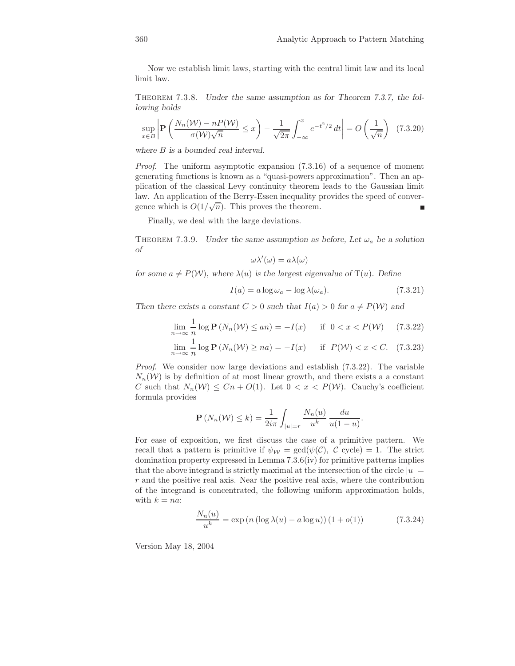Now we establish limit laws, starting with the central limit law and its local limit law.

Theorem 7.3.8. Under the same assumption as for Theorem 7.3.7, the following holds

$$
\sup_{x \in B} \left| \mathbf{P} \left( \frac{N_n(\mathcal{W}) - n(\mathcal{W})}{\sigma(\mathcal{W})\sqrt{n}} \le x \right) - \frac{1}{\sqrt{2\pi}} \int_{-\infty}^x e^{-t^2/2} dt \right| = O\left(\frac{1}{\sqrt{n}}\right) \tag{7.3.20}
$$

where  $B$  is a bounded real interval.

Proof. The uniform asymptotic expansion (7.3.16) of a sequence of moment generating functions is known as a "quasi-powers approximation". Then an application of the classical Levy continuity theorem leads to the Gaussian limit law. An application of the Berry-Essen inequality provides the speed of convergence which is  $O(1/\sqrt{n})$ . This proves the theorem.

Finally, we deal with the large deviations.

THEOREM 7.3.9. Under the same assumption as before, Let  $\omega_a$  be a solution of

$$
\omega \lambda'(\omega) = a\lambda(\omega)
$$

for some  $a \neq P(W)$ , where  $\lambda(u)$  is the largest eigenvalue of  $T(u)$ . Define

$$
I(a) = a \log \omega_a - \log \lambda(\omega_a). \tag{7.3.21}
$$

Then there exists a constant  $C > 0$  such that  $I(a) > 0$  for  $a \neq P(W)$  and

$$
\lim_{n \to \infty} \frac{1}{n} \log \mathbf{P} \left( N_n(\mathcal{W}) \le a_n \right) = -I(x) \quad \text{if } 0 < x < P(\mathcal{W}) \tag{7.3.22}
$$

$$
\lim_{n \to \infty} \frac{1}{n} \log \mathbf{P} \left( N_n(\mathcal{W}) \ge na \right) = -I(x) \quad \text{if } P(\mathcal{W}) < x < C. \tag{7.3.23}
$$

Proof. We consider now large deviations and establish (7.3.22). The variable  $N_n(\mathcal{W})$  is by definition of at most linear growth, and there exists a a constant C such that  $N_n(\mathcal{W}) \leq Cn + O(1)$ . Let  $0 < x < P(\mathcal{W})$ . Cauchy's coefficient formula provides

$$
\mathbf{P}\left(N_n(\mathcal{W}) \leq k\right) = \frac{1}{2i\pi} \int_{|u|=r} \frac{N_n(u)}{u^k} \frac{du}{u(1-u)}.
$$

For ease of exposition, we first discuss the case of a primitive pattern. We recall that a pattern is primitive if  $\psi_{\mathcal{W}} = \text{gcd}(\psi(\mathcal{C}), \mathcal{C} \text{ cycle}) = 1$ . The strict domination property expressed in Lemma 7.3.6(iv) for primitive patterns implies that the above integrand is strictly maximal at the intersection of the circle  $|u| =$  $r$  and the positive real axis. Near the positive real axis, where the contribution of the integrand is concentrated, the following uniform approximation holds, with  $k = na$ :

$$
\frac{N_n(u)}{u^k} = \exp\left(n\left(\log \lambda(u) - a\log u\right)\right)\left(1 + o(1)\right) \tag{7.3.24}
$$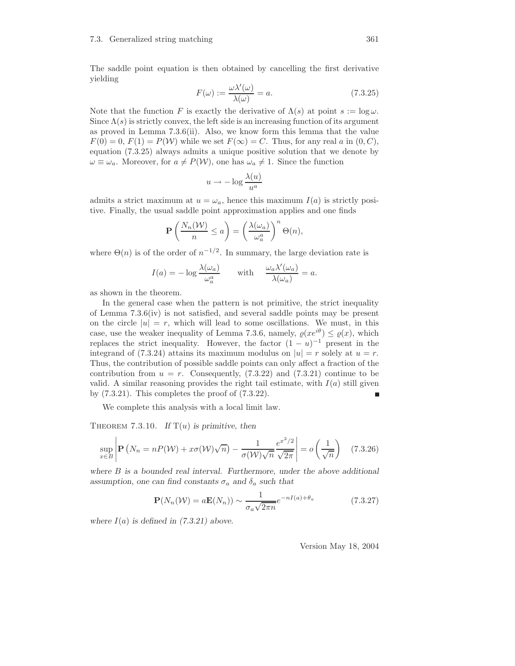## 7.3. Generalized string matching 361

The saddle point equation is then obtained by cancelling the first derivative yielding

$$
F(\omega) := \frac{\omega \lambda'(\omega)}{\lambda(\omega)} = a.
$$
\n(7.3.25)

Note that the function F is exactly the derivative of  $\Lambda(s)$  at point  $s := \log \omega$ . Since  $\Lambda(s)$  is strictly convex, the left side is an increasing function of its argument as proved in Lemma 7.3.6(ii). Also, we know form this lemma that the value  $F(0) = 0$ ,  $F(1) = P(W)$  while we set  $F(\infty) = C$ . Thus, for any real a in  $(0, C)$ , equation (7.3.25) always admits a unique positive solution that we denote by  $\omega \equiv \omega_a$ . Moreover, for  $a \neq P(W)$ , one has  $\omega_a \neq 1$ . Since the function

$$
u \to -\log \frac{\lambda(u)}{u^a}
$$

admits a strict maximum at  $u = \omega_a$ , hence this maximum  $I(a)$  is strictly positive. Finally, the usual saddle point approximation applies and one finds

$$
\mathbf{P}\left(\frac{N_n(\mathcal{W})}{n} \le a\right) = \left(\frac{\lambda(\omega_a)}{\omega_a^a}\right)^n \Theta(n),
$$

where  $\Theta(n)$  is of the order of  $n^{-1/2}$ . In summary, the large deviation rate is

$$
I(a) = -\log \frac{\lambda(\omega_a)}{\omega_a^a} \quad \text{with} \quad \frac{\omega_a \lambda'(\omega_a)}{\lambda(\omega_a)} = a.
$$

as shown in the theorem.

In the general case when the pattern is not primitive, the strict inequality of Lemma 7.3.6(iv) is not satisfied, and several saddle points may be present on the circle  $|u| = r$ , which will lead to some oscillations. We must, in this case, use the weaker inequality of Lemma 7.3.6, namely,  $\varrho(xe^{i\theta}) \leq \varrho(x)$ , which replaces the strict inequality. However, the factor  $(1 - u)^{-1}$  present in the integrand of (7.3.24) attains its maximum modulus on  $|u| = r$  solely at  $u = r$ . Thus, the contribution of possible saddle points can only affect a fraction of the contribution from  $u = r$ . Consequently, (7.3.22) and (7.3.21) continue to be valid. A similar reasoning provides the right tail estimate, with  $I(a)$  still given by  $(7.3.21)$ . This completes the proof of  $(7.3.22)$ .

We complete this analysis with a local limit law.

THEOREM 7.3.10. If  $T(u)$  is primitive, then

$$
\sup_{x \in B} \left| \mathbf{P} \left( N_n = n(\mathcal{W}) + x\sigma(\mathcal{W})\sqrt{n} \right) - \frac{1}{\sigma(\mathcal{W})\sqrt{n}} \frac{e^{x^2/2}}{\sqrt{2\pi}} \right| = o\left( \frac{1}{\sqrt{n}} \right) \quad (7.3.26)
$$

where  $B$  is a bounded real interval. Furthermore, under the above additional assumption, one can find constants  $\sigma_a$  and  $\delta_a$  such that

$$
\mathbf{P}(N_n(\mathcal{W}) = a\mathbf{E}(N_n)) \sim \frac{1}{\sigma_a \sqrt{2\pi n}} e^{-nI(a) + \theta_a}
$$
(7.3.27)

where  $I(a)$  is defined in  $(7.3.21)$  above.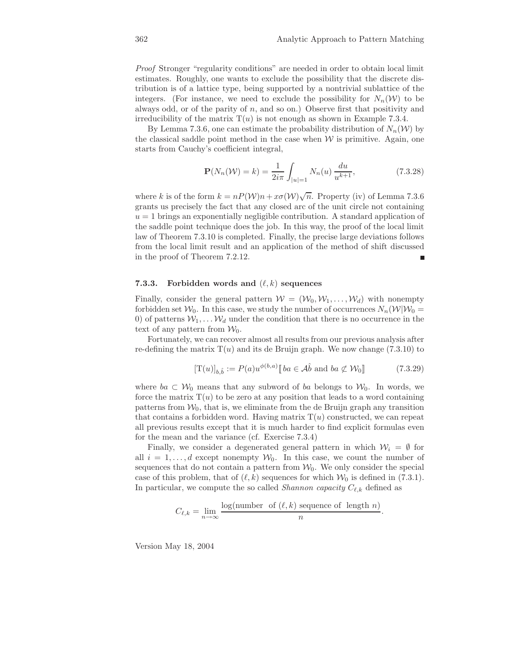Proof Stronger "regularity conditions" are needed in order to obtain local limit estimates. Roughly, one wants to exclude the possibility that the discrete distribution is of a lattice type, being supported by a nontrivial sublattice of the integers. (For instance, we need to exclude the possibility for  $N_n(\mathcal{W})$  to be always odd, or of the parity of  $n$ , and so on.) Observe first that positivity and irreducibility of the matrix  $T(u)$  is not enough as shown in Example 7.3.4.

By Lemma 7.3.6, one can estimate the probability distribution of  $N_n(\mathcal{W})$  by the classical saddle point method in the case when  $W$  is primitive. Again, one starts from Cauchy's coefficient integral,

$$
\mathbf{P}(N_n(\mathcal{W}) = k) = \frac{1}{2i\pi} \int_{|u|=1} N_n(u) \frac{du}{u^{k+1}},
$$
\n(7.3.28)

where k is of the form  $k = nP(\mathcal{W})n + x\sigma(\mathcal{W})\sqrt{n}$ . Property (iv) of Lemma 7.3.6 grants us precisely the fact that any closed arc of the unit circle not containing  $u = 1$  brings an exponentially negligible contribution. A standard application of the saddle point technique does the job. In this way, the proof of the local limit law of Theorem 7.3.10 is completed. Finally, the precise large deviations follows from the local limit result and an application of the method of shift discussed in the proof of Theorem 7.2.12.

## 7.3.3. Forbidden words and  $(\ell, k)$  sequences

Finally, consider the general pattern  $W = (W_0, W_1, \ldots, W_d)$  with nonempty forbidden set  $W_0$ . In this case, we study the number of occurrences  $N_n(W|W_0 =$ 0) of patterns  $W_1, \ldots W_d$  under the condition that there is no occurrence in the text of any pattern from  $\mathcal{W}_0$ .

Fortunately, we can recover almost all results from our previous analysis after re-defining the matrix  $T(u)$  and its de Bruijn graph. We now change (7.3.10) to

$$
[\mathbf{T}(u)]_{b,\hat{b}} := P(a)u^{\phi(b,a)} \llbracket ba \in \mathcal{A}\hat{b} \text{ and } ba \not\subset \mathcal{W}_0 \llbracket \tag{7.3.29}
$$

where  $ba \,\subset \,\mathcal{W}_0$  means that any subword of ba belongs to  $\mathcal{W}_0$ . In words, we force the matrix  $T(u)$  to be zero at any position that leads to a word containing patterns from  $W_0$ , that is, we eliminate from the de Bruijn graph any transition that contains a forbidden word. Having matrix  $T(u)$  constructed, we can repeat all previous results except that it is much harder to find explicit formulas even for the mean and the variance (cf. Exercise 7.3.4)

Finally, we consider a degenerated general pattern in which  $\mathcal{W}_i = \emptyset$  for all  $i = 1, \ldots, d$  except nonempty  $W_0$ . In this case, we count the number of sequences that do not contain a pattern from  $\mathcal{W}_0$ . We only consider the special case of this problem, that of  $(\ell, k)$  sequences for which  $W_0$  is defined in (7.3.1). In particular, we compute the so called *Shannon capacity*  $C_{\ell,k}$  defined as

$$
C_{\ell,k} = \lim_{n \to \infty} \frac{\log(\text{number of } (\ell,k) \text{ sequence of length } n)}{n}.
$$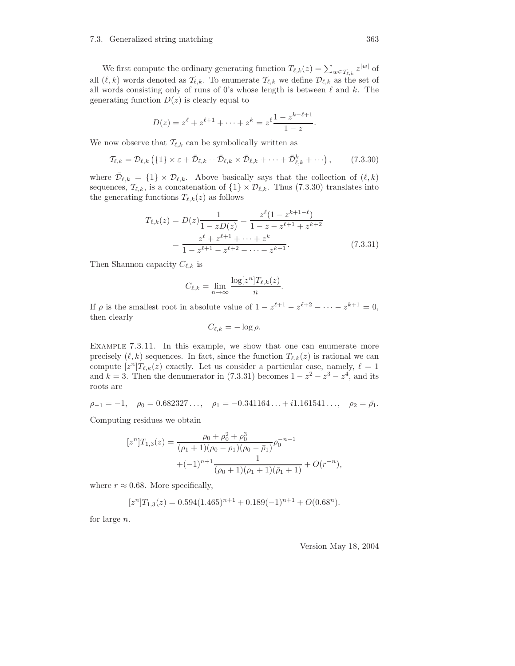## 7.3. Generalized string matching 363

We first compute the ordinary generating function  $T_{\ell,k}(z) = \sum_{w \in \mathcal{T}_{\ell,k}} z^{|w|}$  of all  $(\ell, k)$  words denoted as  $\mathcal{T}_{\ell,k}$ . To enumerate  $\mathcal{T}_{\ell,k}$  we define  $\mathcal{D}_{\ell,k}$  as the set of all words consisting only of runs of 0's whose length is between  $\ell$  and  $k$ . The generating function  $D(z)$  is clearly equal to

$$
D(z) = z^{\ell} + z^{\ell+1} + \dots + z^{k} = z^{\ell} \frac{1 - z^{k-\ell+1}}{1 - z}.
$$

We now observe that  $\mathcal{T}_{\ell,k}$  can be symbolically written as

$$
\mathcal{T}_{\ell,k} = \mathcal{D}_{\ell,k} \left( \{ 1 \} \times \varepsilon + \bar{\mathcal{D}}_{\ell,k} + \bar{\mathcal{D}}_{\ell,k} \times \bar{\mathcal{D}}_{\ell,k} + \dots + \bar{\mathcal{D}}_{\ell,k}^k + \dots \right), \tag{7.3.30}
$$

where  $\bar{\mathcal{D}}_{\ell,k} = \{1\} \times \mathcal{D}_{\ell,k}$ . Above basically says that the collection of  $(\ell,k)$ sequences,  $\mathcal{T}_{\ell,k}$ , is a concatenation of  $\{1\} \times \mathcal{D}_{\ell,k}$ . Thus (7.3.30) translates into the generating functions  $T_{\ell,k}(z)$  as follows

$$
T_{\ell,k}(z) = D(z)\frac{1}{1 - zD(z)} = \frac{z^{\ell}(1 - z^{k+1-\ell})}{1 - z - z^{\ell+1} + z^{k+2}}
$$

$$
= \frac{z^{\ell} + z^{\ell+1} + \dots + z^{k}}{1 - z^{\ell+1} - z^{\ell+2} - \dots - z^{k+1}}.
$$
(7.3.31)

Then Shannon capacity  $C_{\ell,k}$  is

$$
C_{\ell,k} = \lim_{n \to \infty} \frac{\log[z^n] T_{\ell,k}(z)}{n}.
$$

If  $\rho$  is the smallest root in absolute value of  $1 - z^{\ell+1} - z^{\ell+2} - \cdots - z^{k+1} = 0$ , then clearly

$$
C_{\ell,k} = -\log \rho.
$$

EXAMPLE  $7.3.11$ . In this example, we show that one can enumerate more precisely  $(\ell, k)$  sequences. In fact, since the function  $T_{\ell, k}(z)$  is rational we can compute  $[z^n]T_{\ell,k}(z)$  exactly. Let us consider a particular case, namely,  $\ell = 1$ and  $k = 3$ . Then the denumerator in (7.3.31) becomes  $1 - z^2 - z^3 - z^4$ , and its roots are

$$
\rho_{-1} = -1
$$
,  $\rho_0 = 0.682327...$ ,  $\rho_1 = -0.341164...$  + i1.161541...,  $\rho_2 = \bar{\rho}_1$ .

Computing residues we obtain

$$
[zn]T1,3(z) = \frac{\rho_0 + \rho_0^2 + \rho_0^3}{(\rho_1 + 1)(\rho_0 - \rho_1)(\rho_0 - \bar{\rho}_1)} \rho_0^{-n-1} + (-1)^{n+1} \frac{1}{(\rho_0 + 1)(\rho_1 + 1)(\bar{\rho}_1 + 1)} + O(r^{-n}),
$$

where  $r \approx 0.68$ . More specifically,

$$
[zn]T1,3(z) = 0.594(1.465)n+1 + 0.189(-1)n+1 + O(0.68n).
$$

for large n.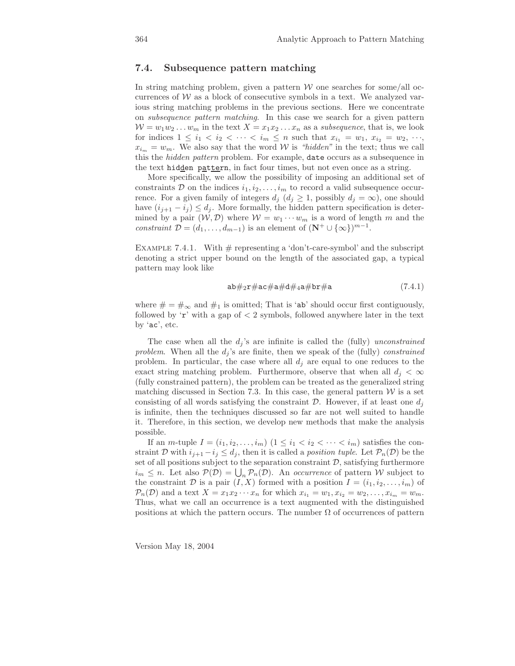# 7.4. Subsequence pattern matching

In string matching problem, given a pattern  $W$  one searches for some/all occurrences of  $W$  as a block of consecutive symbols in a text. We analyzed various string matching problems in the previous sections. Here we concentrate on subsequence pattern matching. In this case we search for a given pattern  $W = w_1w_2 \ldots w_m$  in the text  $X = x_1x_2 \ldots x_n$  as a subsequence, that is, we look for indices  $1 \le i_1 < i_2 < \cdots < i_m \le n$  such that  $x_{i_1} = w_1, x_{i_2} = w_2, \cdots$ ,  $x_{i_m} = w_m$ . We also say that the word W is "hidden" in the text; thus we call this the hidden pattern problem. For example, date occurs as a subsequence in the text hidden pattern, in fact four times, but not even once as a string.

More specifically, we allow the possibility of imposing an additional set of constraints D on the indices  $i_1, i_2, \ldots, i_m$  to record a valid subsequence occurrence. For a given family of integers  $d_j$   $(d_j \geq 1$ , possibly  $d_j = \infty$ ), one should have  $(i_{j+1} - i_j) \leq d_j$ . More formally, the hidden pattern specification is determined by a pair  $(W, D)$  where  $W = w_1 \cdots w_m$  is a word of length m and the constraint  $\mathcal{D} = (d_1, \ldots, d_{m-1})$  is an element of  $(\mathbf{N}^+ \cup {\{\infty\}})^{m-1}$ .

EXAMPLE 7.4.1. With  $\#$  representing a 'don't-care-symbol' and the subscript denoting a strict upper bound on the length of the associated gap, a typical pattern may look like

$$
ab \#_2 r \# ac \# a \# d \#_4 a \# br \# a \tag{7.4.1}
$$

where  $\# = \#_{\infty}$  and  $\#_1$  is omitted; That is 'ab' should occur first contiguously, followed by ' $\mathbf{r}'$ ' with a gap of  $\langle 2 \rangle$  symbols, followed anywhere later in the text by 'ac', etc.

The case when all the  $d_j$ 's are infinite is called the (fully) unconstrained problem. When all the  $d_i$ 's are finite, then we speak of the (fully) constrained problem. In particular, the case where all  $d_i$  are equal to one reduces to the exact string matching problem. Furthermore, observe that when all  $d_i < \infty$ (fully constrained pattern), the problem can be treated as the generalized string matching discussed in Section 7.3. In this case, the general pattern  $W$  is a set consisting of all words satisfying the constraint  $\mathcal{D}$ . However, if at least one  $d_i$ is infinite, then the techniques discussed so far are not well suited to handle it. Therefore, in this section, we develop new methods that make the analysis possible.

If an *m*-tuple  $I = (i_1, i_2, \ldots, i_m)$   $(1 \leq i_1 < i_2 < \cdots < i_m)$  satisfies the constraint D with  $i_{j+1} - i_j \leq d_j$ , then it is called a *position tuple*. Let  $\mathcal{P}_n(\mathcal{D})$  be the set of all positions subject to the separation constraint  $D$ , satisfying furthermore  $i_m \leq n$ . Let also  $\mathcal{P}(\mathcal{D}) = \bigcup_n \mathcal{P}_n(\mathcal{D})$ . An *occurrence* of pattern W subject to the constraint D is a pair  $(I, X)$  formed with a position  $I = (i_1, i_2, \ldots, i_m)$  of  $\mathcal{P}_n(\mathcal{D})$  and a text  $X = x_1 x_2 \cdots x_n$  for which  $x_{i_1} = w_1, x_{i_2} = w_2, \ldots, x_{i_m} = w_m$ . Thus, what we call an occurrence is a text augmented with the distinguished positions at which the pattern occurs. The number  $\Omega$  of occurrences of pattern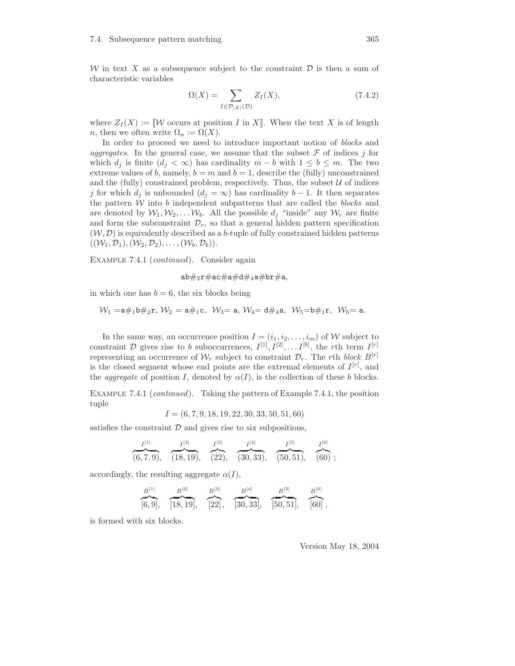W in text X as a subsequence subject to the constraint  $\mathcal D$  is then a sum of characteristic variables

$$
\Omega(X) = \sum_{I \in \mathcal{P}_{|X|}(\mathcal{D})} Z_I(X),\tag{7.4.2}
$$

where  $Z_I(X) := \llbracket \mathcal{W} \text{ occurs at position } I \text{ in } X \rrbracket$ . When the text X is of length *n*, then we often write  $\Omega_n := \Omega(X)$ .

In order to proceed we need to introduce important notion of blocks and aggregates. In the general case, we assume that the subset  $\mathcal F$  of indices j for which  $d_j$  is finite  $(d_j < \infty)$  has cardinality  $m - b$  with  $1 \leq b \leq m$ . The two extreme values of b, namely,  $b = m$  and  $b = 1$ , describe the (fully) unconstrained and the (fully) constrained problem, respectively. Thus, the subset  $U$  of indices j for which  $d_j$  is unbounded  $(d_j = \infty)$  has cardinality  $b-1$ . It then separates the pattern  $W$  into  $b$  independent subpatterns that are called the *blocks* and are denoted by  $W_1, W_2, \ldots W_b$ . All the possible  $d_i$  "inside" any  $W_r$  are finite and form the subconstraint  $\mathcal{D}_r$ , so that a general hidden pattern specification  $(W, D)$  is equivalently described as a b-tuple of fully constrained hidden patterns  $((\mathcal{W}_1, \mathcal{D}_1),(\mathcal{W}_2, \mathcal{D}_2), \ldots,(\mathcal{W}_b, \mathcal{D}_b)).$ 

EXAMPLE 7.4.1 (*continued*). Consider again

ab $#_2$ r $#$ ac $#$ a $#$ d $#_4$ a $#$ br $#$ a,

in which one has  $b = 6$ , the six blocks being

 $W_1 = a \#_1 b \#_2 r$ ,  $W_2 = a \#_1 c$ ,  $W_3 = a$ ,  $W_4 = d \#_4 a$ ,  $W_5 = b \#_1 r$ ,  $W_6 = a$ .

In the same way, an occurrence position  $I = (i_1, i_2, \ldots, i_m)$  of W subject to constraint D gives rise to b suboccurrences,  $I^{[1]}, I^{[2]}, \ldots, I^{[b]}$ , the rth term  $I^{[r]}$ representing an occurrence of  $W_r$  subject to constraint  $\mathcal{D}_r$ . The rth block  $B^{[r]}$ is the closed segment whose end points are the extremal elements of  $I^{[r]}$ , and the *aggregate* of position I, denoted by  $\alpha(I)$ , is the collection of these b blocks.

EXAMPLE 7.4.1 (*continued*). Taking the pattern of Example 7.4.1, the position tuple

 $I = (6, 7, 9, 18, 19, 22, 30, 33, 50, 51, 60)$ 

satisfies the constraint  $\mathcal D$  and gives rise to six subpositions,

$$
\overbrace{(6,7,9)}^{I^{[1]}}, \quad \overbrace{(18,19)}^{I^{[2]}}, \quad \overbrace{(22)}^{I^{[3]}}, \quad \overbrace{(30,33)}^{I^{[4]}}, \quad \overbrace{(50,51)}^{I^{[5]}}, \quad \overbrace{(60)}^{I^{[6]}},
$$

accordingly, the resulting aggregate  $\alpha(I)$ ,

$$
\overbrace{[6,9]}^{B^{[1]}}, \quad \overbrace{[18,19]}^{B^{[2]}}, \quad \overbrace{[22]}^{B^{[3]}}, \quad \overbrace{[30,33]}^{B^{[4]}}, \quad \overbrace{[50,51]}^{B^{[5]}}, \quad \overbrace{[60]}^{B^{[6]}},
$$

is formed with six blocks.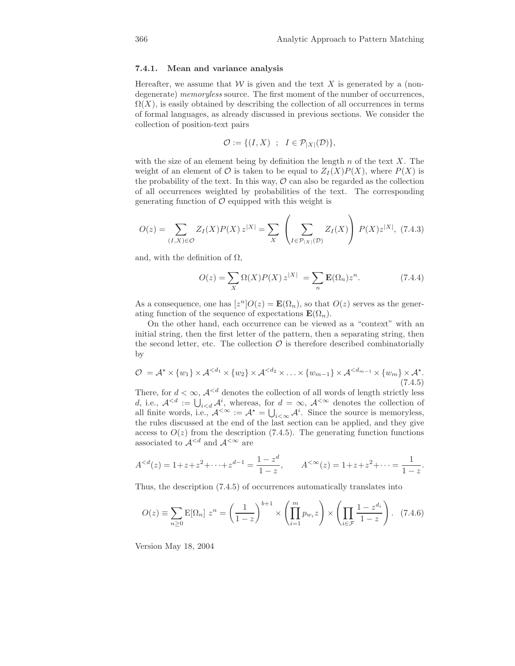# 7.4.1. Mean and variance analysis

Hereafter, we assume that  $W$  is given and the text X is generated by a (nondegenerate) memoryless source. The first moment of the number of occurrences,  $\Omega(X)$ , is easily obtained by describing the collection of all occurrences in terms of formal languages, as already discussed in previous sections. We consider the collection of position-text pairs

$$
\mathcal{O} := \{ (I, X) ; I \in \mathcal{P}_{|X|}(\mathcal{D}) \},
$$

with the size of an element being by definition the length  $n$  of the text  $X$ . The weight of an element of O is taken to be equal to  $Z_I(X)P(X)$ , where  $P(X)$  is the probability of the text. In this way,  $\mathcal O$  can also be regarded as the collection of all occurrences weighted by probabilities of the text. The corresponding generating function of  $\mathcal O$  equipped with this weight is

$$
O(z) = \sum_{(I,X)\in\mathcal{O}} Z_I(X)P(X) z^{|X|} = \sum_{X} \left( \sum_{I \in \mathcal{P}_{|X|}(\mathcal{D})} Z_I(X) \right) P(X) z^{|X|}, (7.4.3)
$$

and, with the definition of  $\Omega$ ,

$$
O(z) = \sum_{X} \Omega(X)P(X) z^{|X|} = \sum_{n} \mathbf{E}(\Omega_n) z^n.
$$
 (7.4.4)

As a consequence, one has  $[z^n]O(z) = \mathbf{E}(\Omega_n)$ , so that  $O(z)$  serves as the generating function of the sequence of expectations  $\mathbf{E}(\Omega_n)$ .

On the other hand, each occurrence can be viewed as a "context" with an initial string, then the first letter of the pattern, then a separating string, then the second letter, etc. The collection  $\mathcal O$  is therefore described combinatorially by

$$
\mathcal{O} = \mathcal{A}^* \times \{w_1\} \times \mathcal{A}^{< d_1} \times \{w_2\} \times \mathcal{A}^{< d_2} \times \ldots \times \{w_{m-1}\} \times \mathcal{A}^{< d_{m-1}} \times \{w_m\} \times \mathcal{A}^*.
$$
\n(7.4.5)

There, for  $d < \infty$ ,  $A^{\le d}$  denotes the collection of all words of length strictly less d, i.e.,  $\mathcal{A}^{< d} := \bigcup_{i < d} \mathcal{A}^i$ , whereas, for  $d = \infty$ ,  $\mathcal{A}^{< \infty}$  denotes the collection of all finite words, i.e.,  $\mathcal{A}^{<\infty} := \mathcal{A}^* = \bigcup_{i<\infty} \mathcal{A}^i$ . Since the source is memoryless, the rules discussed at the end of the last section can be applied, and they give access to  $O(z)$  from the description (7.4.5). The generating function functions associated to  $\mathcal{A}^{ and  $\mathcal{A}^{<\infty}$  are$ 

$$
A^{<}(z) = 1 + z + z^2 + \dots + z^{d-1} = \frac{1 - z^d}{1 - z}, \qquad A^{<}(\zeta) = 1 + z + z^2 + \dots = \frac{1}{1 - z}.
$$

Thus, the description (7.4.5) of occurrences automatically translates into

$$
O(z) \equiv \sum_{n\geq 0} \mathbb{E}[\Omega_n] \ z^n = \left(\frac{1}{1-z}\right)^{b+1} \times \left(\prod_{i=1}^m p_{w_i} z\right) \times \left(\prod_{i\in\mathcal{F}} \frac{1-z^{d_i}}{1-z}\right). \tag{7.4.6}
$$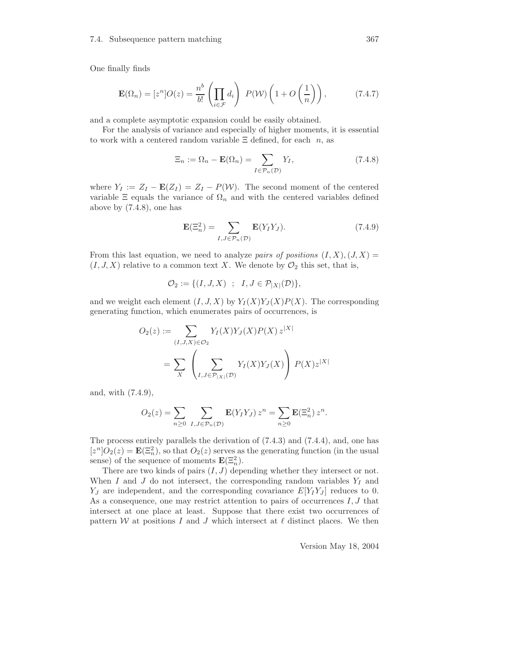## 7.4. Subsequence pattern matching 367

One finally finds

$$
\mathbf{E}(\Omega_n) = [z^n]O(z) = \frac{n^b}{b!} \left(\prod_{i \in \mathcal{F}} d_i\right) P(\mathcal{W}) \left(1 + O\left(\frac{1}{n}\right)\right),\tag{7.4.7}
$$

and a complete asymptotic expansion could be easily obtained.

For the analysis of variance and especially of higher moments, it is essential to work with a centered random variable  $\Xi$  defined, for each n, as

$$
\Xi_n := \Omega_n - \mathbf{E}(\Omega_n) = \sum_{I \in \mathcal{P}_n(\mathcal{D})} Y_I,
$$
\n(7.4.8)

where  $Y_I := Z_I - \mathbf{E}(Z_I) = Z_I - P(W)$ . The second moment of the centered variable  $\Xi$  equals the variance of  $\Omega_n$  and with the centered variables defined above by (7.4.8), one has

$$
\mathbf{E}(\Xi_n^2) = \sum_{I,J \in \mathcal{P}_n(\mathcal{D})} \mathbf{E}(Y_I Y_J). \tag{7.4.9}
$$

From this last equation, we need to analyze pairs of positions  $(I, X), (J, X) =$  $(I, J, X)$  relative to a common text X. We denote by  $\mathcal{O}_2$  this set, that is,

$$
\mathcal{O}_2 := \{ (I, J, X) ; I, J \in \mathcal{P}_{|X|}(\mathcal{D}) \},
$$

and we weight each element  $(I, J, X)$  by  $Y_I(X)Y_I(X)P(X)$ . The corresponding generating function, which enumerates pairs of occurrences, is

$$
O_2(z) := \sum_{(I,J,X)\in\mathcal{O}_2} Y_I(X)Y_J(X)P(X) z^{|X|}
$$

$$
= \sum_X \left( \sum_{I,J\in\mathcal{P}_{|X|}(\mathcal{D})} Y_I(X)Y_J(X) \right) P(X) z^{|X|}
$$

and, with (7.4.9),

$$
O_2(z) = \sum_{n\geq 0} \sum_{I,J\in \mathcal{P}_n(\mathcal{D})} \mathbf{E}(Y_I Y_J) z^n = \sum_{n\geq 0} \mathbf{E}(\Xi_n^2) z^n.
$$

The process entirely parallels the derivation of (7.4.3) and (7.4.4), and, one has  $[z<sup>n</sup>]O<sub>2</sub>(z) = \mathbf{E}(\Xi_n^2)$ , so that  $O<sub>2</sub>(z)$  serves as the generating function (in the usual sense) of the sequence of moments  $\mathbf{E}(\Xi_n^2)$ .

There are two kinds of pairs  $(I, J)$  depending whether they intersect or not. When  $I$  and  $J$  do not intersect, the corresponding random variables  $Y_I$  and  $Y_J$  are independent, and the corresponding covariance  $E[Y_I Y_J]$  reduces to 0. As a consequence, one may restrict attention to pairs of occurrences  $I, J$  that intersect at one place at least. Suppose that there exist two occurrences of pattern W at positions I and J which intersect at  $\ell$  distinct places. We then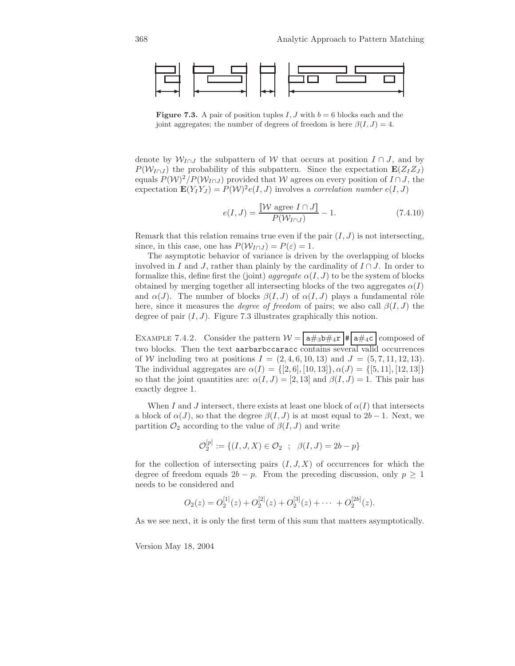

**Figure 7.3.** A pair of position tuples I, J with  $b = 6$  blocks each and the joint aggregates; the number of degrees of freedom is here  $\beta(I, J) = 4$ .

denote by  $W_{I \cap J}$  the subpattern of W that occurs at position  $I \cap J$ , and by  $P(\mathcal{W}_{I \cap J})$  the probability of this subpattern. Since the expectation  $\mathbf{E}(Z_I Z_J)$ equals  $P(\mathcal{W})^2/P(\mathcal{W}_{I \cap J})$  provided that W agrees on every position of  $I \cap J$ , the expectation  $\mathbf{E}(Y_I Y_J) = P(W)^2 e(I, J)$  involves a correlation number  $e(I, J)$ 

$$
e(I,J) = \frac{\llbracket \mathcal{W} \text{ agree } I \cap J \rrbracket}{P(\mathcal{W}_{I \cap J})} - 1. \tag{7.4.10}
$$

Remark that this relation remains true even if the pair  $(I, J)$  is not intersecting, since, in this case, one has  $P(\mathcal{W}_{I \cap J}) = P(\varepsilon) = 1$ .

The asymptotic behavior of variance is driven by the overlapping of blocks involved in I and J, rather than plainly by the cardinality of  $I \cap J$ . In order to formalize this, define first the (joint) aggregate  $\alpha(I, J)$  to be the system of blocks obtained by merging together all intersecting blocks of the two aggregates  $\alpha(I)$ and  $\alpha(J)$ . The number of blocks  $\beta(I, J)$  of  $\alpha(I, J)$  plays a fundamental rôle here, since it measures the *degree of freedom* of pairs; we also call  $\beta(I, J)$  the degree of pair  $(I, J)$ . Figure 7.3 illustrates graphically this notion.

EXAMPLE 7.4.2. Consider the pattern  $W = \mathbf{a} \#_3 \mathbf{b} \#_4 \mathbf{r} \# \mathbf{a} \#_4 \mathbf{c}$  composed of two blocks. Then the text aarbarbccaracc contains several valid occurrences of W including two at positions  $I = (2, 4, 6, 10, 13)$  and  $J = (5, 7, 11, 12, 13)$ . The individual aggregates are  $\alpha(I) = \{[2,6], [10,13]\}, \alpha(J) = \{[5,11], [12,13]\}$ so that the joint quantities are:  $\alpha(I, J) = [2, 13]$  and  $\beta(I, J) = 1$ . This pair has exactly degree 1.

When I and J intersect, there exists at least one block of  $\alpha(I)$  that intersects a block of  $\alpha(J)$ , so that the degree  $\beta(I, J)$  is at most equal to  $2b - 1$ . Next, we partition  $\mathcal{O}_2$  according to the value of  $\beta(I, J)$  and write

$$
\mathcal{O}^{[p]}_2:=\{(I,J,X)\in\mathcal{O}_2\hspace{0.2cm} ; \hspace{0.2cm}\beta(I,J)=2b-p\}
$$

for the collection of intersecting pairs  $(I, J, X)$  of occurrences for which the degree of freedom equals  $2b - p$ . From the preceding discussion, only  $p \ge 1$ needs to be considered and

$$
O_2(z) = O_2^{[1]}(z) + O_2^{[2]}(z) + O_2^{[3]}(z) + \cdots + O_2^{[2b]}(z).
$$

As we see next, it is only the first term of this sum that matters asymptotically.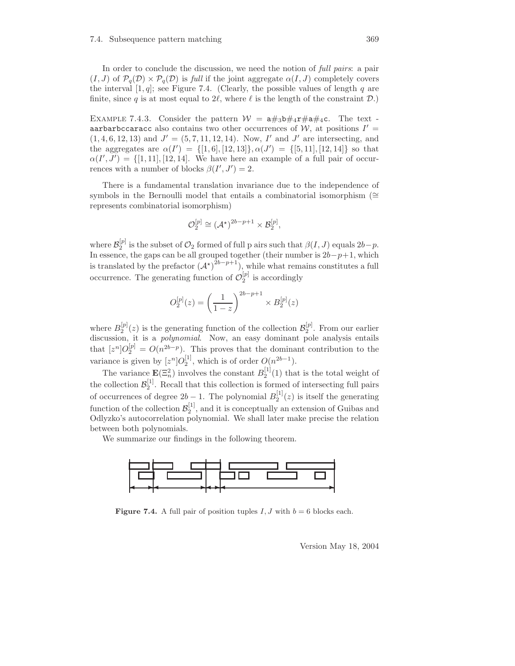In order to conclude the discussion, we need the notion of *full pairs*: a pair  $(I, J)$  of  $\mathcal{P}_q(\mathcal{D}) \times \mathcal{P}_q(\mathcal{D})$  is full if the joint aggregate  $\alpha(I, J)$  completely covers the interval  $[1, q]$ ; see Figure 7.4. (Clearly, the possible values of length q are finite, since q is at most equal to  $2\ell$ , where  $\ell$  is the length of the constraint  $\mathcal{D}$ .)

EXAMPLE 7.4.3. Consider the pattern  $W = a\#_3b\#_4r\#_4c$ . The text aarbarbccaracc also contains two other occurrences of  $W$ , at positions  $I' =$  $(1, 4, 6, 12, 13)$  and  $J' = (5, 7, 11, 12, 14)$ . Now, I' and J' are intersecting, and the aggregates are  $\alpha(I') = \{[1, 6], [12, 13]\}, \alpha(J') = \{[5, 11], [12, 14]\}$  so that  $\alpha(I',J') = \{[1,11], [12,14].$  We have here an example of a full pair of occurrences with a number of blocks  $\beta(I', J') = 2$ .

There is a fundamental translation invariance due to the independence of symbols in the Bernoulli model that entails a combinatorial isomorphism ( $\cong$ represents combinatorial isomorphism)

$$
\mathcal{O}_2^{[p]} \cong (\mathcal{A}^*)^{2b-p+1} \times \mathcal{B}_2^{[p]},
$$

where  $\mathcal{B}_2^{[p]}$  is the subset of  $\mathcal{O}_2$  formed of full p airs such that  $\beta(I, J)$  equals  $2b - p$ . In essence, the gaps can be all grouped together (their number is  $2b-p+1$ , which is translated by the prefactor  $(\mathcal{A}^*)^{2b-p+1}$ , while what remains constitutes a full occurrence. The generating function of  $\mathcal{O}_2^{[p]}$  is accordingly

$$
O_2^{[p]}(z) = \left(\frac{1}{1-z}\right)^{2b-p+1} \times B_2^{[p]}(z)
$$

where  $B_2^{[p]}(z)$  is the generating function of the collection  $\mathcal{B}_2^{[p]}$ . From our earlier discussion, it is a *polynomial*. Now, an easy dominant pole analysis entails that  $[z^n]O_2^{[p]}=O(n^{2b-p})$ . This proves that the dominant contribution to the variance is given by  $[z^n]O_2^{[1]}$ , which is of order  $O(n^{2b-1})$ .

The variance  $\mathbf{E}(\Xi_n^2)$  involves the constant  $B_2^{[1]}(1)$  that is the total weight of the collection  $\mathcal{B}_2^{[1]}$ . Recall that this collection is formed of intersecting full pairs of occurrences of degree  $2b-1$ . The polynomial  $B_2^{[1]}(z)$  is itself the generating function of the collection  $\mathcal{B}_2^{[1]}$ , and it is conceptually an extension of Guibas and Odlyzko's autocorrelation polynomial. We shall later make precise the relation between both polynomials.

We summarize our findings in the following theorem.



**Figure 7.4.** A full pair of position tuples  $I, J$  with  $b = 6$  blocks each.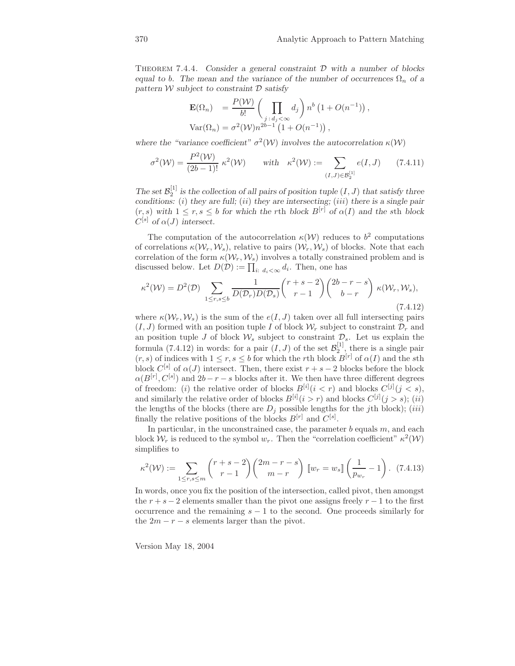THEOREM 7.4.4. Consider a general constraint  $\mathcal D$  with a number of blocks equal to b. The mean and the variance of the number of occurrences  $\Omega_n$  of a pattern  $W$  subject to constraint  $D$  satisfy

$$
\mathbf{E}(\Omega_n) = \frac{P(\mathcal{W})}{b!} \left( \prod_{j \, : \, d_j < \infty} d_j \right) n^b \left( 1 + O(n^{-1}) \right),
$$
\n
$$
\text{Var}(\Omega_n) = \sigma^2(\mathcal{W}) n^{2b-1} \left( 1 + O(n^{-1}) \right),
$$

where the "variance coefficient"  $\sigma^2(\mathcal{W})$  involves the autocorrelation  $\kappa(\mathcal{W})$ 

$$
\sigma^{2}(\mathcal{W}) = \frac{P^{2}(\mathcal{W})}{(2b-1)!} \ \kappa^{2}(\mathcal{W}) \qquad \text{with} \quad \kappa^{2}(\mathcal{W}) := \sum_{(I,J) \in \mathcal{B}_{2}^{[1]}} e(I,J) \qquad (7.4.11)
$$

The set  $\mathcal{B}_2^{[1]}$  is the collection of all pairs of position tuple  $(I, J)$  that satisfy three The set  $D_2$  is the conection of an pairs of position tuple  $(1, 0)$  that satisfy time<br>conditions: (i) they are full; (ii) they are intersecting; (iii) there is a single pair  $(r, s)$  with  $1 \le r, s \le b$  for which the rth block  $B^{[r]}$  of  $\alpha(I)$  and the sth block  $C^{[s]}$  of  $\alpha(J)$  intersect.

The computation of the autocorrelation  $\kappa(\mathcal{W})$  reduces to  $b^2$  computations of correlations  $\kappa(\mathcal{W}_r, \mathcal{W}_s)$ , relative to pairs  $(\mathcal{W}_r, \mathcal{W}_s)$  of blocks. Note that each correlation of the form  $\kappa(W_r, W_s)$  involves a totally constrained problem and is discussed below. Let  $D(D) := \prod_{i: d_i < \infty} d_i$ . Then, one has

$$
\kappa^2(\mathcal{W}) = D^2(\mathcal{D}) \sum_{1 \le r,s \le b} \frac{1}{D(\mathcal{D}_r)D(\mathcal{D}_s)} \binom{r+s-2}{r-1} \binom{2b-r-s}{b-r} \kappa(\mathcal{W}_r, \mathcal{W}_s),\tag{7.4.12}
$$

where  $\kappa(\mathcal{W}_r, \mathcal{W}_s)$  is the sum of the  $e(I, J)$  taken over all full intersecting pairs  $(I, J)$  formed with an position tuple I of block  $W_r$  subject to constraint  $\mathcal{D}_r$  and an position tuple J of block  $W_s$  subject to constraint  $\mathcal{D}_s$ . Let us explain the formula (7.4.12) in words: for a pair  $(I, J)$  of the set  $\mathcal{B}_2^{[1]}$ , there is a single pair  $(r, s)$  of indices with  $1 \leq r, s \leq b$  for which the rth block  $B^{[r]}$  of  $\alpha(I)$  and the sth block  $C^{[s]}$  of  $\alpha(J)$  intersect. Then, there exist  $r + s - 2$  blocks before the block  $\alpha(B^{[r]}, C^{[s]})$  and  $2b-r-s$  blocks after it. We then have three different degrees of freedom: (i) the relative order of blocks  $B^{[i]}(i < r)$  and blocks  $C^{[j]}(j < s)$ , and similarly the relative order of blocks  $B^{[i]}(i > r)$  and blocks  $C^{[j]}(j > s)$ ; (ii) the lengths of the blocks (there are  $D_i$  possible lengths for the jth block); (iii) finally the relative positions of the blocks  $B^{[r]}$  and  $C^{[s]}$ .

In particular, in the unconstrained case, the parameter  $b$  equals  $m$ , and each block  $W_r$  is reduced to the symbol  $w_r$ . Then the "correlation coefficient"  $\kappa^2(\mathcal{W})$ simplifies to

$$
\kappa^{2}(\mathcal{W}) := \sum_{1 \le r, s \le m} {r+s-2 \choose r-1} {2m-r-s \choose m-r} [w_{r} = w_{s}] \left(\frac{1}{p_{w_{r}}} - 1\right). (7.4.13)
$$

In words, once you fix the position of the intersection, called pivot, then amongst the  $r + s - 2$  elements smaller than the pivot one assigns freely  $r - 1$  to the first occurrence and the remaining  $s - 1$  to the second. One proceeds similarly for the  $2m - r - s$  elements larger than the pivot.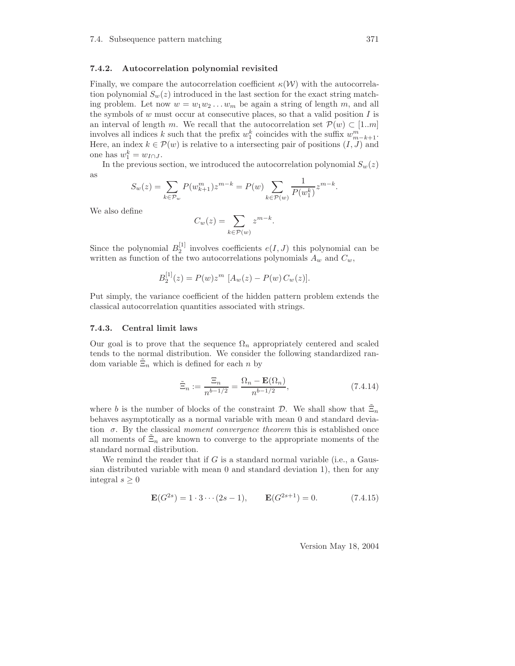## 7.4.2. Autocorrelation polynomial revisited

Finally, we compare the autocorrelation coefficient  $\kappa(\mathcal{W})$  with the autocorrelation polynomial  $S_w(z)$  introduced in the last section for the exact string matching problem. Let now  $w = w_1w_2...w_m$  be again a string of length m, and all the symbols of  $w$  must occur at consecutive places, so that a valid position  $I$  is an interval of length m. We recall that the autocorrelation set  $\mathcal{P}(w) \subset [1..m]$ involves all indices k such that the prefix  $w_1^k$  coincides with the suffix  $w_{m-k+1}^m$ . Here, an index  $k \in \mathcal{P}(w)$  is relative to a intersecting pair of positions  $(I, J)$  and one has  $w_1^k = w_{I \cap J}$ .

In the previous section, we introduced the autocorrelation polynomial  $S_w(z)$ as

$$
S_w(z) = \sum_{k \in \mathcal{P}_w} P(w_{k+1}^m) z^{m-k} = P(w) \sum_{k \in \mathcal{P}(w)} \frac{1}{P(w_1^k)} z^{m-k}.
$$

We also define

$$
C_w(z) = \sum_{k \in \mathcal{P}(w)} z^{m-k}.
$$

Since the polynomial  $B_2^{[1]}$  involves coefficients  $e(I, J)$  this polynomial can be written as function of the two autocorrelations polynomials  $A_w$  and  $C_w$ ,

$$
B_2^{[1]}(z) = P(w)z^m [A_w(z) - P(w) C_w(z)].
$$

Put simply, the variance coefficient of the hidden pattern problem extends the classical autocorrelation quantities associated with strings.

## 7.4.3. Central limit laws

Our goal is to prove that the sequence  $\Omega_n$  appropriately centered and scaled tends to the normal distribution. We consider the following standardized random variable  $\tilde{\Xi}_n$  which is defined for each n by

$$
\tilde{\Xi}_n := \frac{\Xi_n}{n^{b-1/2}} = \frac{\Omega_n - \mathbf{E}(\Omega_n)}{n^{b-1/2}},\tag{7.4.14}
$$

where b is the number of blocks of the constraint  $\mathcal{D}$ . We shall show that  $\tilde{\Xi}_n$ behaves asymptotically as a normal variable with mean 0 and standard deviation  $\sigma$ . By the classical moment convergence theorem this is established once all moments of  $\tilde{\Xi}_n$  are known to converge to the appropriate moments of the standard normal distribution.

We remind the reader that if  $G$  is a standard normal variable (i.e., a Gaussian distributed variable with mean 0 and standard deviation 1), then for any integral  $s \geq 0$ 

$$
\mathbf{E}(G^{2s}) = 1 \cdot 3 \cdots (2s - 1), \qquad \mathbf{E}(G^{2s+1}) = 0.
$$
 (7.4.15)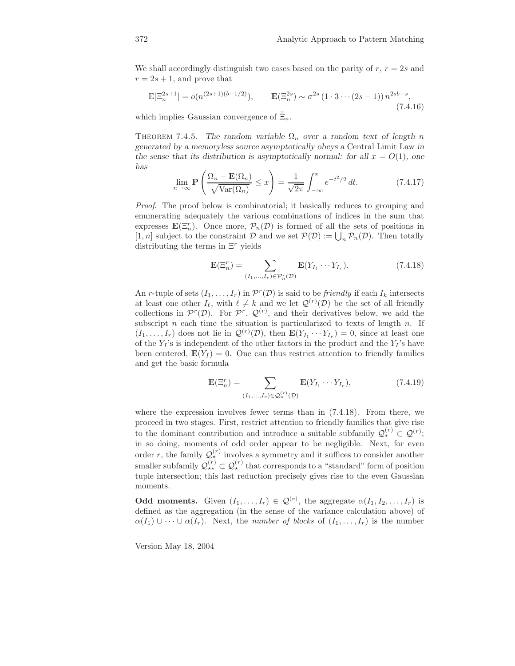We shall accordingly distinguish two cases based on the parity of  $r, r = 2s$  and  $r = 2s + 1$ , and prove that

$$
\mathbf{E}[\Xi_n^{2s+1}] = o(n^{(2s+1)(b-1/2)}), \qquad \mathbf{E}(\Xi_n^{2s}) \sim \sigma^{2s} (1 \cdot 3 \cdots (2s-1)) n^{2sb-s},
$$
\n(7.4.16)

which implies Gaussian convergence of  $\tilde{\Xi}_n$ .

THEOREM 7.4.5. The random variable  $\Omega_n$  over a random text of length n generated by a memoryless source asymptotically obeys a Central Limit Law in the sense that its distribution is asymptotically normal: for all  $x = O(1)$ , one has

$$
\lim_{n \to \infty} \mathbf{P}\left(\frac{\Omega_n - \mathbf{E}(\Omega_n)}{\sqrt{\text{Var}(\Omega_n)}} \le x\right) = \frac{1}{\sqrt{2\pi}} \int_{-\infty}^x e^{-t^2/2} dt. \tag{7.4.17}
$$

*Proof.* The proof below is combinatorial; it basically reduces to grouping and enumerating adequately the various combinations of indices in the sum that expresses  $\mathbf{E}(\Xi_n^r)$ . Once more,  $\mathcal{P}_n(\mathcal{D})$  is formed of all the sets of positions in [1, n] subject to the constraint  $\mathcal D$  and we set  $\mathcal P(\mathcal D) := \bigcup_n \mathcal P_n(\mathcal D)$ . Then totally distributing the terms in  $\Xi^r$  yields

$$
\mathbf{E}(\Xi_n^r) = \sum_{(I_1,\ldots,I_r)\in\mathcal{P}_n^r(\mathcal{D})} \mathbf{E}(Y_{I_1}\cdots Y_{I_r}).\tag{7.4.18}
$$

An *r*-tuple of sets  $(I_1, \ldots, I_r)$  in  $\mathcal{P}^r(\mathcal{D})$  is said to be *friendly* if each  $I_k$  intersects at least one other  $I_{\ell}$ , with  $\ell \neq k$  and we let  $\mathcal{Q}^{(r)}(\mathcal{D})$  be the set of all friendly collections in  $\mathcal{P}^r(\mathcal{D})$ . For  $\mathcal{P}^r$ ,  $\mathcal{Q}^{(r)}$ , and their derivatives below, we add the subscript  $n$  each time the situation is particularized to texts of length  $n$ . If  $(I_1, \ldots, I_r)$  does not lie in  $\mathcal{Q}^{(r)}(\mathcal{D})$ , then  $\mathbf{E}(Y_{I_1} \cdots Y_{I_r}) = 0$ , since at least one of the  $Y_I$ 's is independent of the other factors in the product and the  $Y_I$ 's have been centered,  $\mathbf{E}(Y_I) = 0$ . One can thus restrict attention to friendly families and get the basic formula

$$
\mathbf{E}(\Xi_n^r) = \sum_{(I_1,\ldots,I_r)\in\mathcal{Q}_n^{(r)}(\mathcal{D})} \mathbf{E}(Y_{I_1}\cdots Y_{I_r}),\tag{7.4.19}
$$

where the expression involves fewer terms than in  $(7.4.18)$ . From there, we proceed in two stages. First, restrict attention to friendly families that give rise to the dominant contribution and introduce a suitable subfamily  $\mathcal{Q}_{\star}^{(r)} \subset \mathcal{Q}_{\star}^{(r)}$ ; in so doing, moments of odd order appear to be negligible. Next, for even order r, the family  $Q_{\lambda}^{(r)}$  involves a symmetry and it suffices to consider another smaller subfamily  $\mathcal{Q}_{**}^{(r)} \subset \mathcal{Q}_{*}^{(r)}$  that corresponds to a "standard" form of position tuple intersection; this last reduction precisely gives rise to the even Gaussian moments.

**Odd moments.** Given  $(I_1, \ldots, I_r) \in \mathcal{Q}^{(r)}$ , the aggregate  $\alpha(I_1, I_2, \ldots, I_r)$  is defined as the aggregation (in the sense of the variance calculation above) of  $\alpha(I_1) \cup \cdots \cup \alpha(I_r)$ . Next, the number of blocks of  $(I_1, \ldots, I_r)$  is the number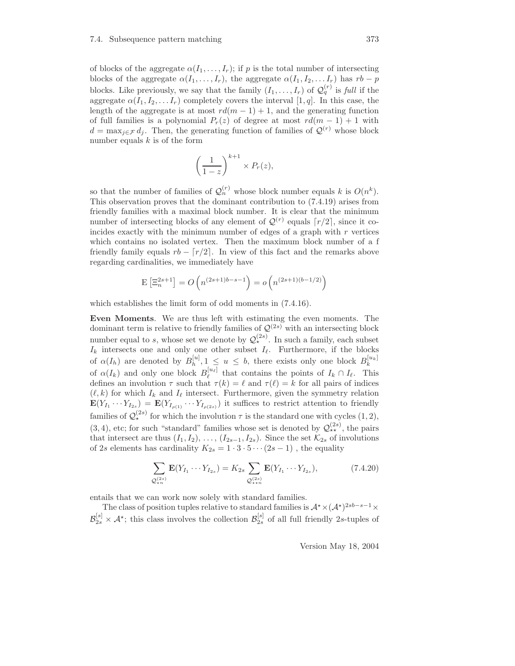of blocks of the aggregate  $\alpha(I_1, \ldots, I_r)$ ; if p is the total number of intersecting blocks of the aggregate  $\alpha(I_1, \ldots, I_r)$ , the aggregate  $\alpha(I_1, I_2, \ldots I_r)$  has  $rb - p$ blocks. Like previously, we say that the family  $(I_1, \ldots, I_r)$  of  $\mathcal{Q}_q^{(r)}$  is full if the aggregate  $\alpha(I_1, I_2, \ldots I_r)$  completely covers the interval [1, q]. In this case, the length of the aggregate is at most  $rd(m-1)+1$ , and the generating function of full families is a polynomial  $P_r(z)$  of degree at most  $rd(m-1)+1$  with  $d = \max_{i \in \mathcal{F}} d_i$ . Then, the generating function of families of  $\mathcal{Q}^{(r)}$  whose block number equals  $k$  is of the form

$$
\left(\frac{1}{1-z}\right)^{k+1} \times P_r(z),
$$

so that the number of families of  $\mathcal{Q}_n^{(r)}$  whose block number equals k is  $O(n^k)$ . This observation proves that the dominant contribution to (7.4.19) arises from friendly families with a maximal block number. It is clear that the minimum number of intersecting blocks of any element of  $\mathcal{Q}^{(r)}$  equals  $\lceil r/2 \rceil$ , since it coincides exactly with the minimum number of edges of a graph with  $r$  vertices which contains no isolated vertex. Then the maximum block number of a f friendly family equals  $rb - \lceil r/2 \rceil$ . In view of this fact and the remarks above regarding cardinalities, we immediately have

$$
E\left[\Xi_n^{2s+1}\right] = O\left(n^{(2s+1)b - s - 1}\right) = o\left(n^{(2s+1)(b-1/2)}\right)
$$

which establishes the limit form of odd moments in (7.4.16).

Even Moments. We are thus left with estimating the even moments. The dominant term is relative to friendly families of  $\mathcal{Q}^{(2s)}$  with an intersecting block number equal to s, whose set we denote by  $\mathcal{Q}_{\star}^{(2s)}$ . In such a family, each subset  $I_k$  intersects one and only one other subset  $I_\ell$ . Furthermore, if the blocks of  $\alpha(I_h)$  are denoted by  $B_h^{[u]}$  $\mathbb{R}^{[u]}_h, 1 \leq u \leq b$ , there exists only one block  $B_k^{[u_k]}$ of  $\alpha(I_k)$  and only one block  $B_{\ell}^{[u_{\ell}]}$  that contains the points of  $I_k \cap I_{\ell}$ . This defines an involution  $\tau$  such that  $\tau(k) = \ell$  and  $\tau(\ell) = k$  for all pairs of indices  $(\ell, k)$  for which  $I_k$  and  $I_\ell$  intersect. Furthermore, given the symmetry relation  $\mathbf{E}(Y_{I_1} \cdots Y_{I_{2s}}) = \mathbf{E}(Y_{I_{\rho(1)}} \cdots Y_{I_{\rho(2s)}})$  it suffices to restrict attention to friendly families of  $\mathcal{Q}_{\star}^{(2s)}$  for which the involution  $\tau$  is the standard one with cycles  $(1, 2)$ ,  $(3, 4)$ , etc; for such "standard" families whose set is denoted by  $\mathcal{Q}_{\star\star}^{(2s)}$ , the pairs that intersect are thus  $(I_1, I_2), \ldots, (I_{2s-1}, I_{2s})$ . Since the set  $\mathcal{K}_{2s}$  of involutions of 2s elements has cardinality  $K_{2s} = 1 \cdot 3 \cdot 5 \cdots (2s - 1)$ , the equality

$$
\sum_{\mathcal{Q}_{\star n}^{(2s)}} \mathbf{E}(Y_{I_1} \cdots Y_{I_{2s}}) = K_{2s} \sum_{\mathcal{Q}_{\star \star n}^{(2s)}} \mathbf{E}(Y_{I_1} \cdots Y_{I_{2s}}), \tag{7.4.20}
$$

entails that we can work now solely with standard families.

The class of position tuples relative to standard families is  $\mathcal{A}^* \times (\mathcal{A}^*)^{2sb-s-1} \times$  $\mathcal{B}_{2s}^{[s]} \times \mathcal{A}^*$ ; this class involves the collection  $\mathcal{B}_{2s}^{[s]}$  of all full friendly 2s-tuples of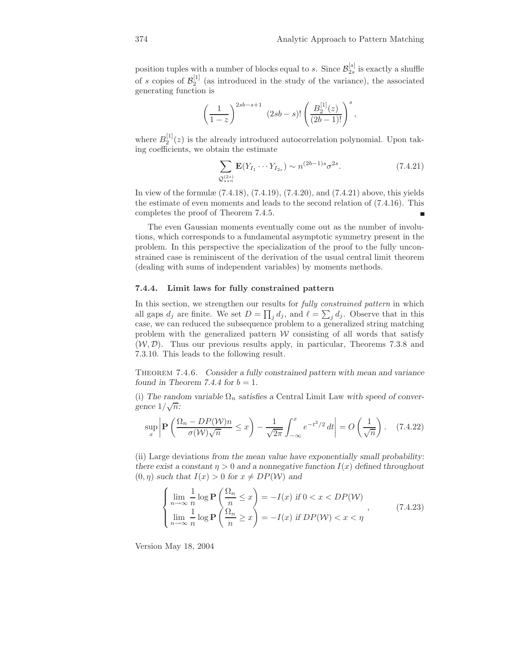,

position tuples with a number of blocks equal to s. Since  $\mathcal{B}_{2s}^{[s]}$  is exactly a shuffle of s copies of  $\mathcal{B}_2^{[1]}$  (as introduced in the study of the variance), the associated generating function is

$$
\left(\frac{1}{1-z}\right)^{2sb-s+1} (2sb-s)! \left(\frac{B_2^{[1]}(z)}{(2b-1)!}\right)^s
$$

where  $B_2^{[1]}(z)$  is the already introduced autocorrelation polynomial. Upon taking coefficients, we obtain the estimate

$$
\sum_{\mathcal{Q}_{\star\star n}^{(2s)}} \mathbf{E}(Y_{I_1} \cdots Y_{I_{2s}}) \sim n^{(2b-1)s} \sigma^{2s}.
$$
 (7.4.21)

In view of the formulæ (7.4.18), (7.4.19), (7.4.20), and (7.4.21) above, this yields the estimate of even moments and leads to the second relation of (7.4.16). This completes the proof of Theorem 7.4.5.

The even Gaussian moments eventually come out as the number of involutions, which corresponds to a fundamental asymptotic symmetry present in the problem. In this perspective the specialization of the proof to the fully unconstrained case is reminiscent of the derivation of the usual central limit theorem (dealing with sums of independent variables) by moments methods.

## 7.4.4. Limit laws for fully constrained pattern

In this section, we strengthen our results for *fully constrained pattern* in which all gaps  $d_j$  are finite. We set  $D = \prod_j d_j$ , and  $\ell = \sum_j d_j$ . Observe that in this case, we can reduced the subsequence problem to a generalized string matching problem with the generalized pattern  $W$  consisting of all words that satisfy  $(W, \mathcal{D})$ . Thus our previous results apply, in particular, Theorems 7.3.8 and 7.3.10. This leads to the following result.

Theorem 7.4.6. Consider a fully constrained pattern with mean and variance found in Theorem 7.4.4 for  $b = 1$ .

(i) The random variable  $\Omega_n$  satisfies a Central Limit Law with speed of convergence  $1/\sqrt{n}$ :

$$
\sup_{x} \left| \mathbf{P} \left( \frac{\Omega_n - DP(\mathcal{W})n}{\sigma(\mathcal{W})\sqrt{n}} \le x \right) - \frac{1}{\sqrt{2\pi}} \int_{-\infty}^x e^{-t^2/2} dt \right| = O\left(\frac{1}{\sqrt{n}}\right). \tag{7.4.22}
$$

(ii) Large deviations from the mean value have exponentially small probability: there exist a constant  $\eta > 0$  and a nonnegative function  $I(x)$  defined throughout  $(0, \eta)$  such that  $I(x) > 0$  for  $x \neq DP(W)$  and

$$
\begin{cases} \n\lim_{n \to \infty} \frac{1}{n} \log \mathbf{P} \left( \frac{\Omega_n}{n} \le x \right) = -I(x) \text{ if } 0 < x < DP(\mathcal{W}) \\
\lim_{n \to \infty} \frac{1}{n} \log \mathbf{P} \left( \frac{\Omega_n}{n} \ge x \right) = -I(x) \text{ if } DP(\mathcal{W}) < x < \eta\n\end{cases}
$$
\n(7.4.23)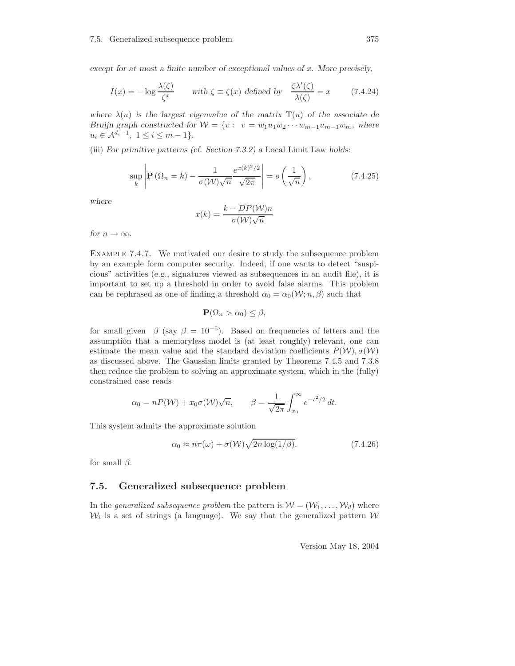except for at most a finite number of exceptional values of x. More precisely,

$$
I(x) = -\log \frac{\lambda(\zeta)}{\zeta^x} \quad \text{with } \zeta \equiv \zeta(x) \text{ defined by } \frac{\zeta \lambda'(\zeta)}{\lambda(\zeta)} = x \quad (7.4.24)
$$

where  $\lambda(u)$  is the largest eigenvalue of the matrix  $T(u)$  of the associate de Bruijn graph constructed for  $W = \{v : v = w_1u_1w_2\cdots w_{m-1}u_{m-1}w_m, \text{ where }$  $u_i \in \mathcal{A}^{d_i-1}, \ 1 \leq i \leq m-1 \}.$ 

(iii) For primitive patterns (cf. Section 7.3.2) a Local Limit Law holds:

$$
\sup_{k} \left| \mathbf{P}\left(\Omega_{n}=k\right) - \frac{1}{\sigma(\mathcal{W})\sqrt{n}} \frac{e^{x(k)^{2}/2}}{\sqrt{2\pi}} \right| = o\left(\frac{1}{\sqrt{n}}\right),\tag{7.4.25}
$$

where

$$
x(k) = \frac{k - DP(\mathcal{W})n}{\sigma(\mathcal{W})\sqrt{n}}
$$

for  $n \to \infty$ .

Example 7.4.7. We motivated our desire to study the subsequence problem by an example form computer security. Indeed, if one wants to detect "suspicious" activities (e.g., signatures viewed as subsequences in an audit file), it is important to set up a threshold in order to avoid false alarms. This problem can be rephrased as one of finding a threshold  $\alpha_0 = \alpha_0(\mathcal{W}; n, \beta)$  such that

$$
\mathbf{P}(\Omega_n > \alpha_0) \leq \beta,
$$

for small given  $\beta$  (say  $\beta = 10^{-5}$ ). Based on frequencies of letters and the assumption that a memoryless model is (at least roughly) relevant, one can estimate the mean value and the standard deviation coefficients  $P(W)$ ,  $\sigma(W)$ as discussed above. The Gaussian limits granted by Theorems 7.4.5 and 7.3.8 then reduce the problem to solving an approximate system, which in the (fully) constrained case reads

$$
\alpha_0 = nP(\mathcal{W}) + x_0 \sigma(\mathcal{W}) \sqrt{n}, \qquad \beta = \frac{1}{\sqrt{2\pi}} \int_{x_0}^{\infty} e^{-t^2/2} dt.
$$

This system admits the approximate solution

$$
\alpha_0 \approx n\pi(\omega) + \sigma(\mathcal{W})\sqrt{2n\log(1/\beta)}.
$$
\n(7.4.26)

for small  $\beta$ .

# 7.5. Generalized subsequence problem

In the *generalized subsequence problem* the pattern is  $W = (W_1, \ldots, W_d)$  where  $W_i$  is a set of strings (a language). We say that the generalized pattern  $W$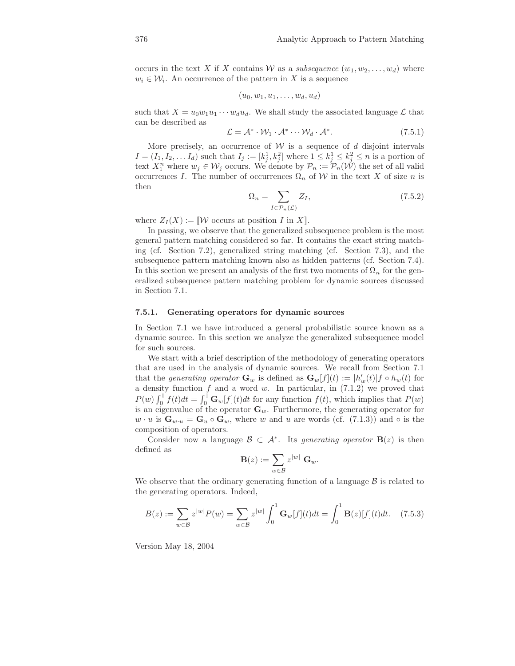occurs in the text X if X contains W as a *subsequence*  $(w_1, w_2, \ldots, w_d)$  where  $w_i \in \mathcal{W}_i$ . An occurrence of the pattern in X is a sequence

$$
(u_0,w_1,u_1,\ldots,w_d,u_d)
$$

such that  $X = u_0w_1u_1 \cdots u_du_d$ . We shall study the associated language  $\mathcal L$  that can be described as

$$
\mathcal{L} = \mathcal{A}^* \cdot \mathcal{W}_1 \cdot \mathcal{A}^* \cdots \mathcal{W}_d \cdot \mathcal{A}^*.
$$
 (7.5.1)

More precisely, an occurrence of  $W$  is a sequence of d disjoint intervals  $I = (I_1, I_2, \dots I_d)$  such that  $I_j := [k_j^1, k_j^2]$  where  $1 \leq k_j^1 \leq k_j^2 \leq n$  is a portion of text  $X_1^n$  where  $w_j \in W_j$  occurs. We denote by  $\mathcal{P}_n := \mathcal{P}_n(\mathcal{W})$  the set of all valid occurrences I. The number of occurrences  $\Omega_n$  of W in the text X of size n is then

$$
\Omega_n = \sum_{I \in \mathcal{P}_n(\mathcal{L})} Z_I,\tag{7.5.2}
$$

where  $Z_I(X) := \llbracket \mathcal{W} \text{ occurs at position } I \text{ in } X \rrbracket.$ 

In passing, we observe that the generalized subsequence problem is the most general pattern matching considered so far. It contains the exact string matching (cf. Section 7.2), generalized string matching (cf. Section 7.3), and the subsequence pattern matching known also as hidden patterns (cf. Section 7.4). In this section we present an analysis of the first two moments of  $\Omega_n$  for the generalized subsequence pattern matching problem for dynamic sources discussed in Section 7.1.

## 7.5.1. Generating operators for dynamic sources

In Section 7.1 we have introduced a general probabilistic source known as a dynamic source. In this section we analyze the generalized subsequence model for such sources.

We start with a brief description of the methodology of generating operators that are used in the analysis of dynamic sources. We recall from Section 7.1 that the *generating operator*  $\mathbf{G}_w$  is defined as  $\mathbf{G}_w[f](t) := |h'_w(t)| f \circ h_w(t)$  for a density function  $f$  and a word w. In particular, in  $(7.1.2)$  we proved that  $P(w) \int_0^1 f(t)dt = \int_0^1 \mathbf{G}_w[f](t)dt$  for any function  $f(t)$ , which implies that  $P(w)$ is an eigenvalue of the operator  $\mathbf{G}_w$ . Furthermore, the generating operator for  $w \cdot u$  is  $\mathbf{G}_{w \cdot u} = \mathbf{G}_u \circ \mathbf{G}_w$ , where w and u are words (cf. (7.1.3)) and  $\circ$  is the composition of operators.

Consider now a language  $\mathcal{B} \subset \mathcal{A}^*$ . Its *generating operator*  $B(z)$  is then defined as

$$
\mathbf{B}(z) := \sum_{w \in \mathcal{B}} z^{|w|} \mathbf{G}_w.
$$

We observe that the ordinary generating function of a language  $\beta$  is related to the generating operators. Indeed,

$$
B(z) := \sum_{w \in \mathcal{B}} z^{|w|} P(w) = \sum_{w \in \mathcal{B}} z^{|w|} \int_0^1 \mathbf{G}_w[f](t) dt = \int_0^1 \mathbf{B}(z)[f](t) dt. \tag{7.5.3}
$$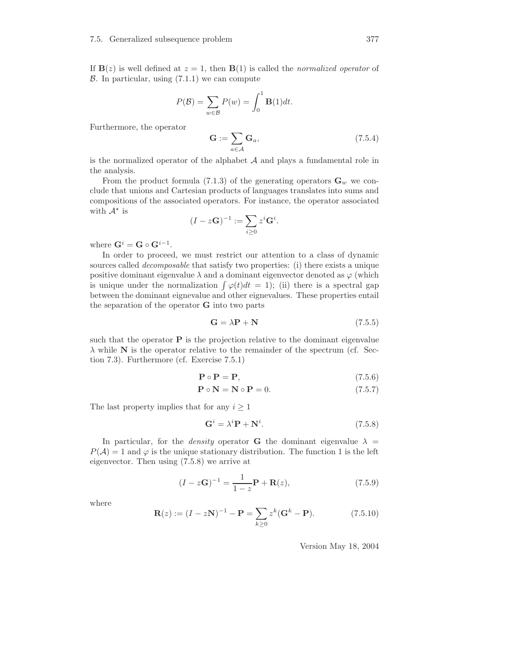If  $\mathbf{B}(z)$  is well defined at  $z = 1$ , then  $\mathbf{B}(1)$  is called the normalized operator of  $\beta$ . In particular, using  $(7.1.1)$  we can compute

$$
P(\mathcal{B}) = \sum_{w \in \mathcal{B}} P(w) = \int_0^1 \mathbf{B}(1) dt.
$$

Furthermore, the operator

$$
\mathbf{G} := \sum_{a \in \mathcal{A}} \mathbf{G}_a,\tag{7.5.4}
$$

is the normalized operator of the alphabet  $A$  and plays a fundamental role in the analysis.

From the product formula (7.1.3) of the generating operators  $\mathbf{G}_w$  we conclude that unions and Cartesian products of languages translates into sums and compositions of the associated operators. For instance, the operator associated with  $\mathcal{A}^*$  is

$$
(I-z\mathbf{G})^{-1} := \sum_{i\geq 0} z^i \mathbf{G}^i.
$$

where  $\mathbf{G}^i = \mathbf{G} \circ \mathbf{G}^{i-1}$ .

In order to proceed, we must restrict our attention to a class of dynamic sources called decomposable that satisfy two properties: (i) there exists a unique positive dominant eigenvalue  $\lambda$  and a dominant eigenvector denoted as  $\varphi$  (which is unique under the normalization  $\int \varphi(t)dt = 1$ ; (ii) there is a spectral gap between the dominant eignevalue and other eignevalues. These properties entail the separation of the operator G into two parts

$$
\mathbf{G} = \lambda \mathbf{P} + \mathbf{N} \tag{7.5.5}
$$

such that the operator  $P$  is the projection relative to the dominant eigenvalue  $\lambda$  while N is the operator relative to the remainder of the spectrum (cf. Section 7.3). Furthermore (cf. Exercise 7.5.1)

$$
\mathbf{P} \circ \mathbf{P} = \mathbf{P},\tag{7.5.6}
$$

$$
\mathbf{P} \circ \mathbf{N} = \mathbf{N} \circ \mathbf{P} = 0. \tag{7.5.7}
$$

The last property implies that for any  $i \geq 1$ 

$$
\mathbf{G}^i = \lambda^i \mathbf{P} + \mathbf{N}^i. \tag{7.5.8}
$$

In particular, for the *density* operator **G** the dominant eigenvalue  $\lambda$  =  $P(\mathcal{A}) = 1$  and  $\varphi$  is the unique stationary distribution. The function 1 is the left eigenvector. Then using (7.5.8) we arrive at

$$
(I - z\mathbf{G})^{-1} = \frac{1}{1 - z}\mathbf{P} + \mathbf{R}(z),
$$
\n(7.5.9)

where

$$
\mathbf{R}(z) := (I - z\mathbf{N})^{-1} - \mathbf{P} = \sum_{k \ge 0} z^k (\mathbf{G}^k - \mathbf{P}).
$$
 (7.5.10)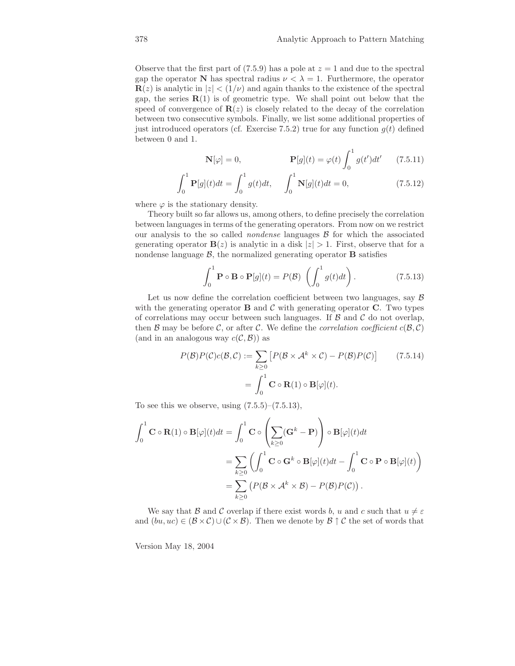Observe that the first part of  $(7.5.9)$  has a pole at  $z = 1$  and due to the spectral gap the operator **N** has spectral radius  $\nu < \lambda = 1$ . Furthermore, the operator  $\mathbf{R}(z)$  is analytic in  $|z| < (1/\nu)$  and again thanks to the existence of the spectral gap, the series  $R(1)$  is of geometric type. We shall point out below that the speed of convergence of  $\mathbf{R}(z)$  is closely related to the decay of the correlation between two consecutive symbols. Finally, we list some additional properties of just introduced operators (cf. Exercise 7.5.2) true for any function  $g(t)$  defined between 0 and 1.

$$
\mathbf{N}[\varphi] = 0, \qquad \mathbf{P}[g](t) = \varphi(t) \int_0^1 g(t')dt' \qquad (7.5.11)
$$

$$
\int_0^1 \mathbf{P}[g](t)dt = \int_0^1 g(t)dt, \quad \int_0^1 \mathbf{N}[g](t)dt = 0,
$$
\n(7.5.12)

where  $\varphi$  is the stationary density.

Theory built so far allows us, among others, to define precisely the correlation between languages in terms of the generating operators. From now on we restrict our analysis to the so called *nondense* languages  $\beta$  for which the associated generating operator  $B(z)$  is analytic in a disk  $|z| > 1$ . First, observe that for a nondense language  $\beta$ , the normalized generating operator **B** satisfies

$$
\int_0^1 \mathbf{P} \circ \mathbf{B} \circ \mathbf{P}[g](t) = P(\mathcal{B}) \left( \int_0^1 g(t) dt \right). \tag{7.5.13}
$$

Let us now define the correlation coefficient between two languages, say  $\beta$ with the generating operator **B** and  $\mathcal{C}$  with generating operator **C**. Two types of correlations may occur between such languages. If  $\beta$  and  $\beta$  do not overlap, then  $\mathcal B$  may be before  $\mathcal C$ , or after  $\mathcal C$ . We define the *correlation coefficient*  $c(\mathcal B, \mathcal C)$ (and in an analogous way  $c(C, \mathcal{B})$ ) as

$$
P(\mathcal{B})P(\mathcal{C})c(\mathcal{B}, \mathcal{C}) := \sum_{k \ge 0} \left[ P(\mathcal{B} \times \mathcal{A}^k \times \mathcal{C}) - P(\mathcal{B})P(\mathcal{C}) \right]
$$
(7.5.14)  
= 
$$
\int_0^1 \mathbf{C} \circ \mathbf{R}(1) \circ \mathbf{B}[\varphi](t).
$$

To see this we observe, using  $(7.5.5)-(7.5.13)$ ,

$$
\int_0^1 \mathbf{C} \circ \mathbf{R}(1) \circ \mathbf{B}[\varphi](t) dt = \int_0^1 \mathbf{C} \circ \left( \sum_{k \ge 0} (\mathbf{G}^k - \mathbf{P}) \right) \circ \mathbf{B}[\varphi](t) dt
$$

$$
= \sum_{k \ge 0} \left( \int_0^1 \mathbf{C} \circ \mathbf{G}^k \circ \mathbf{B}[\varphi](t) dt - \int_0^1 \mathbf{C} \circ \mathbf{P} \circ \mathbf{B}[\varphi](t) \right)
$$

$$
= \sum_{k \ge 0} \left( P(\mathcal{B} \times \mathcal{A}^k \times \mathcal{B}) - P(\mathcal{B})P(\mathcal{C}) \right).
$$

We say that B and C overlap if there exist words b, u and c such that  $u \neq \varepsilon$ and  $(bu, uc) \in (B \times C) \cup (C \times B)$ . Then we denote by  $B \uparrow C$  the set of words that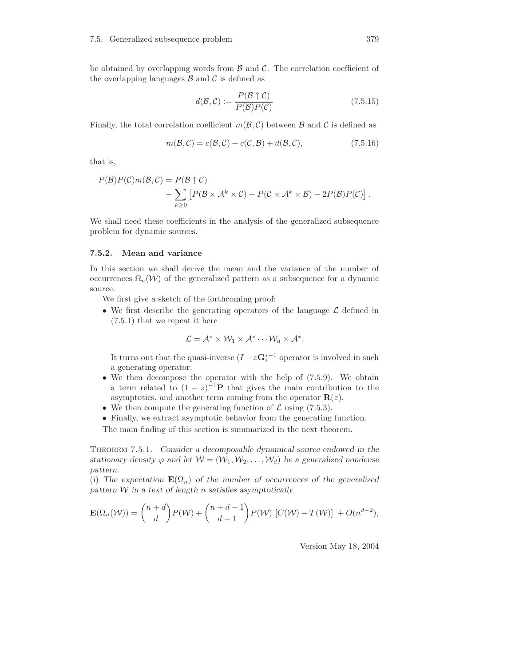be obtained by overlapping words from  $\beta$  and  $\beta$ . The correlation coefficient of the overlapping languages  $\beta$  and  $\beta$  is defined as

$$
d(\mathcal{B}, \mathcal{C}) := \frac{P(\mathcal{B} \uparrow \mathcal{C})}{P(\mathcal{B})P(\mathcal{C})}
$$
(7.5.15)

Finally, the total correlation coefficient  $m(\mathcal{B}, \mathcal{C})$  between  $\mathcal{B}$  and  $\mathcal{C}$  is defined as

$$
m(\mathcal{B}, \mathcal{C}) = c(\mathcal{B}, \mathcal{C}) + c(\mathcal{C}, \mathcal{B}) + d(\mathcal{B}, \mathcal{C}), \tag{7.5.16}
$$

that is,

$$
P(\mathcal{B})P(\mathcal{C})m(\mathcal{B}, \mathcal{C}) = P(\mathcal{B} \uparrow \mathcal{C}) + \sum_{k \geq 0} \left[ P(\mathcal{B} \times \mathcal{A}^k \times \mathcal{C}) + P(\mathcal{C} \times \mathcal{A}^k \times \mathcal{B}) - 2P(\mathcal{B})P(\mathcal{C}) \right].
$$

We shall need these coefficients in the analysis of the generalized subsequence problem for dynamic sources.

# 7.5.2. Mean and variance

In this section we shall derive the mean and the variance of the number of occurrences  $\Omega_n(\mathcal{W})$  of the generalized pattern as a subsequence for a dynamic source.

We first give a sketch of the forthcoming proof:

• We first describe the generating operators of the language  $\mathcal L$  defined in (7.5.1) that we repeat it here

$$
\mathcal{L} = \mathcal{A}^* \times \mathcal{W}_1 \times \mathcal{A}^* \cdots \mathcal{W}_d \times \mathcal{A}^*.
$$

It turns out that the quasi-inverse  $(I - zG)^{-1}$  operator is involved in such a generating operator.

- We then decompose the operator with the help of  $(7.5.9)$ . We obtain a term related to  $(1-z)^{-1}P$  that gives the main contribution to the asymptotics, and another term coming from the operator  $\mathbf{R}(z)$ .
- We then compute the generating function of  $\mathcal{L}$  using (7.5.3).
- Finally, we extract asymptotic behavior from the generating function.

The main finding of this section is summarized in the next theorem.

Theorem 7.5.1. Consider a decomposable dynamical source endowed in the stationary density  $\varphi$  and let  $W = (W_1, W_2, \ldots, W_d)$  be a generalized nondense pattern.

(i) The expectation  $\mathbf{E}(\Omega_n)$  of the number of occurrences of the generalized pattern  $W$  in a text of length n satisfies asymptotically

$$
\mathbf{E}(\Omega_n(\mathcal{W})) = \binom{n+d}{d} P(\mathcal{W}) + \binom{n+d-1}{d-1} P(\mathcal{W}) [C(\mathcal{W}) - T(\mathcal{W})] + O(n^{d-2}),
$$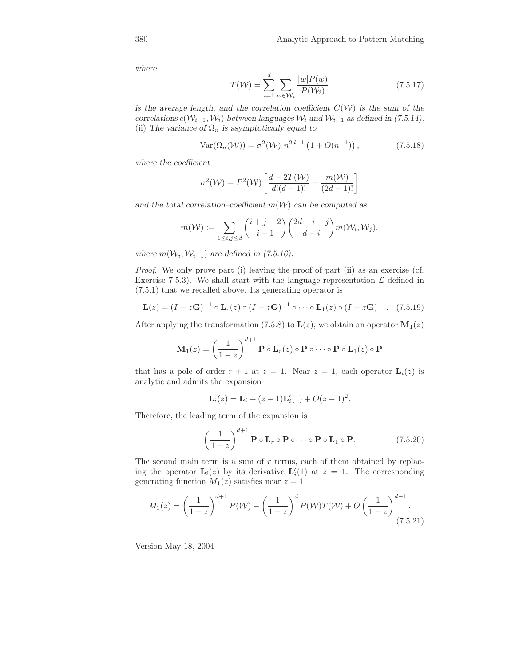where

$$
T(W) = \sum_{i=1}^{d} \sum_{w \in \mathcal{W}_i} \frac{|w| P(w)}{P(\mathcal{W}_i)}
$$
(7.5.17)

is the average length, and the correlation coefficient  $C(\mathcal{W})$  is the sum of the correlations  $c(W_{i-1}, W_i)$  between languages  $W_i$  and  $W_{i+1}$  as defined in (7.5.14). (ii) The variance of  $\Omega_n$  is asymptotically equal to

$$
Var(\Omega_n(\mathcal{W})) = \sigma^2(\mathcal{W}) n^{2d-1} (1 + O(n^{-1})), \qquad (7.5.18)
$$

where the coefficient

$$
\sigma^{2}(\mathcal{W}) = P^{2}(\mathcal{W}) \left[ \frac{d - 2T(\mathcal{W})}{d!(d-1)!} + \frac{m(\mathcal{W})}{(2d-1)!} \right]
$$

and the total correlation–coefficient  $m(W)$  can be computed as

$$
m(\mathcal{W}) := \sum_{1 \leq i,j \leq d} {i+j-2 \choose i-1} {2d-i-j \choose d-i} m(\mathcal{W}_i, \mathcal{W}_j).
$$

where  $m(\mathcal{W}_i, \mathcal{W}_{i+1})$  are defined in (7.5.16).

Proof. We only prove part (i) leaving the proof of part (ii) as an exercise (cf. Exercise 7.5.3). We shall start with the language representation  $\mathcal L$  defined in (7.5.1) that we recalled above. Its generating operator is

$$
\mathbf{L}(z) = (I - z\mathbf{G})^{-1} \circ \mathbf{L}_r(z) \circ (I - z\mathbf{G})^{-1} \circ \cdots \circ \mathbf{L}_1(z) \circ (I - z\mathbf{G})^{-1}.
$$
 (7.5.19)

After applying the transformation (7.5.8) to  $\mathbf{L}(z)$ , we obtain an operator  $\mathbf{M}_1(z)$ 

$$
\mathbf{M}_1(z) = \left(\frac{1}{1-z}\right)^{d+1} \mathbf{P} \circ \mathbf{L}_r(z) \circ \mathbf{P} \circ \cdots \circ \mathbf{P} \circ \mathbf{L}_1(z) \circ \mathbf{P}
$$

that has a pole of order  $r + 1$  at  $z = 1$ . Near  $z = 1$ , each operator  $\mathbf{L}_i(z)$  is analytic and admits the expansion

$$
\mathbf{L}_{i}(z) = \mathbf{L}_{i} + (z - 1)\mathbf{L}'_{i}(1) + O(z - 1)^{2}.
$$

Therefore, the leading term of the expansion is

$$
\left(\frac{1}{1-z}\right)^{d+1} \mathbf{P} \circ \mathbf{L}_r \circ \mathbf{P} \circ \cdots \circ \mathbf{P} \circ \mathbf{L}_1 \circ \mathbf{P}.\tag{7.5.20}
$$

The second main term is a sum of  $r$  terms, each of them obtained by replacing the operator  $\mathbf{L}_i(z)$  by its derivative  $\mathbf{L}'_i(1)$  at  $z = 1$ . The corresponding generating function  $M_1(z)$  satisfies near  $z = 1$ 

$$
M_1(z) = \left(\frac{1}{1-z}\right)^{d+1} P(\mathcal{W}) - \left(\frac{1}{1-z}\right)^d P(\mathcal{W})T(\mathcal{W}) + O\left(\frac{1}{1-z}\right)^{d-1}.
$$
\n(7.5.21)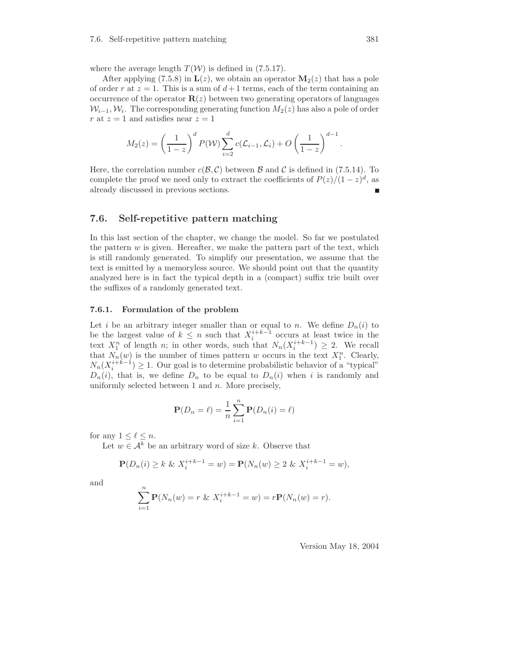where the average length  $T(W)$  is defined in (7.5.17).

After applying (7.5.8) in  $\mathbf{L}(z)$ , we obtain an operator  $\mathbf{M}_2(z)$  that has a pole of order r at  $z = 1$ . This is a sum of  $d+1$  terms, each of the term containing an occurrence of the operator  $\mathbf{R}(z)$  between two generating operators of languages  $W_{i-1}, W_i$ . The corresponding generating function  $M_2(z)$  has also a pole of order r at  $z = 1$  and satisfies near  $z = 1$ 

$$
M_2(z) = \left(\frac{1}{1-z}\right)^d P(\mathcal{W}) \sum_{i=2}^d c(\mathcal{L}_{i-1}, \mathcal{L}_i) + O\left(\frac{1}{1-z}\right)^{d-1}.
$$

Here, the correlation number  $c(\mathcal{B}, \mathcal{C})$  between  $\mathcal B$  and  $\mathcal C$  is defined in (7.5.14). To complete the proof we need only to extract the coefficients of  $P(z)/(1-z)^d$ , as already discussed in previous sections.

# 7.6. Self-repetitive pattern matching

In this last section of the chapter, we change the model. So far we postulated the pattern  $w$  is given. Hereafter, we make the pattern part of the text, which is still randomly generated. To simplify our presentation, we assume that the text is emitted by a memoryless source. We should point out that the quantity analyzed here is in fact the typical depth in a (compact) suffix trie built over the suffixes of a randomly generated text.

# 7.6.1. Formulation of the problem

Let i be an arbitrary integer smaller than or equal to n. We define  $D_n(i)$  to be the largest value of  $k \leq n$  such that  $X_i^{i+k-1}$  occurs at least twice in the text  $X_1^n$  of length n; in other words, such that  $N_n(X_i^{i+k-1}) \geq 2$ . We recall that  $N_n(w)$  is the number of times pattern w occurs in the text  $X_1^n$ . Clearly,  $N_n(X_i^{i+k-1}) \geq 1$ . Our goal is to determine probabilistic behavior of a "typical"  $D_n(i)$ , that is, we define  $D_n$  to be equal to  $D_n(i)$  when i is randomly and uniformly selected between 1 and  $n$ . More precisely,

$$
\mathbf{P}(D_n = \ell) = \frac{1}{n} \sum_{i=1}^n \mathbf{P}(D_n(i) = \ell)
$$

for any  $1 \leq \ell \leq n$ .

Let  $w \in A^k$  be an arbitrary word of size k. Observe that

$$
\mathbf{P}(D_n(i) \ge k \& X_i^{i+k-1} = w) = \mathbf{P}(N_n(w) \ge 2 \& X_i^{i+k-1} = w),
$$

and

$$
\sum_{i=1}^{n} \mathbf{P}(N_n(w) = r \& X_i^{i+k-1} = w) = r \mathbf{P}(N_n(w) = r).
$$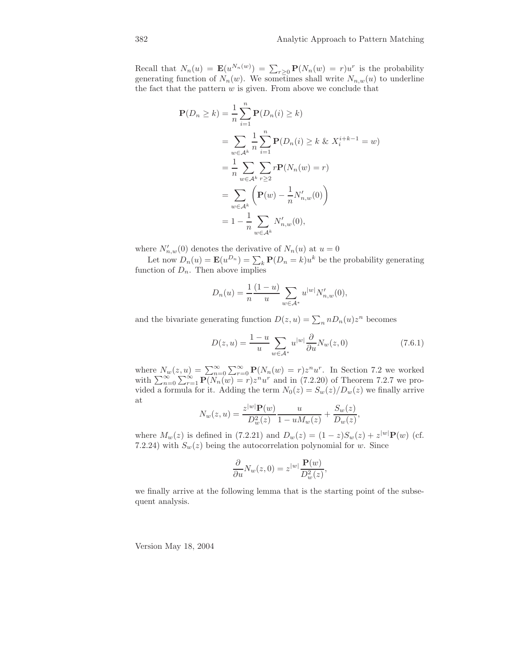Recall that  $N_n(u) = \mathbf{E}(u^{N_n(w)}) = \sum_{r \geq 0} \mathbf{P}(N_n(w)) = r^2 u^r$  is the probability generating function of  $N_n(w)$ . We sometimes shall write  $N_{n,w}(u)$  to underline the fact that the pattern  $w$  is given. From above we conclude that

$$
\mathbf{P}(D_n \ge k) = \frac{1}{n} \sum_{i=1}^n \mathbf{P}(D_n(i) \ge k)
$$
  
= 
$$
\sum_{w \in A^k} \frac{1}{n} \sum_{i=1}^n \mathbf{P}(D_n(i) \ge k \& X_i^{i+k-1} = w)
$$
  
= 
$$
\frac{1}{n} \sum_{w \in A^k} \sum_{r \ge 2} r \mathbf{P}(N_n(w) = r)
$$
  
= 
$$
\sum_{w \in A^k} \left( \mathbf{P}(w) - \frac{1}{n} N'_{n,w}(0) \right)
$$
  
= 
$$
1 - \frac{1}{n} \sum_{w \in A^k} N'_{n,w}(0),
$$

where  $N'_{n,w}(0)$  denotes the derivative of  $N_n(u)$  at  $u=0$ 

Let now  $D_n(u) = \mathbf{E}(u^{D_n}) = \sum_k \mathbf{P}(D_n = k)u^k$  be the probability generating function of  $D_n$ . Then above implies

$$
D_n(u) = \frac{1}{n} \frac{(1-u)}{u} \sum_{w \in A^*} u^{|w|} N'_{n,w}(0),
$$

and the bivariate generating function  $D(z, u) = \sum_n n D_n(u) z^n$  becomes

$$
D(z, u) = \frac{1 - u}{u} \sum_{w \in A^*} u^{|w|} \frac{\partial}{\partial u} N_w(z, 0)
$$
\n(7.6.1)

where  $N_w(z, u) = \sum_{n=0}^{\infty} \sum_{r=0}^{\infty} P(N_n(w) = r) z^n u^r$ . In Section 7.2 we worked with  $\sum_{n=0}^{\infty} \sum_{r=1}^{\infty} \mathbf{P}(N_n(w) = r) z^n u^r$  and in (7.2.20) of Theorem 7.2.7 we provided a formula for it. Adding the term  $N_0(z) = S_w(z)/D_w(z)$  we finally arrive at

$$
N_w(z, u) = \frac{z^{|w|} \mathbf{P}(w)}{D_w^2(z)} \frac{u}{1 - uM_w(z)} + \frac{S_w(z)}{D_w(z)},
$$

where  $M_w(z)$  is defined in (7.2.21) and  $D_w(z) = (1-z)S_w(z) + z^{|w|}\mathbf{P}(w)$  (cf. 7.2.24) with  $S_w(z)$  being the autocorrelation polynomial for w. Since

$$
\frac{\partial}{\partial u}N_w(z,0) = z^{|w|} \frac{\mathbf{P}(w)}{D_w^2(z)},
$$

we finally arrive at the following lemma that is the starting point of the subsequent analysis.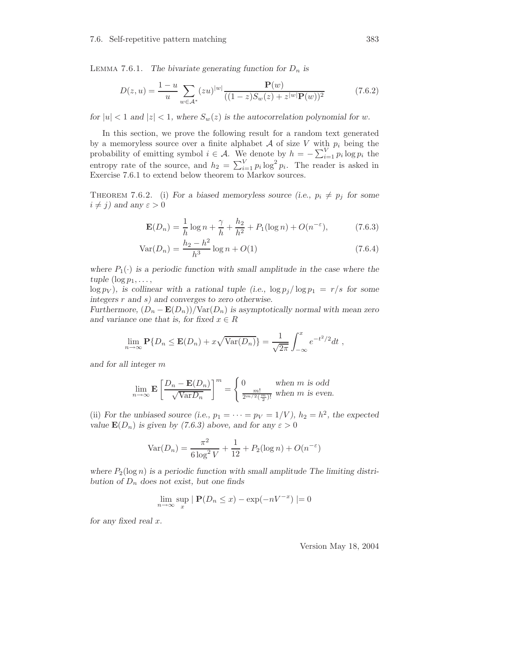LEMMA 7.6.1. The bivariate generating function for  $D_n$  is

$$
D(z, u) = \frac{1 - u}{u} \sum_{w \in A^*} (zu)^{|w|} \frac{\mathbf{P}(w)}{((1 - z)S_w(z) + z^{|w|}\mathbf{P}(w))^2}
$$
(7.6.2)

for  $|u| < 1$  and  $|z| < 1$ , where  $S_w(z)$  is the autocorrelation polynomial for w.

In this section, we prove the following result for a random text generated by a memoryless source over a finite alphabet  $A$  of size V with  $p_i$  being the probability of emitting symbol  $i \in \mathcal{A}$ . We denote by  $h = -\sum_{i=1}^{V} p_i \log p_i$  the entropy rate of the source, and  $h_2 = \sum_{i=1}^{V} p_i \log^2 p_i$ . The reader is asked in Exercise 7.6.1 to extend below theorem to Markov sources.

THEOREM 7.6.2. (i) For a biased memoryless source (i.e.,  $p_i \neq p_j$  for some  $i \neq j$ ) and any  $\varepsilon > 0$ 

$$
\mathbf{E}(D_n) = \frac{1}{h} \log n + \frac{\gamma}{h} + \frac{h_2}{h^2} + P_1(\log n) + O(n^{-\epsilon}),\tag{7.6.3}
$$

$$
Var(D_n) = \frac{h_2 - h^2}{h^3} \log n + O(1)
$$
\n(7.6.4)

where  $P_1(\cdot)$  is a periodic function with small amplitude in the case where the tuple  $(\log p_1, \ldots,$ 

 $\log p_V$ ), is collinear with a rational tuple (i.e.,  $\log p_j / \log p_1 = r/s$  for some integers r and s) and converges to zero otherwise.

Furthermore,  $(D_n - \mathbf{E}(D_n))/\text{Var}(D_n)$  is asymptotically normal with mean zero and variance one that is, for fixed  $x \in R$ 

$$
\lim_{n \to \infty} \mathbf{P} \{ D_n \le \mathbf{E}(D_n) + x \sqrt{\text{Var}(D_n)} \} = \frac{1}{\sqrt{2\pi}} \int_{-\infty}^x e^{-t^2/2} dt ,
$$

and for all integer m

$$
\lim_{n \to \infty} \mathbf{E} \left[ \frac{D_n - \mathbf{E}(D_n)}{\sqrt{\text{Var} D_n}} \right]^m = \begin{cases} 0 & \text{when } m \text{ is odd} \\ \frac{m!}{2^{m/2} \left( \frac{m}{2} \right)!} & \text{when } m \text{ is even.} \end{cases}
$$

(ii) For the unbiased source (i.e.,  $p_1 = \cdots = p_V = 1/V$ ),  $h_2 = h^2$ , the expected value  $\mathbf{E}(D_n)$  is given by (7.6.3) above, and for any  $\varepsilon > 0$ 

$$
Var(D_n) = \frac{\pi^2}{6 \log^2 V} + \frac{1}{12} + P_2(\log n) + O(n^{-\epsilon})
$$

where  $P_2(\log n)$  is a periodic function with small amplitude The limiting distribution of  $D_n$  does not exist, but one finds

$$
\lim_{n \to \infty} \sup_x \mid \mathbf{P}(D_n \le x) - \exp(-nV^{-x}) \mid = 0
$$

for any fixed real  $x$ .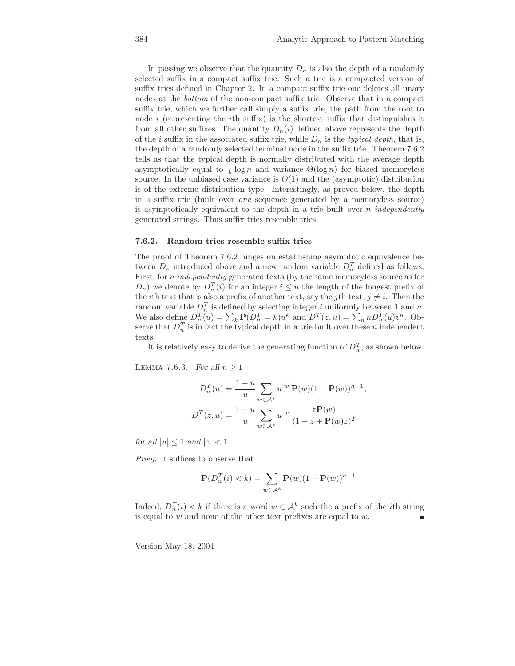In passing we observe that the quantity  $D_n$  is also the depth of a randomly selected suffix in a compact suffix trie. Such a trie is a compacted version of suffix tries defined in Chapter 2. In a compact suffix trie one deletes all unary nodes at the bottom of the non-compact suffix trie. Observe that in a compact suffix trie, which we further call simply a suffix trie, the path from the root to node  $i$  (representing the *i*th suffix) is the shortest suffix that distinguishes it from all other suffixes. The quantity  $D_n(i)$  defined above represents the depth of the *i* suffix in the associated suffix trie, while  $D_n$  is the *typical depth*, that is, the depth of a randomly selected terminal node in the suffix trie. Theorem 7.6.2 tells us that the typical depth is normally distributed with the average depth asymptotically equal to  $\frac{1}{h} \log n$  and variance  $\Theta(\log n)$  for biased memoryless source. In the unbiased case variance is  $O(1)$  and the (asymptotic) distribution is of the extreme distribution type. Interestingly, as proved below, the depth in a suffix trie (built over one sequence generated by a memoryless source) is asymptotically equivalent to the depth in a trie built over  $n$  independently generated strings. Thus suffix tries resemble tries!

## 7.6.2. Random tries resemble suffix tries

The proof of Theorem 7.6.2 hinges on establishing asymptotic equivalence between  $D_n$  introduced above and a new random variable  $D_n^T$  defined as follows: First, for *n* independently generated texts (by the same memoryless source as for  $D_n$ ) we denote by  $D_n^T(i)$  for an integer  $i \leq n$  the length of the longest prefix of the *i*th text that is also a prefix of another text, say the *j*th text,  $j \neq i$ . Then the random variable  $D_n^T$  is defined by selecting integer i uniformly between 1 and n. We also define  $D_n^T(u) = \sum_k \mathbf{P}(D_n^T = k)u^k$  and  $D^T(z, u) = \sum_n n D_n^T(u)z^n$ . Observe that  $D_n^T$  is in fact the typical depth in a trie built over these n independent texts.

It is relatively easy to derive the generating function of  $D_n^T$ , as shown below.

LEMMA 7.6.3. For all  $n \geq 1$ 

$$
D_n^T(u) = \frac{1-u}{u} \sum_{w \in A^*} u^{|w|} \mathbf{P}(w) (1 - \mathbf{P}(w))^{n-1},
$$
  

$$
D^T(z, u) = \frac{1-u}{u} \sum_{w \in A^*} u^{|w|} \frac{z\mathbf{P}(w)}{(1 - z + \mathbf{P}(w)z)^2}
$$

for all  $|u| < 1$  and  $|z| < 1$ .

Proof. It suffices to observe that

$$
\mathbf{P}(D_n^T(i) < k) = \sum_{w \in \mathcal{A}^k} \mathbf{P}(w)(1 - \mathbf{P}(w))^{n-1}.
$$

Indeed,  $D_n^T(i) < k$  if there is a word  $w \in \mathcal{A}^k$  such the a prefix of the *i*th string is equal to  $w$  and none of the other text prefixes are equal to  $w$ .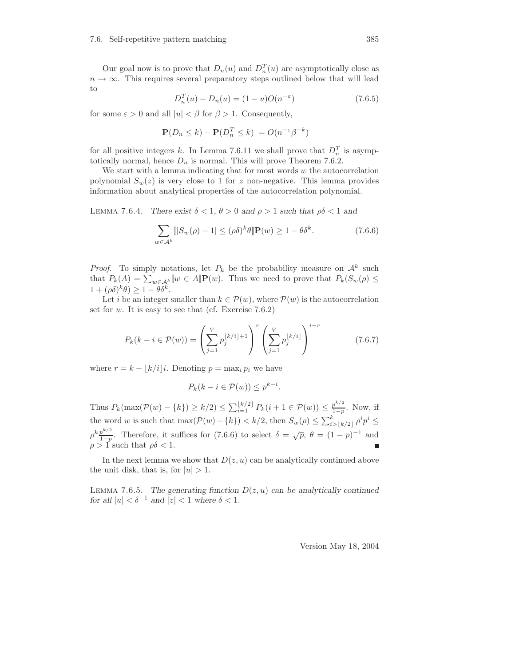Our goal now is to prove that  $D_n(u)$  and  $D_n^T(u)$  are asymptotically close as  $n \to \infty$ . This requires several preparatory steps outlined below that will lead to

$$
D_n^T(u) - D_n(u) = (1 - u)O(n^{-\varepsilon})
$$
\n(7.6.5)

for some  $\varepsilon > 0$  and all  $|u| < \beta$  for  $\beta > 1$ . Consequently,

$$
|\mathbf{P}(D_n \le k) - \mathbf{P}(D_n^T \le k)| = O(n^{-\varepsilon}\beta^{-k})
$$

for all positive integers k. In Lemma 7.6.11 we shall prove that  $D_n^T$  is asymptotically normal, hence  $D_n$  is normal. This will prove Theorem 7.6.2.

We start with a lemma indicating that for most words  $w$  the autocorrelation polynomial  $S_w(z)$  is very close to 1 for z non-negative. This lemma provides information about analytical properties of the autocorrelation polynomial.

LEMMA 7.6.4. There exist  $\delta < 1$ ,  $\theta > 0$  and  $\rho > 1$  such that  $\rho \delta < 1$  and

$$
\sum_{w \in \mathcal{A}^k} [|S_w(\rho) - 1| \le (\rho \delta)^k \theta] \mathbf{P}(w) \ge 1 - \theta \delta^k. \tag{7.6.6}
$$

*Proof.* To simply notations, let  $P_k$  be the probability measure on  $\mathcal{A}^k$  such that  $P_k(A) = \sum_{w \in A^k} [w \in A] \mathbf{P}(w)$ . Thus we need to prove that  $P_k(S_w(\rho) \leq$  $1 + (\rho \delta)^k \theta \geq 1 - \theta \delta^k.$ 

Let i be an integer smaller than  $k \in \mathcal{P}(w)$ , where  $\mathcal{P}(w)$  is the autocorrelation set for  $w$ . It is easy to see that (cf. Exercise 7.6.2)

$$
P_k(k - i \in \mathcal{P}(w)) = \left(\sum_{j=1}^{V} p_j^{\lfloor k/i \rfloor + 1}\right)^r \left(\sum_{j=1}^{V} p_j^{\lfloor k/i \rfloor}\right)^{i - r}
$$
(7.6.7)

where  $r = k - |k/i|i$ . Denoting  $p = \max_i p_i$  we have

$$
P_k(k - i \in \mathcal{P}(w)) \le p^{k-i}.
$$

Thus  $P_k(\max(\mathcal{P}(w) - \{k\}) \ge k/2) \le \sum_{i=1}^{\lfloor k/2 \rfloor} P_k(i+1 \in \mathcal{P}(w)) \le \frac{p^{k/2}}{1-p}$  $\frac{p^{n}}{1-p}$ . Now, if the word w is such that  $\max(\mathcal{P}(w) - \{k\}) < k/2$ , then  $S_w(\rho) \leq \sum_{i > \lfloor k/2 \rfloor}^k \rho^i p^i \leq$  $\rho^k \frac{p^{k/2}}{1-p}$  $\frac{p^{k/2}}{1-p}$ . Therefore, it suffices for (7.6.6) to select  $\delta = \sqrt{p}$ ,  $\theta = (1-p)^{-1}$  and  $\rho > 1$  such that  $\rho \delta < 1$ .

In the next lemma we show that  $D(z, u)$  can be analytically continued above the unit disk, that is, for  $|u| > 1$ .

LEMMA 7.6.5. The generating function  $D(z, u)$  can be analytically continued for all  $|u| < \delta^{-1}$  and  $|z| < 1$  where  $\delta < 1$ .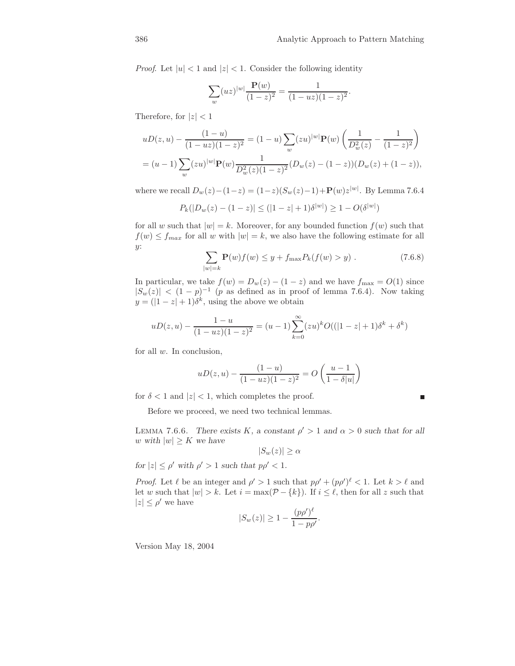*Proof.* Let  $|u| < 1$  and  $|z| < 1$ . Consider the following identity

$$
\sum_{w} (uz)^{|w|} \frac{\mathbf{P}(w)}{(1-z)^2} = \frac{1}{(1-uz)(1-z)^2}.
$$

Therefore, for  $|z| < 1$ 

$$
uD(z, u) - \frac{(1-u)}{(1-uz)(1-z)^2} = (1-u)\sum_{w} (zu)^{|w|} \mathbf{P}(w) \left(\frac{1}{D_w^2(z)} - \frac{1}{(1-z)^2}\right)
$$

$$
= (u-1)\sum_{w} (zu)^{|w|} \mathbf{P}(w) \frac{1}{D_w^2(z)(1-z)^2} (D_w(z) - (1-z))(D_w(z) + (1-z)),
$$

where we recall  $D_w(z) - (1-z) = (1-z)(S_w(z) - 1) + \mathbf{P}(w)z^{|w|}$ . By Lemma 7.6.4

$$
P_k(|D_w(z) - (1 - z)| \le (|1 - z| + 1)\delta^{|w|}) \ge 1 - O(\delta^{|w|})
$$

for all w such that  $|w| = k$ . Moreover, for any bounded function  $f(w)$  such that  $f(w) \le f_{max}$  for all w with  $|w| = k$ , we also have the following estimate for all y:  $y:$   $\qquad \qquad \nabla$ 

$$
\sum_{|w|=k} \mathbf{P}(w)f(w) \le y + f_{\max} P_k(f(w) > y) . \tag{7.6.8}
$$

In particular, we take  $f(w) = D_w(z) - (1 - z)$  and we have  $f_{\text{max}} = O(1)$  since  $|S_w(z)| < (1-p)^{-1}$  (p as defined as in proof of lemma 7.6.4). Now taking  $y = (|1 - z| + 1)\delta^k$ , using the above we obtain

$$
uD(z, u) - \frac{1 - u}{(1 - uz)(1 - z)^2} = (u - 1)\sum_{k=0}^{\infty} (zu)^k O((|1 - z| + 1)\delta^k + \delta^k)
$$

for all  $w$ . In conclusion,

$$
uD(z,u) - \frac{(1-u)}{(1-uz)(1-z)^2} = O\left(\frac{u-1}{1-\delta|u|}\right)
$$

for  $\delta < 1$  and  $|z| < 1$ , which completes the proof.

Before we proceed, we need two technical lemmas.

LEMMA 7.6.6. There exists K, a constant  $\rho' > 1$  and  $\alpha > 0$  such that for all w with  $|w| \geq K$  we have

$$
|S_w(z)| \ge \alpha
$$

for  $|z| \le \rho'$  with  $\rho' > 1$  such that  $p\rho' < 1$ .

*Proof.* Let  $\ell$  be an integer and  $\rho' > 1$  such that  $p\rho' + (p\rho')^{\ell} < 1$ . Let  $k > \ell$  and let w such that  $|w| > k$ . Let  $i = \max(\mathcal{P} - \{k\})$ . If  $i \leq \ell$ , then for all z such that  $|z| \leq \rho'$  we have

$$
|S_w(z)| \ge 1 - \frac{(p\rho')^{\ell}}{1 - p\rho'}.
$$

$$
\blacksquare
$$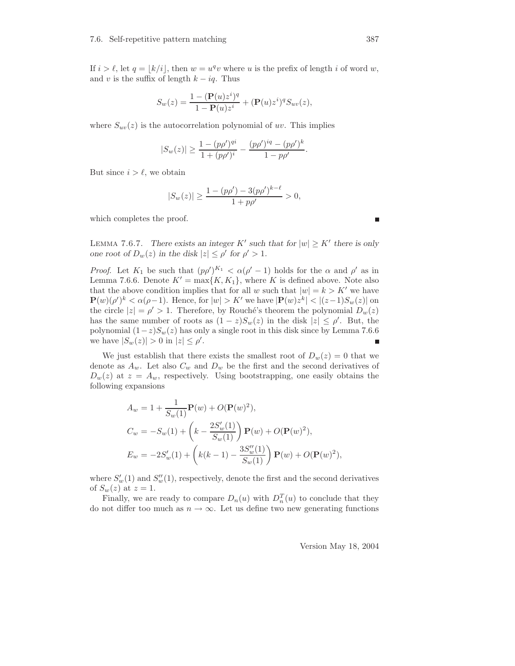If  $i > \ell$ , let  $q = \lfloor k/i \rfloor$ , then  $w = u^q v$  where u is the prefix of length i of word w, and v is the suffix of length  $k - iq$ . Thus

$$
S_w(z) = \frac{1 - (\mathbf{P}(u)z^i)^q}{1 - \mathbf{P}(u)z^i} + (\mathbf{P}(u)z^i)^q S_{uv}(z),
$$

where  $S_{uv}(z)$  is the autocorrelation polynomial of uv. This implies

$$
|S_w(z)| \ge \frac{1 - (p\rho')^{qi}}{1 + (p\rho')^i} - \frac{(p\rho')^{iq} - (p\rho')^k}{1 - p\rho'}.
$$

But since  $i > \ell$ , we obtain

$$
|S_w(z)| \ge \frac{1 - (p\rho') - 3(p\rho')^{k-\ell}}{1 + p\rho'} > 0,
$$

which completes the proof.

LEMMA 7.6.7. There exists an integer  $K'$  such that for  $|w| \ge K'$  there is only one root of  $D_w(z)$  in the disk  $|z| \le \rho'$  for  $\rho' > 1$ .

*Proof.* Let  $K_1$  be such that  $(p\rho')^{K_1} < \alpha(\rho'-1)$  holds for the  $\alpha$  and  $\rho'$  as in Lemma 7.6.6. Denote  $K' = \max\{K, K_1\}$ , where K is defined above. Note also that the above condition implies that for all w such that  $|w| = k > K'$  we have  $\mathbf{P}(w)(\rho')^k < \alpha(\rho-1)$ . Hence, for  $|w| > K'$  we have  $|\mathbf{P}(w)z^k| < |(z-1)S_w(z)|$  on the circle  $|z| = \rho' > 1$ . Therefore, by Rouché's theorem the polynomial  $D_w(z)$ has the same number of roots as  $(1-z)S_w(z)$  in the disk  $|z| \le \rho'$ . But, the polynomial  $(1-z)S_w(z)$  has only a single root in this disk since by Lemma 7.6.6 we have  $|S_w(z)| > 0$  in  $|z| \le \rho'$ .

We just establish that there exists the smallest root of  $D_w(z) = 0$  that we denote as  $A_w$ . Let also  $C_w$  and  $D_w$  be the first and the second derivatives of  $D_w(z)$  at  $z = A_w$ , respectively. Using bootstrapping, one easily obtains the following expansions

$$
A_w = 1 + \frac{1}{S_w(1)} \mathbf{P}(w) + O(\mathbf{P}(w)^2),
$$
  
\n
$$
C_w = -S_w(1) + \left(k - \frac{2S_w'(1)}{S_w(1)}\right) \mathbf{P}(w) + O(\mathbf{P}(w)^2),
$$
  
\n
$$
E_w = -2S_w'(1) + \left(k(k-1) - \frac{3S_w''(1)}{S_w(1)}\right) \mathbf{P}(w) + O(\mathbf{P}(w)^2),
$$

where  $S'_w(1)$  and  $S''_w(1)$ , respectively, denote the first and the second derivatives of  $S_w(z)$  at  $z=1$ .

Finally, we are ready to compare  $D_n(u)$  with  $D_n^T(u)$  to conclude that they do not differ too much as  $n \to \infty$ . Let us define two new generating functions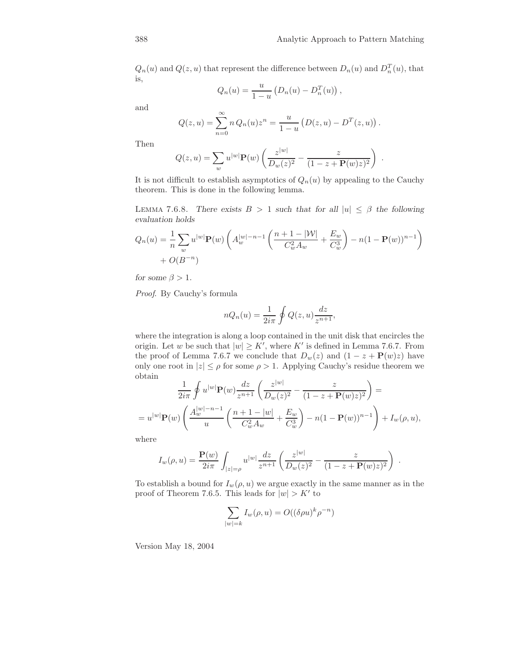$Q_n(u)$  and  $Q(z, u)$  that represent the difference between  $D_n(u)$  and  $D_n^T(u)$ , that is,

$$
Q_n(u) = \frac{u}{1-u} (D_n(u) - D_n^T(u)),
$$

and

$$
Q(z, u) = \sum_{n=0}^{\infty} n Q_n(u) z^n = \frac{u}{1-u} (D(z, u) - D^T(z, u)).
$$

Then

$$
Q(z, u) = \sum_{w} u^{|w|} \mathbf{P}(w) \left( \frac{z^{|w|}}{D_w(z)^2} - \frac{z}{(1 - z + \mathbf{P}(w)z)^2} \right) .
$$

It is not difficult to establish asymptotics of  $Q_n(u)$  by appealing to the Cauchy theorem. This is done in the following lemma.

LEMMA 7.6.8. There exists  $B > 1$  such that for all  $|u| \leq \beta$  the following evaluation holds

$$
Q_n(u) = \frac{1}{n} \sum_{w} u^{|w|} \mathbf{P}(w) \left( A_w^{|w| - n - 1} \left( \frac{n + 1 - |\mathcal{W}|}{C_w^2 A_w} + \frac{E_w}{C_w^3} \right) - n(1 - \mathbf{P}(w))^{n-1} \right) + O(B^{-n})
$$

for some  $\beta > 1$ .

Proof. By Cauchy's formula

$$
nQ_n(u) = \frac{1}{2i\pi} \oint Q(z, u) \frac{dz}{z^{n+1}},
$$

where the integration is along a loop contained in the unit disk that encircles the origin. Let w be such that  $|w| \geq K'$ , where K' is defined in Lemma 7.6.7. From the proof of Lemma 7.6.7 we conclude that  $D_w(z)$  and  $(1 - z + P(w)z)$  have only one root in  $|z| \leq \rho$  for some  $\rho > 1$ . Applying Cauchy's residue theorem we obtain

$$
\frac{1}{2i\pi} \oint u^{|w|} \mathbf{P}(w) \frac{dz}{z^{n+1}} \left( \frac{z^{|w|}}{D_w(z)^2} - \frac{z}{(1-z+\mathbf{P}(w)z)^2} \right) =
$$
  
=  $u^{|w|} \mathbf{P}(w) \left( \frac{A_w^{|w|-n-1}}{u} \left( \frac{n+1-|w|}{C_w^2 A_w} + \frac{E_w}{C_w^3} \right) - n(1-\mathbf{P}(w))^{n-1} \right) + I_w(\rho, u),$ 

where

$$
I_w(\rho, u) = \frac{\mathbf{P}(w)}{2i\pi} \int_{|z|=\rho} u^{|w|} \frac{dz}{z^{n+1}} \left( \frac{z^{|w|}}{D_w(z)^2} - \frac{z}{(1-z + \mathbf{P}(w)z)^2} \right) .
$$

To establish a bound for  $I_w(\rho, u)$  we argue exactly in the same manner as in the proof of Theorem 7.6.5. This leads for  $|w| > K'$  to

$$
\sum_{|w|=k} I_w(\rho, u) = O((\delta \rho u)^k \rho^{-n})
$$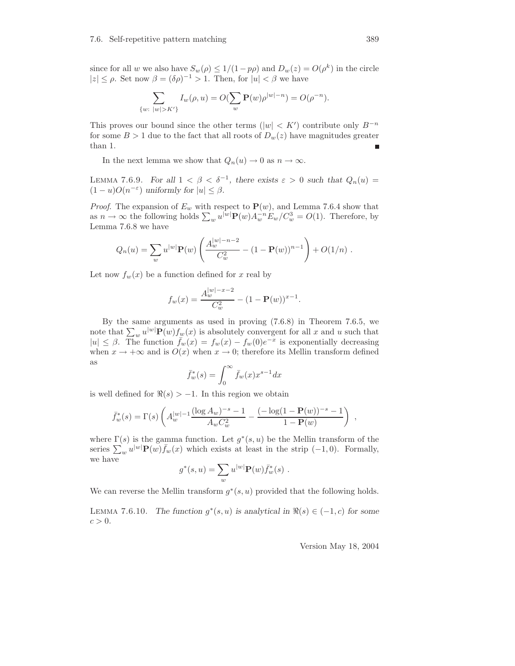since for all w we also have  $S_w(\rho) \leq 1/(1-p\rho)$  and  $D_w(z) = O(\rho^k)$  in the circle  $|z| \leq \rho$ . Set now  $\beta = (\delta \rho)^{-1} > 1$ . Then, for  $|u| < \beta$  we have

$$
\sum_{\{w:\ |w|>K'\}} I_w(\rho, u) = O(\sum_w \mathbf{P}(w)\rho^{|w|-n}) = O(\rho^{-n}).
$$

This proves our bound since the other terms ( $|w| < K'$ ) contribute only  $B^{-n}$ for some  $B > 1$  due to the fact that all roots of  $D_w(z)$  have magnitudes greater than 1.

In the next lemma we show that  $Q_n(u) \to 0$  as  $n \to \infty$ .

LEMMA 7.6.9. For all  $1 < \beta < \delta^{-1}$ , there exists  $\varepsilon > 0$  such that  $Q_n(u) =$  $(1-u)O(n^{-\varepsilon})$  uniformly for  $|u| \leq \beta$ .

*Proof.* The expansion of  $E_w$  with respect to  $\mathbf{P}(w)$ , and Lemma 7.6.4 show that as  $n \to \infty$  the following holds  $\sum_w u^{|w|} \mathbf{P}(w) A_w^{-n} E_w / C_w^3 = O(1)$ . Therefore, by Lemma 7.6.8 we have

$$
Q_n(u) = \sum_{w} u^{|w|} \mathbf{P}(w) \left( \frac{A_w^{|w|-n-2}}{C_w^2} - (1 - \mathbf{P}(w))^{n-1} \right) + O(1/n) .
$$

Let now  $f_w(x)$  be a function defined for x real by

$$
f_w(x) = \frac{A_w^{|w| - x - 2}}{C_w^2} - (1 - \mathbf{P}(w))^{x - 1}.
$$

By the same arguments as used in proving (7.6.8) in Theorem 7.6.5, we note that  $\sum_w u^{|w|} \mathbf{P}(w) f_{\underline{w}}(x)$  is absolutely convergent for all x and u such that  $|u|$  ≤ β. The function  $\bar{f}_w(x) = f_w(x) - f_w(0)e^{-x}$  is exponentially decreasing when  $x \to +\infty$  and is  $O(x)$  when  $x \to 0$ ; therefore its Mellin transform defined as

$$
\bar{f}_w^*(s) = \int_0^\infty \bar{f}_w(x) x^{s-1} dx
$$

is well defined for  $\Re(s) > -1$ . In this region we obtain

$$
\bar{f}_w^*(s) = \Gamma(s) \left( A_w^{|w|-1} \frac{(\log A_w)^{-s} - 1}{A_w C_w^2} - \frac{(-\log(1 + P(w))^{-s} - 1}{1 - P(w)} \right) ,
$$

where  $\Gamma(s)$  is the gamma function. Let  $g^*(s, u)$  be the Mellin transform of the series  $\sum_{w} u^{|w|} \mathbf{P}(w) \bar{f}_w(x)$  which exists at least in the strip (−1, 0). Formally, we have

$$
g^*(s, u) = \sum_w u^{|w|} \mathbf{P}(w) \bar{f}_w^*(s) .
$$

We can reverse the Mellin transform  $g^*(s, u)$  provided that the following holds.

LEMMA 7.6.10. The function  $g^*(s, u)$  is analytical in  $\Re(s) \in (-1, c)$  for some  $c > 0$ .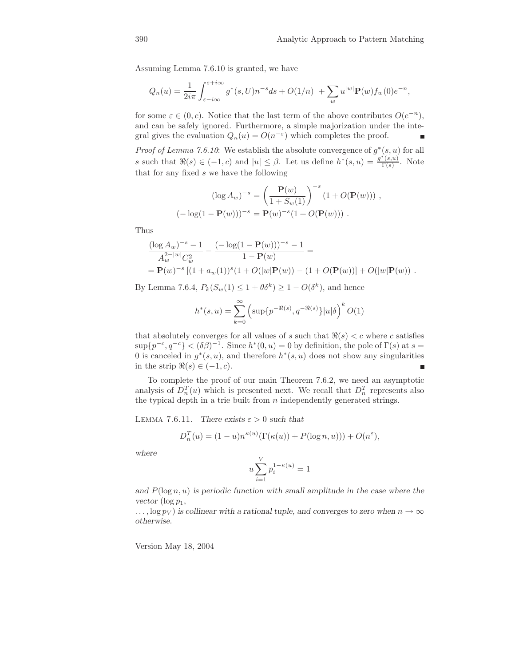Assuming Lemma 7.6.10 is granted, we have

$$
Q_n(u) = \frac{1}{2i\pi} \int_{\varepsilon - i\infty}^{\varepsilon + i\infty} g^*(s, U) n^{-s} ds + O(1/n) + \sum_w u^{|w|} \mathbf{P}(w) f_w(0) e^{-n},
$$

for some  $\varepsilon \in (0, c)$ . Notice that the last term of the above contributes  $O(e^{-n})$ , and can be safely ignored. Furthermore, a simple majorization under the integral gives the evaluation  $Q_n(u) = O(n^{-\epsilon})$  which completes the proof.

*Proof of Lemma 7.6.10*: We establish the absolute convergence of  $g^*(s, u)$  for all s such that  $\Re(s) \in (-1, c)$  and  $|u| \leq \beta$ . Let us define  $h^*(s, u) = \frac{g^*(s, u)}{\Gamma(s)}$  $\frac{(s,u)}{\Gamma(s)}$ . Note that for any fixed  $s$  we have the following

$$
(\log A_w)^{-s} = \left(\frac{\mathbf{P}(w)}{1 + S_w(1)}\right)^{-s} (1 + O(\mathbf{P}(w))),
$$

$$
(-\log(1 - \mathbf{P}(w)))^{-s} = \mathbf{P}(w)^{-s} (1 + O(\mathbf{P}(w))).
$$

Thus

$$
\frac{(\log A_w)^{-s} - 1}{A_w^{2-|w|}C_w^2} - \frac{(-\log(1 - \mathbf{P}(w)))^{-s} - 1}{1 - \mathbf{P}(w)} =
$$
\n
$$
= \mathbf{P}(w)^{-s} \left[ (1 + a_w(1))^s (1 + O(|w|\mathbf{P}(w)) - (1 + O(\mathbf{P}(w))) + O(|w|\mathbf{P}(w)) \right].
$$

By Lemma 7.6.4,  $P_k(S_w(1) \leq 1 + \theta \delta^k) \geq 1 - O(\delta^k)$ , and hence

$$
h^*(s, u) = \sum_{k=0}^{\infty} \left( \sup \{ p^{-\Re(s)}, q^{-\Re(s)} \} |u| \delta \right)^k O(1)
$$

that absolutely converges for all values of s such that  $\Re(s) < c$  where c satisfies  $\sup\{p^{-c}, q^{-c}\} < (\delta\beta)^{-1}$ . Since  $h^*(0, u) = 0$  by definition, the pole of  $\Gamma(s)$  at  $s =$ 0 is canceled in  $g^*(s, u)$ , and therefore  $h^*(s, u)$  does not show any singularities in the strip  $\Re(s) \in (-1, c)$ .

To complete the proof of our main Theorem 7.6.2, we need an asymptotic analysis of  $D_n^T(u)$  which is presented next. We recall that  $D_n^T$  represents also the typical depth in a trie built from  $n$  independently generated strings.

LEMMA 7.6.11. There exists  $\varepsilon > 0$  such that

$$
D_n^T(u) = (1 - u)n^{\kappa(u)}(\Gamma(\kappa(u)) + P(\log n, u))) + O(n^{\varepsilon}),
$$

where

$$
u\sum_{i=1}^{V}p_i^{1-\kappa(u)}=1
$$

and  $P(\log n, u)$  is periodic function with small amplitude in the case where the vector  $(\log p_1,$ 

 $\ldots$ , log  $p_V$ ) is collinear with a rational tuple, and converges to zero when  $n \to \infty$ otherwise.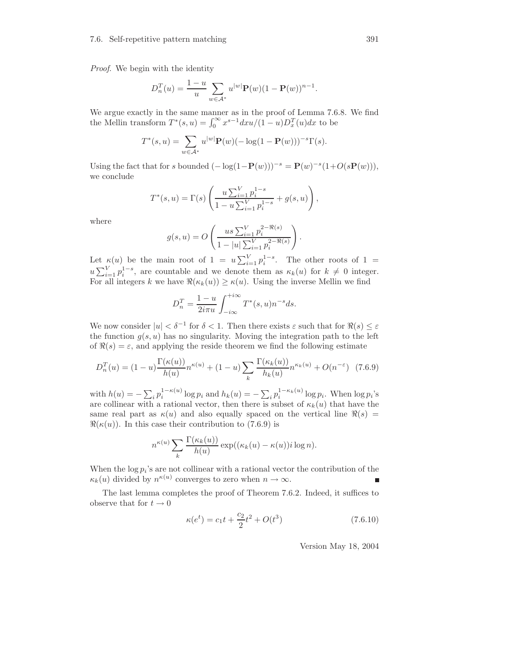## 7.6. Self-repetitive pattern matching 391

Proof. We begin with the identity

$$
D_n^T(u) = \frac{1-u}{u} \sum_{w \in A^*} u^{|w|} \mathbf{P}(w) (1 - \mathbf{P}(w))^{n-1}.
$$

We argue exactly in the same manner as in the proof of Lemma 7.6.8. We find the Mellin transform  $T^*(s, u) = \int_0^\infty x^{s-1} dx u/(1-u) D_x^T(u) dx$  to be

$$
T^*(s, u) = \sum_{w \in A^*} u^{|w|} \mathbf{P}(w) (-\log(1 - \mathbf{P}(w)))^{-s} \Gamma(s).
$$

Using the fact that for s bounded  $(-\log(1-\mathbf{P}(w)))^{-s} = \mathbf{P}(w)^{-s}(1+O(s\mathbf{P}(w))),$ we conclude

$$
T^*(s, u) = \Gamma(s) \left( \frac{u \sum_{i=1}^V p_i^{1-s}}{1 - u \sum_{i=1}^V p_i^{1-s}} + g(s, u) \right),
$$

where

$$
g(s, u) = O\left(\frac{us \sum_{i=1}^{V} p_i^{2 - \Re(s)}}{1 - |u| \sum_{i=1}^{V} p_i^{2 - \Re(s)}}\right).
$$

Let  $\kappa(u)$  be the main root of 1 =  $u\sum_{i=1}^{V} p_i^{1-s}$ . The other roots of 1 =  $u\sum_{i=1}^{V} p_i^{1-s}$ , are countable and we denote them as  $\kappa_k(u)$  for  $k\neq 0$  integer. For all integers k we have  $\Re(\kappa_k(u)) \geq \kappa(u)$ . Using the inverse Mellin we find

$$
D_n^T = \frac{1-u}{2i\pi u} \int_{-i\infty}^{+i\infty} T^*(s, u) n^{-s} ds.
$$

We now consider  $|u| < \delta^{-1}$  for  $\delta < 1$ . Then there exists  $\varepsilon$  such that for  $\Re(s) \leq \varepsilon$ the function  $g(s, u)$  has no singularity. Moving the integration path to the left of  $\Re(s) = \varepsilon$ , and applying the reside theorem we find the following estimate

$$
D_n^T(u) = (1 - u) \frac{\Gamma(\kappa(u))}{h(u)} n^{\kappa(u)} + (1 - u) \sum_k \frac{\Gamma(\kappa_k(u))}{h_k(u)} n^{\kappa_k(u)} + O(n^{-\varepsilon}) \tag{7.6.9}
$$

with  $h(u) = -\sum_i p_i^{1-\kappa(u)} \log p_i$  and  $h_k(u) = -\sum_i p_i^{1-\kappa_k(u)} \log p_i$ . When  $\log p_i$ 's are collinear with a rational vector, then there is subset of  $\kappa_k(u)$  that have the same real part as  $\kappa(u)$  and also equally spaced on the vertical line  $\Re(s)$  =  $\Re(\kappa(u))$ . In this case their contribution to (7.6.9) is

$$
n^{\kappa(u)} \sum_{k} \frac{\Gamma(\kappa_k(u))}{h(u)} \exp((\kappa_k(u) - \kappa(u))i \log n).
$$

When the  $\log p_i$ 's are not collinear with a rational vector the contribution of the  $\kappa_k(u)$  divided by  $n^{\kappa(u)}$  converges to zero when  $n \to \infty$ .

The last lemma completes the proof of Theorem 7.6.2. Indeed, it suffices to observe that for  $t \to 0$ 

$$
\kappa(e^t) = c_1 t + \frac{c_2}{2} t^2 + O(t^3)
$$
\n(7.6.10)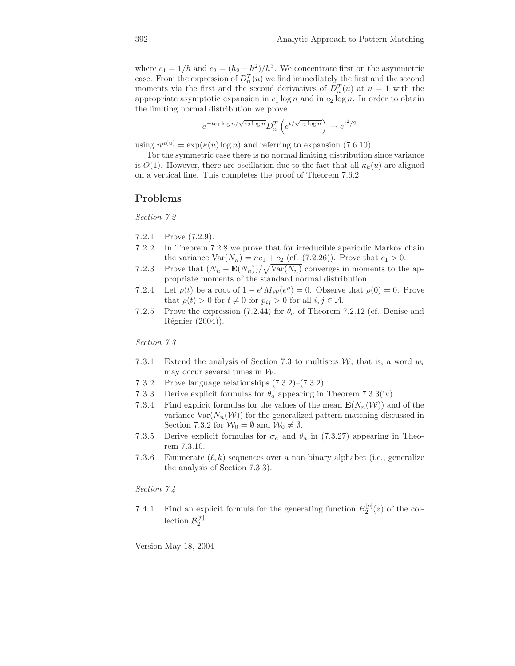where  $c_1 = 1/h$  and  $c_2 = (h_2 - h^2)/h^3$ . We concentrate first on the asymmetric case. From the expression of  $D_n^T(u)$  we find immediately the first and the second moments via the first and the second derivatives of  $D_n^T(u)$  at  $u = 1$  with the appropriate asymptotic expansion in  $c_1 \log n$  and in  $c_2 \log n$ . In order to obtain the limiting normal distribution we prove

$$
e^{-tc_1 \log n/\sqrt{c_2 \log n}} D_n^T \left( e^{t/\sqrt{c_2 \log n}} \right) \to e^{t^2/2}
$$

using  $n^{\kappa(u)} = \exp(\kappa(u) \log n)$  and referring to expansion (7.6.10).

For the symmetric case there is no normal limiting distribution since variance is  $O(1)$ . However, there are oscillation due to the fact that all  $\kappa_k(u)$  are aligned on a vertical line. This completes the proof of Theorem 7.6.2.

# Problems

Section 7.2

- 7.2.1 Prove (7.2.9).
- 7.2.2 In Theorem 7.2.8 we prove that for irreducible aperiodic Markov chain the variance  $Var(N_n) = nc_1 + c_2$  (cf. (7.2.26)). Prove that  $c_1 > 0$ .
- 7.2.3 Prove that  $(N_n \mathbf{E}(N_n))/\sqrt{\text{Var}(N_n)}$  converges in moments to the appropriate moments of the standard normal distribution.
- 7.2.4 Let  $\rho(t)$  be a root of  $1 e^t M_W(e^{\rho}) = 0$ . Observe that  $\rho(0) = 0$ . Prove that  $\rho(t) > 0$  for  $t \neq 0$  for  $p_{ij} > 0$  for all  $i, j \in \mathcal{A}$ .
- 7.2.5 Prove the expression (7.2.44) for  $\theta_a$  of Theorem 7.2.12 (cf. Denise and  $Régnier (2004)).$

## Section 7.3

- 7.3.1 Extend the analysis of Section 7.3 to multisets  $W$ , that is, a word  $w_i$ may occur several times in  $W$ .
- 7.3.2 Prove language relationships (7.3.2)–(7.3.2).
- 7.3.3 Derive explicit formulas for  $\theta_a$  appearing in Theorem 7.3.3(iv).
- 7.3.4 Find explicit formulas for the values of the mean  $\mathbf{E}(N_n(\mathcal{W}))$  and of the variance  $Var(N_n(W))$  for the generalized pattern matching discussed in Section 7.3.2 for  $\mathcal{W}_0 = \emptyset$  and  $\mathcal{W}_0 \neq \emptyset$ .
- 7.3.5 Derive explicit formulas for  $\sigma_a$  and  $\theta_a$  in (7.3.27) appearing in Theorem 7.3.10.
- 7.3.6 Enumerate  $(\ell, k)$  sequences over a non binary alphabet (i.e., generalize the analysis of Section 7.3.3).

## Section 7.4

7.4.1 Find an explicit formula for the generating function  $B_2^{[p]}(z)$  of the collection  $\mathcal{B}_2^{[p]}$ .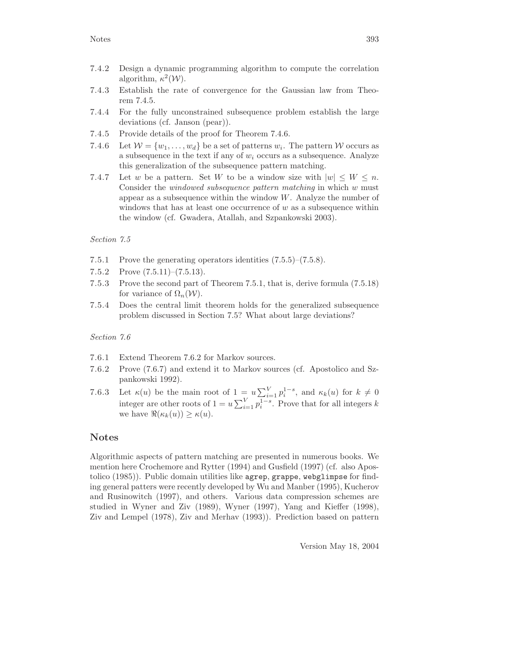- 7.4.2 Design a dynamic programming algorithm to compute the correlation algorithm,  $\kappa^2(\mathcal{W})$ .
- 7.4.3 Establish the rate of convergence for the Gaussian law from Theorem 7.4.5.
- 7.4.4 For the fully unconstrained subsequence problem establish the large deviations (cf. Janson (pear)).
- 7.4.5 Provide details of the proof for Theorem 7.4.6.
- 7.4.6 Let  $W = \{w_1, \ldots, w_d\}$  be a set of patterns  $w_i$ . The pattern W occurs as a subsequence in the text if any of  $w_i$  occurs as a subsequence. Analyze this generalization of the subsequence pattern matching.
- 7.4.7 Let w be a pattern. Set W to be a window size with  $|w| \leq W \leq n$ . Consider the windowed subsequence pattern matching in which w must appear as a subsequence within the window W. Analyze the number of windows that has at least one occurrence of  $w$  as a subsequence within the window (cf. Gwadera, Atallah, and Szpankowski 2003).

# Section 7.5

- 7.5.1 Prove the generating operators identities (7.5.5)–(7.5.8).
- 7.5.2 Prove (7.5.11)–(7.5.13).
- 7.5.3 Prove the second part of Theorem 7.5.1, that is, derive formula (7.5.18) for variance of  $\Omega_n(\mathcal{W})$ .
- 7.5.4 Does the central limit theorem holds for the generalized subsequence problem discussed in Section 7.5? What about large deviations?

# Section 7.6

- 7.6.1 Extend Theorem 7.6.2 for Markov sources.
- 7.6.2 Prove (7.6.7) and extend it to Markov sources (cf. Apostolico and Szpankowski 1992).
- 7.6.3 Let  $\kappa(u)$  be the main root of  $1 = u \sum_{i=1}^{V} p_i^{1-s}$ , and  $\kappa_k(u)$  for  $k \neq 0$ integer are other roots of  $1 = u \sum_{i=1}^{V} p_i^{1-s}$ . Prove that for all integers k we have  $\Re(\kappa_k(u)) \geq \kappa(u)$ .

# Notes

Algorithmic aspects of pattern matching are presented in numerous books. We mention here Crochemore and Rytter (1994) and Gusfield (1997) (cf. also Apostolico (1985)). Public domain utilities like agrep, grappe, webglimpse for finding general patters were recently developed by Wu and Manber (1995), Kucherov and Rusinowitch (1997), and others. Various data compression schemes are studied in Wyner and Ziv (1989), Wyner (1997), Yang and Kieffer (1998), Ziv and Lempel (1978), Ziv and Merhav (1993)). Prediction based on pattern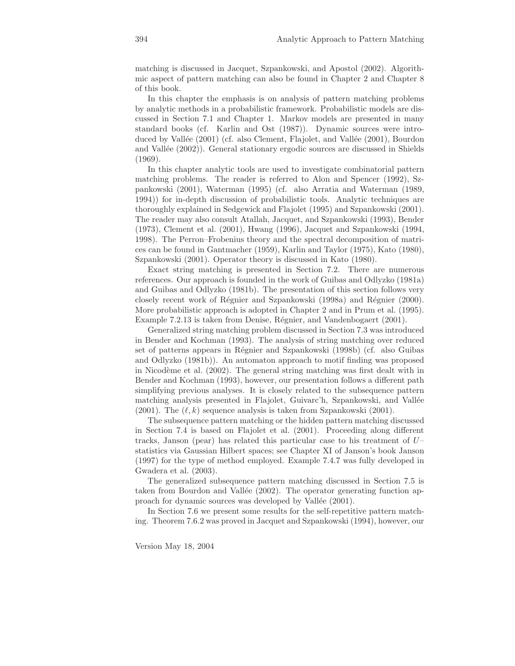matching is discussed in Jacquet, Szpankowski, and Apostol (2002). Algorithmic aspect of pattern matching can also be found in Chapter 2 and Chapter 8 of this book.

In this chapter the emphasis is on analysis of pattern matching problems by analytic methods in a probabilistic framework. Probabilistic models are discussed in Section 7.1 and Chapter 1. Markov models are presented in many standard books (cf. Karlin and Ost (1987)). Dynamic sources were introduced by Vallée (2001) (cf. also Clement, Flajolet, and Vallée (2001), Bourdon and Vallée  $(2002)$ ). General stationary ergodic sources are discussed in Shields (1969).

In this chapter analytic tools are used to investigate combinatorial pattern matching problems. The reader is referred to Alon and Spencer (1992), Szpankowski (2001), Waterman (1995) (cf. also Arratia and Waterman (1989, 1994)) for in-depth discussion of probabilistic tools. Analytic techniques are thoroughly explained in Sedgewick and Flajolet (1995) and Szpankowski (2001). The reader may also consult Atallah, Jacquet, and Szpankowski (1993), Bender (1973), Clement et al. (2001), Hwang (1996), Jacquet and Szpankowski (1994, 1998). The Perron–Frobenius theory and the spectral decomposition of matrices can be found in Gantmacher (1959), Karlin and Taylor (1975), Kato (1980), Szpankowski (2001). Operator theory is discussed in Kato (1980).

Exact string matching is presented in Section 7.2. There are numerous references. Our approach is founded in the work of Guibas and Odlyzko (1981a) and Guibas and Odlyzko (1981b). The presentation of this section follows very closely recent work of Régnier and Szpankowski (1998a) and Régnier (2000). More probabilistic approach is adopted in Chapter 2 and in Prum et al. (1995). Example 7.2.13 is taken from Denise, Régnier, and Vandenbogaert (2001).

Generalized string matching problem discussed in Section 7.3 was introduced in Bender and Kochman (1993). The analysis of string matching over reduced set of patterns appears in Régnier and Szpankowski (1998b) (cf. also Guibas and Odlyzko (1981b)). An automaton approach to motif finding was proposed in Nicodème et al. (2002). The general string matching was first dealt with in Bender and Kochman (1993), however, our presentation follows a different path simplifying previous analyses. It is closely related to the subsequence pattern matching analysis presented in Flajolet, Guivarc'h, Szpankowski, and Vallée (2001). The  $(\ell, k)$  sequence analysis is taken from Szpankowski (2001).

The subsequence pattern matching or the hidden pattern matching discussed in Section 7.4 is based on Flajolet et al. (2001). Proceeding along different tracks, Janson (pear) has related this particular case to his treatment of  $U$ – statistics via Gaussian Hilbert spaces; see Chapter XI of Janson's book Janson (1997) for the type of method employed. Example 7.4.7 was fully developed in Gwadera et al. (2003).

The generalized subsequence pattern matching discussed in Section 7.5 is taken from Bourdon and Vallée  $(2002)$ . The operator generating function approach for dynamic sources was developed by Vallée (2001).

In Section 7.6 we present some results for the self-repetitive pattern matching. Theorem 7.6.2 was proved in Jacquet and Szpankowski (1994), however, our